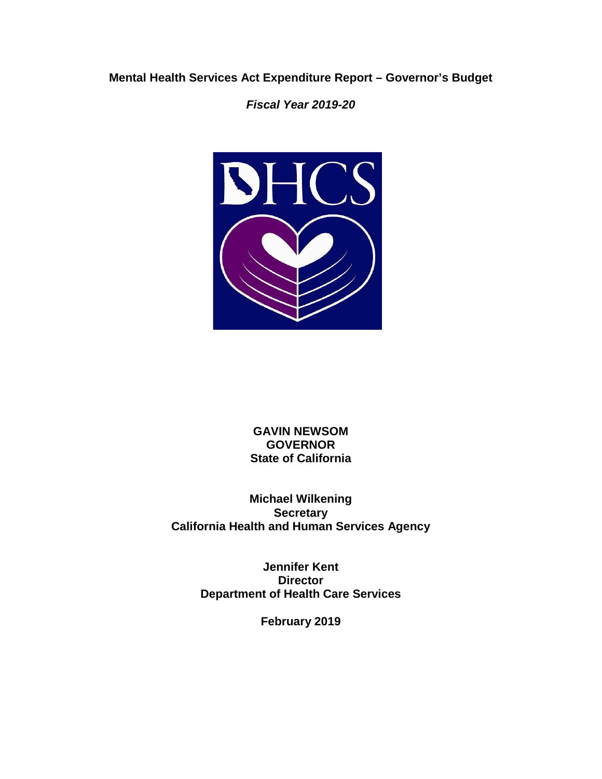## **Mental Health Services Act Expenditure Report – Governor's Budget**

*Fiscal Year 2019-20* 



**GAVIN NEWSOM GOVERNOR State of California** 

**Michael Wilkening Secretary California Health and Human Services Agency** 

> **Jennifer Kent Director Department of Health Care Services**

> > **February 2019**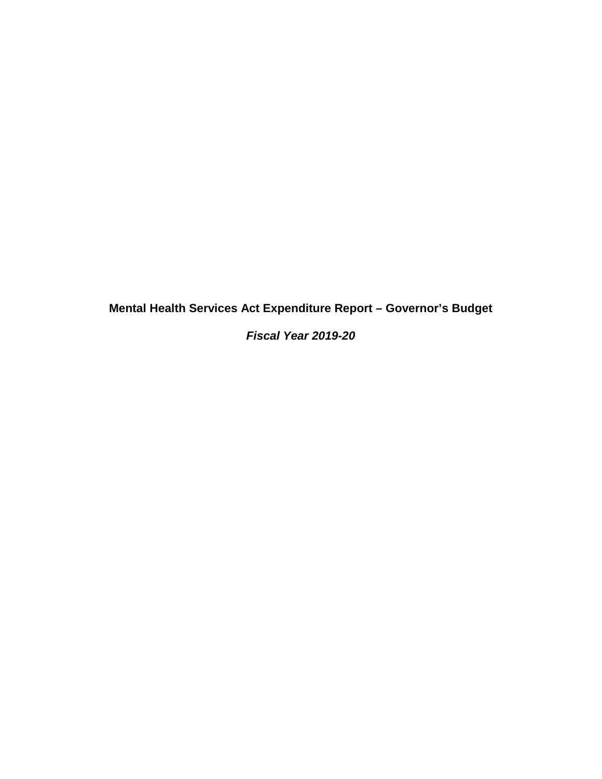**Mental Health Services Act Expenditure Report – Governor's Budget** 

*Fiscal Year 2019-20*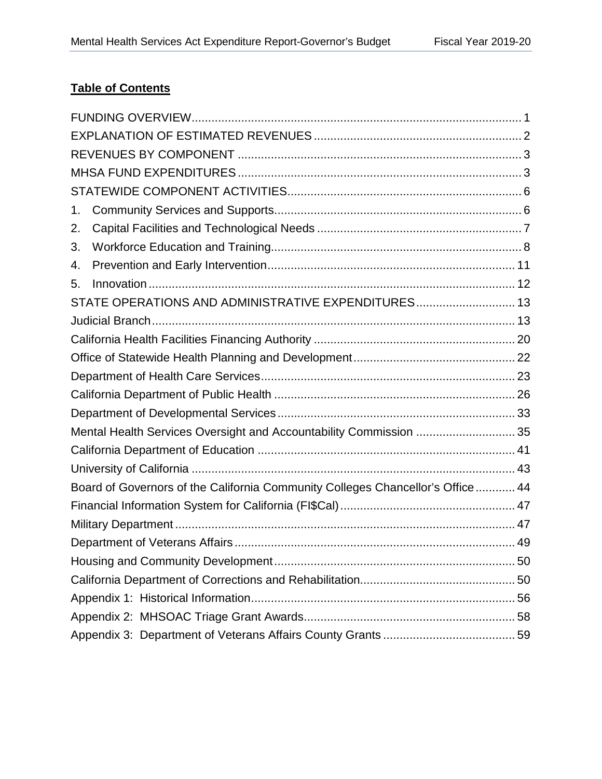## **Table of Contents**  <b><u>Table of

| 1.                                                                              |  |  |  |  |
|---------------------------------------------------------------------------------|--|--|--|--|
| 2.                                                                              |  |  |  |  |
| 3.                                                                              |  |  |  |  |
| 4.                                                                              |  |  |  |  |
| 5.                                                                              |  |  |  |  |
| STATE OPERATIONS AND ADMINISTRATIVE EXPENDITURES 13                             |  |  |  |  |
|                                                                                 |  |  |  |  |
|                                                                                 |  |  |  |  |
|                                                                                 |  |  |  |  |
|                                                                                 |  |  |  |  |
|                                                                                 |  |  |  |  |
|                                                                                 |  |  |  |  |
| Mental Health Services Oversight and Accountability Commission  35              |  |  |  |  |
|                                                                                 |  |  |  |  |
|                                                                                 |  |  |  |  |
| Board of Governors of the California Community Colleges Chancellor's Office  44 |  |  |  |  |
|                                                                                 |  |  |  |  |
|                                                                                 |  |  |  |  |
|                                                                                 |  |  |  |  |
|                                                                                 |  |  |  |  |
|                                                                                 |  |  |  |  |
|                                                                                 |  |  |  |  |
|                                                                                 |  |  |  |  |
|                                                                                 |  |  |  |  |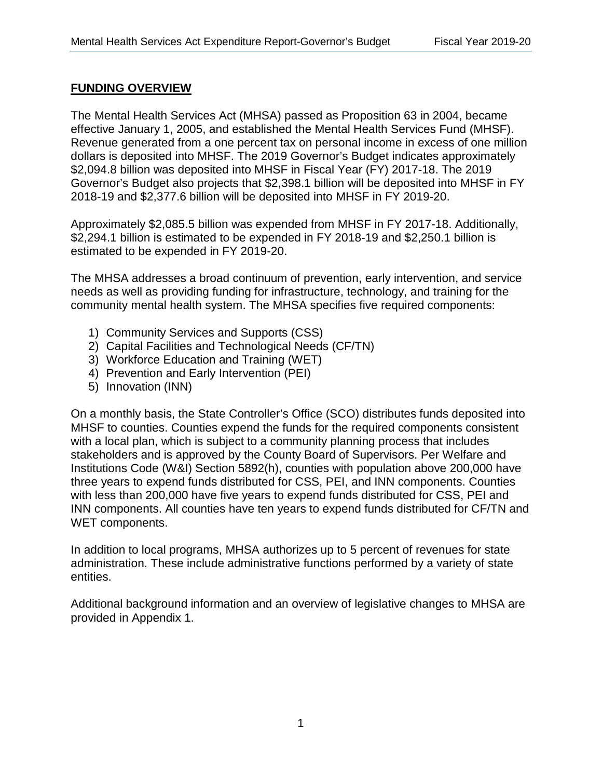## **FUNDING OVERVIEW**  <u>FUNDING OVERVIEW</u>

The Mental Health Services Act (MHSA) passed as Proposition 63 in 2004, became effective January 1, 2005, and established the Mental Health Services Fund (MHSF). Revenue generated from a one percent tax on personal income in excess of one million dollars is deposited into MHSF. The 2019 Governor's Budget indicates approximately \$2,094.8 billion was deposited into MHSF in Fiscal Year (FY) 2017-18. The 2019 Governor's Budget also projects that \$2,398.1 billion will be deposited into MHSF in FY 2018-19 and \$2,377.6 billion will be deposited into MHSF in FY 2019-20.

Approximately \$2,085.5 billion was expended from MHSF in FY 2017-18. Additionally, \$2,294.1 billion is estimated to be expended in FY 2018-19 and \$2,250.1 billion is estimated to be expended in FY 2019-20.

The MHSA addresses a broad continuum of prevention, early intervention, and service needs as well as providing funding for infrastructure, technology, and training for the community mental health system. The MHSA specifies five required components:

- 1) Community Services and Supports (CSS)
- 2) Capital Facilities and Technological Needs (CF/TN)
- 3) Workforce Education and Training (WET)
- 4) Prevention and Early Intervention (PEI)
- 5) Innovation (INN)

On a monthly basis, the State Controller's Office (SCO) distributes funds deposited into MHSF to counties. Counties expend the funds for the required components consistent with a local plan, which is subject to a community planning process that includes stakeholders and is approved by the County Board of Supervisors. Per Welfare and Institutions Code (W&I) Section 5892(h), counties with population above 200,000 have three years to expend funds distributed for CSS, PEI, and INN components. Counties with less than 200,000 have five years to expend funds distributed for CSS, PEI and INN components. All counties have ten years to expend funds distributed for CF/TN and WET components.

In addition to local programs, MHSA authorizes up to 5 percent of revenues for state administration. These include administrative functions performed by a variety of state entities.

Additional background information and an overview of legislative changes to MHSA are provided in Appendix 1.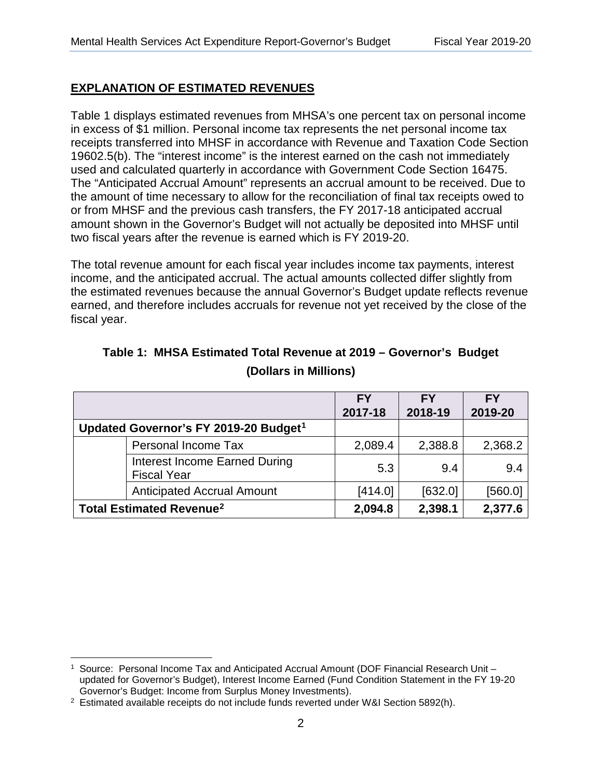## **EXPLANATION OF ESTIMATED REVENUES**  <u>EXPLANATION OF ESTIMATED REVENUES</u>

Table 1 displays estimated revenues from MHSA's one percent tax on personal income in excess of \$1 million. Personal income tax represents the net personal income tax receipts transferred into MHSF in accordance with Revenue and Taxation Code Section 19602.5(b). The "interest income" is the interest earned on the cash not immediately used and calculated quarterly in accordance with Government Code Section 16475. The "Anticipated Accrual Amount" represents an accrual amount to be received. Due to the amount of time necessary to allow for the reconciliation of final tax receipts owed to or from MHSF and the previous cash transfers, the FY 2017-18 anticipated accrual amount shown in the Governor's Budget will not actually be deposited into MHSF until two fiscal years after the revenue is earned which is FY 2019-20.

The total revenue amount for each fiscal year includes income tax payments, interest income, and the anticipated accrual. The actual amounts collected differ slightly from the estimated revenues because the annual Governor's Budget update reflects revenue earned, and therefore includes accruals for revenue not yet received by the close of the fiscal year.

|                                                     | <b>FY</b> | <b>FY</b> | <b>FY</b> |
|-----------------------------------------------------|-----------|-----------|-----------|
|                                                     | 2017-18   | 2018-19   | 2019-20   |
| Updated Governor's FY 2019-20 Budget <sup>1</sup>   |           |           |           |
| Personal Income Tax                                 | 2,089.4   | 2,388.8   | 2,368.2   |
| Interest Income Earned During<br><b>Fiscal Year</b> | 5.3       | 9.4       | 9.4       |
| <b>Anticipated Accrual Amount</b>                   | [414.0]   | [632.0]   | [560.0]   |
| <b>Total Estimated Revenue<sup>2</sup></b>          | 2,094.8   | 2,398.1   | 2,377.6   |

# **Table 1: MHSA Estimated Total Revenue at 2019 – Governor's Budget (Dollars in Millions)**

 $\overline{a}$ 1 Source: Personal Income Tax and Anticipated Accrual Amount (DOF Financial Research Unit – updated for Governor's Budget), Interest Income Earned (Fund Condition Statement in the FY 19-20

Governor's Budget: Income from Surplus Money Investments).<br><sup>2</sup> Estimated available receipts do not include funds reverted under W&I Section 5892(h).<br>2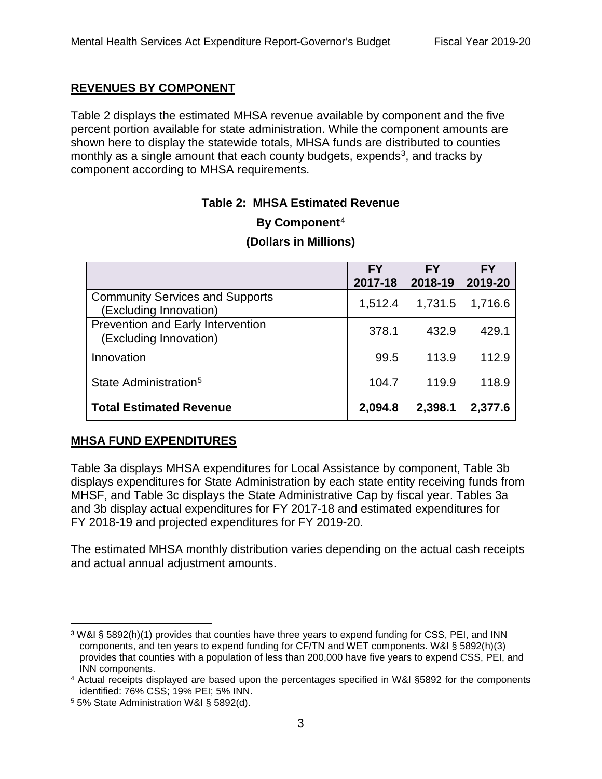## **REVENUES BY COMPONENT**  <u>REVENUES BY COMPONENT</u>

Table 2 displays the estimated MHSA revenue available by component and the five percent portion available for state administration. While the component amounts are shown here to display the statewide totals, MHSA funds are distributed to counties monthly as a single amount that each county budgets, expends<sup>3</sup>, and tracks by component according to MHSA requirements.

## Table 2: MHSA Estimated Revenue

|                                                                    | <b>FY</b><br>2017-18 | <b>FY</b><br>2018-19 | <b>FY</b><br>2019-20 |
|--------------------------------------------------------------------|----------------------|----------------------|----------------------|
| <b>Community Services and Supports</b><br>(Excluding Innovation)   | 1,512.4              | 1,731.5              | 1,716.6              |
| <b>Prevention and Early Intervention</b><br>(Excluding Innovation) | 378.1                | 432.9                | 429.1                |
| Innovation                                                         | 99.5                 | 113.9                | 112.9                |
| State Administration <sup>5</sup>                                  | 104.7                | 119.9                | 118.9                |
| <b>Total Estimated Revenue</b>                                     | 2,094.8              | 2,398.1              | 2,377.6              |

# **By Component**<sup>4</sup> **(Dollars in Millions)**

## **MHSA FUND EXPENDITURES**

Table 3a displays MHSA expenditures for Local Assistance by component, Table 3b displays expenditures for State Administration by each state entity receiving funds from MHSF, and Table 3c displays the State Administrative Cap by fiscal year. Tables 3a and 3b display actual expenditures for FY 2017-18 and estimated expenditures for FY 2018-19 and projected expenditures for FY 2019-20.

The estimated MHSA monthly distribution varies depending on the actual cash receipts and actual annual adjustment amounts.

<sup>&</sup>lt;u>.</u> 3 W&I § 5892(h)(1) provides that counties have three years to expend funding for CSS, PEI, and INN components, and ten years to expend funding for CF/TN and WET components. W&I § 5892(h)(3) provides that counties with a population of less than 200,000 have five years to expend CSS, PEI, and

<sup>&</sup>lt;sup>4</sup> Actual receipts displayed are based upon the percentages specified in W&I §5892 for the components

identified: 76% CSS; 19% PEI; 5% INN. 5 5% State Administration W&I § 5892(d).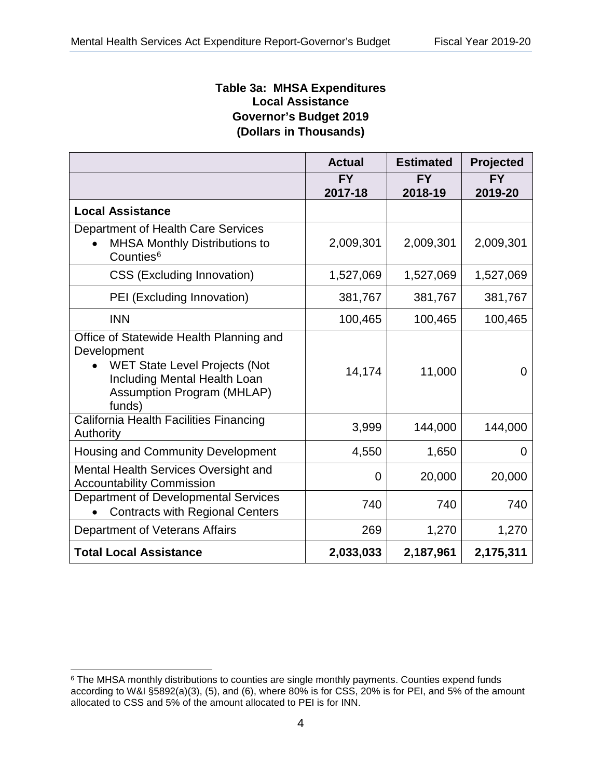### **Table 3a: MHSA Expenditures Local Assistance Governor's Budget 2019 (Dollars in Thousands)**

|                                                                                                                                                                        | <b>Actual</b> | <b>Estimated</b> | Projected |
|------------------------------------------------------------------------------------------------------------------------------------------------------------------------|---------------|------------------|-----------|
|                                                                                                                                                                        | <b>FY</b>     | <b>FY</b>        | <b>FY</b> |
|                                                                                                                                                                        | 2017-18       | 2018-19          | 2019-20   |
| <b>Local Assistance</b>                                                                                                                                                |               |                  |           |
| Department of Health Care Services<br><b>MHSA Monthly Distributions to</b><br>Counties <sup>6</sup>                                                                    | 2,009,301     | 2,009,301        | 2,009,301 |
| <b>CSS (Excluding Innovation)</b>                                                                                                                                      | 1,527,069     | 1,527,069        | 1,527,069 |
| PEI (Excluding Innovation)                                                                                                                                             | 381,767       | 381,767          | 381,767   |
| <b>INN</b>                                                                                                                                                             | 100,465       | 100,465          | 100,465   |
| Office of Statewide Health Planning and<br>Development<br><b>WET State Level Projects (Not</b><br>Including Mental Health Loan<br>Assumption Program (MHLAP)<br>funds) | 14,174        | 11,000           | $\Omega$  |
| California Health Facilities Financing<br>Authority                                                                                                                    | 3,999         | 144,000          | 144,000   |
| <b>Housing and Community Development</b>                                                                                                                               | 4,550         | 1,650            | 0         |
| Mental Health Services Oversight and<br><b>Accountability Commission</b>                                                                                               | 0             | 20,000           | 20,000    |
| Department of Developmental Services<br><b>Contracts with Regional Centers</b>                                                                                         | 740           | 740              | 740       |
| Department of Veterans Affairs                                                                                                                                         | 269           | 1,270            | 1,270     |
| <b>Total Local Assistance</b>                                                                                                                                          | 2,033,033     | 2,187,961        | 2,175,311 |

 $\overline{a}$ <sup>6</sup> The MHSA monthly distributions to counties are single monthly payments. Counties expend funds according to W&I  $\S5892(a)(3)$ , (5), and (6), where 80% is for CSS, 20% is for PEI, and 5% of the amount allocated to CSS and 5% of the amount allocated to PEI is for INN.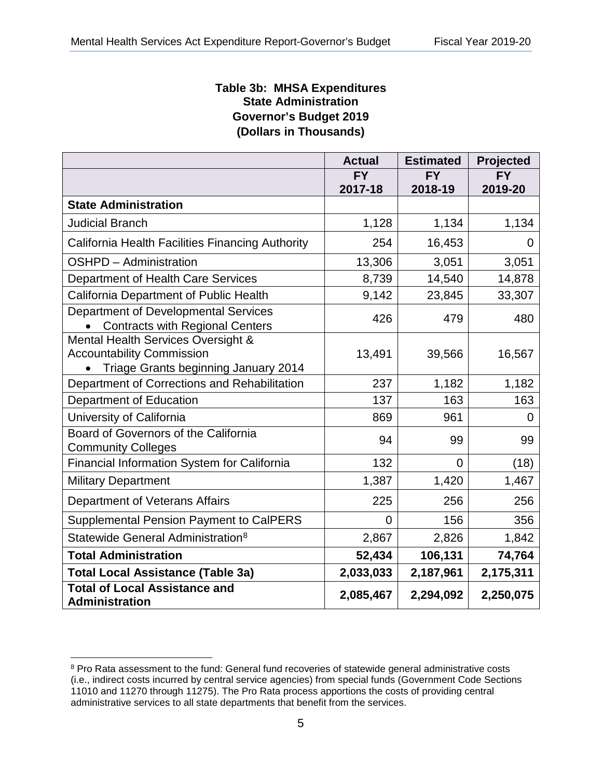### **Table 3b: MHSA Expenditures State Administration Governor's Budget 2019 (Dollars in Thousands)**

|                                                                                                                | <b>Actual</b> | <b>Estimated</b> | Projected |
|----------------------------------------------------------------------------------------------------------------|---------------|------------------|-----------|
|                                                                                                                | <b>FY</b>     | <b>FY</b>        | <b>FY</b> |
|                                                                                                                | 2017-18       | 2018-19          | 2019-20   |
| <b>State Administration</b>                                                                                    |               |                  |           |
| <b>Judicial Branch</b>                                                                                         | 1,128         | 1,134            | 1,134     |
| California Health Facilities Financing Authority                                                               | 254           | 16,453           | 0         |
| OSHPD - Administration                                                                                         | 13,306        | 3,051            | 3,051     |
| Department of Health Care Services                                                                             | 8,739         | 14,540           | 14,878    |
| California Department of Public Health                                                                         | 9,142         | 23,845           | 33,307    |
| Department of Developmental Services<br><b>Contracts with Regional Centers</b>                                 | 426           | 479              | 480       |
| Mental Health Services Oversight &<br><b>Accountability Commission</b><br>Triage Grants beginning January 2014 | 13,491        | 39,566           | 16,567    |
| Department of Corrections and Rehabilitation                                                                   | 237           | 1,182            | 1,182     |
| <b>Department of Education</b>                                                                                 | 137           | 163              | 163       |
| University of California                                                                                       | 869           | 961              | 0         |
| Board of Governors of the California<br><b>Community Colleges</b>                                              | 94            | 99               | 99        |
| Financial Information System for California                                                                    | 132           | $\Omega$         | (18)      |
| <b>Military Department</b>                                                                                     | 1,387         | 1,420            | 1,467     |
| Department of Veterans Affairs                                                                                 | 225           | 256              | 256       |
| <b>Supplemental Pension Payment to CalPERS</b>                                                                 | 0             | 156              | 356       |
| Statewide General Administration <sup>8</sup>                                                                  | 2,867         | 2,826            | 1,842     |
| <b>Total Administration</b>                                                                                    | 52,434        | 106,131          | 74,764    |
| <b>Total Local Assistance (Table 3a)</b>                                                                       | 2,033,033     | 2,187,961        | 2,175,311 |
| <b>Total of Local Assistance and</b><br>Administration                                                         | 2,085,467     | 2,294,092        | 2,250,075 |

 $\overline{a}$ 

<sup>&</sup>lt;sup>8</sup> Pro Rata assessment to the fund: General fund recoveries of statewide general administrative costs (i.e., indirect costs incurred by central service agencies) from special funds (Government Code Sections 11010 and 11270 through 11275). The Pro Rata process apportions the costs of providing central administrative services to all state departments that benefit from the services.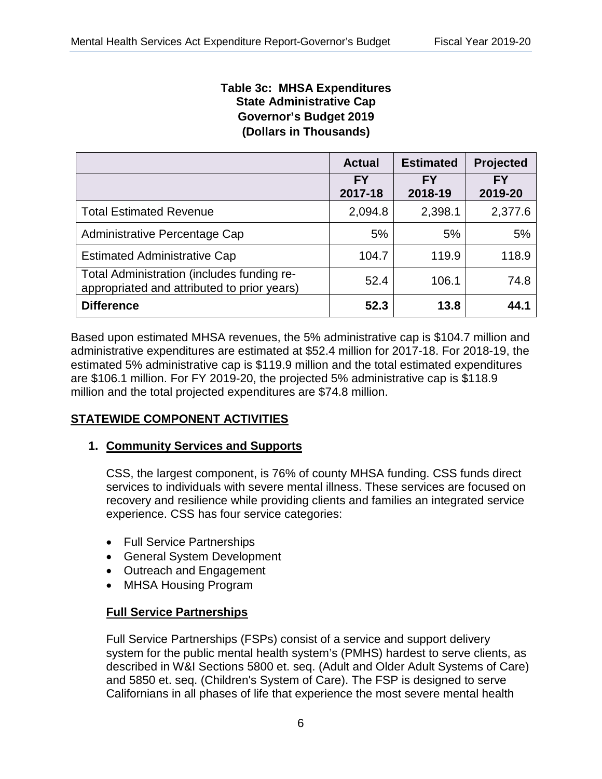### **Table 3c: MHSA Expenditures State Administrative Cap Governor's Budget 2019 (Dollars in Thousands)**

|                                                                                           | <b>Actual</b>        | <b>Estimated</b>     | <b>Projected</b>     |
|-------------------------------------------------------------------------------------------|----------------------|----------------------|----------------------|
|                                                                                           | <b>FY</b><br>2017-18 | <b>FY</b><br>2018-19 | <b>FY</b><br>2019-20 |
| <b>Total Estimated Revenue</b>                                                            | 2,094.8              | 2,398.1              | 2,377.6              |
| Administrative Percentage Cap                                                             | 5%                   | 5%                   | 5%                   |
| <b>Estimated Administrative Cap</b>                                                       | 104.7                | 119.9                | 118.9                |
| Total Administration (includes funding re-<br>appropriated and attributed to prior years) | 52.4                 | 106.1                | 74.8                 |
| <b>Difference</b>                                                                         | 52.3                 | 13.8                 | 44.1                 |

Based upon estimated MHSA revenues, the 5% administrative cap is \$104.7 million and administrative expenditures are estimated at \$52.4 million for 2017-18. For 2018-19, the estimated 5% administrative cap is \$119.9 million and the total estimated expenditures are \$106.1 million. For FY 2019-20, the projected 5% administrative cap is \$118.9 million and the total projected expenditures are \$74.8 million.

## **STATEWIDE COMPONENT ACTIVITIES**  <u>STATEWIDE COMPONENT ACTIVITIES</u>

## **1. Community Services and Supports**  1. <u>Community Services and Supports</u>

CSS, the largest component, is 76% of county MHSA funding. CSS funds direct services to individuals with severe mental illness. These services are focused on recovery and resilience while providing clients and families an integrated service experience. CSS has four service categories:

- Full Service Partnerships
- General System Development
- Outreach and Engagement
- MHSA Housing Program

## **Full Service Partnerships**  <u>Full Service Partnerships</u>

Full Service Partnerships (FSPs) consist of a service and support delivery system for the public mental health system's (PMHS) hardest to serve clients, as described in W&I Sections 5800 et. seq. (Adult and Older Adult Systems of Care) absorbed in their bestiems sector off. seq. (Nearly and Older Addit Bystems of Bart<br>and 5850 et. seq. (Children's System of Care). The FSP is designed to serve Californians in all phases of life that experience the most severe mental health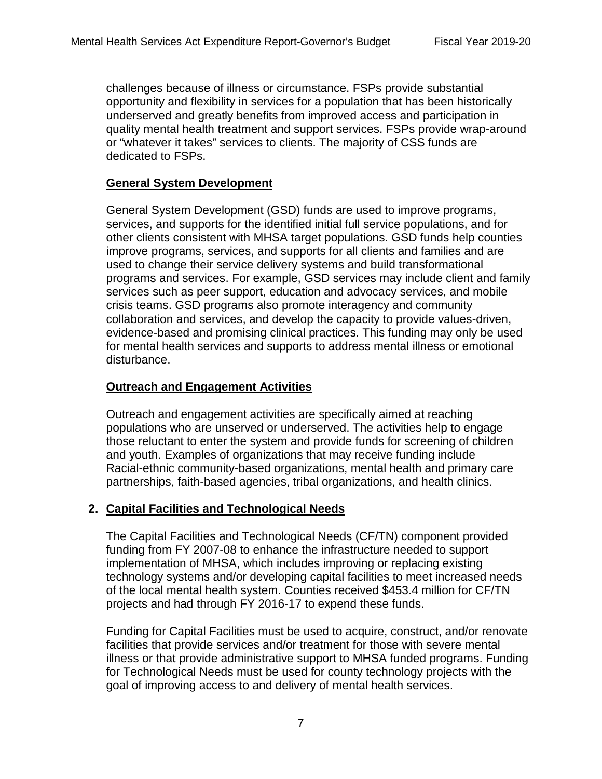challenges because of illness or circumstance. FSPs provide substantial opportunity and flexibility in services for a population that has been historically underserved and greatly benefits from improved access and participation in quality mental health treatment and support services. FSPs provide wrap-around or "whatever it takes" services to clients. The majority of CSS funds are dedicated to FSPs.

### **General System Development**  <u>General System Development</u>

General System Development (GSD) funds are used to improve programs, services, and supports for the identified initial full service populations, and for other clients consistent with MHSA target populations. GSD funds help counties improve programs, services, and supports for all clients and families and are used to change their service delivery systems and build transformational programs and services. For example, GSD services may include client and family services such as peer support, education and advocacy services, and mobile crisis teams. GSD programs also promote interagency and community collaboration and services, and develop the capacity to provide values-driven, evidence-based and promising clinical practices. This funding may only be used for mental health services and supports to address mental illness or emotional disturbance.

### **Outreach and Engagement Activities**  <u>Outreach and Engagement Activities</u>

Outreach and engagement activities are specifically aimed at reaching populations who are unserved or underserved. The activities help to engage those reluctant to enter the system and provide funds for screening of children and youth. Examples of organizations that may receive funding include Racial-ethnic community-based organizations, mental health and primary care partnerships, faith-based agencies, tribal organizations, and health clinics.

#### **2. Capital Facilities and Technological Needs**  <u>2. Capital Facilities and Technological Needs</u>

The Capital Facilities and Technological Needs (CF/TN) component provided funding from FY 2007-08 to enhance the infrastructure needed to support implementation of MHSA, which includes improving or replacing existing technology systems and/or developing capital facilities to meet increased needs of the local mental health system. Counties received \$453.4 million for CF/TN projects and had through FY 2016-17 to expend these funds.

Funding for Capital Facilities must be used to acquire, construct, and/or renovate facilities that provide services and/or treatment for those with severe mental illness or that provide administrative support to MHSA funded programs. Funding for Technological Needs must be used for county technology projects with the goal of improving access to and delivery of mental health services.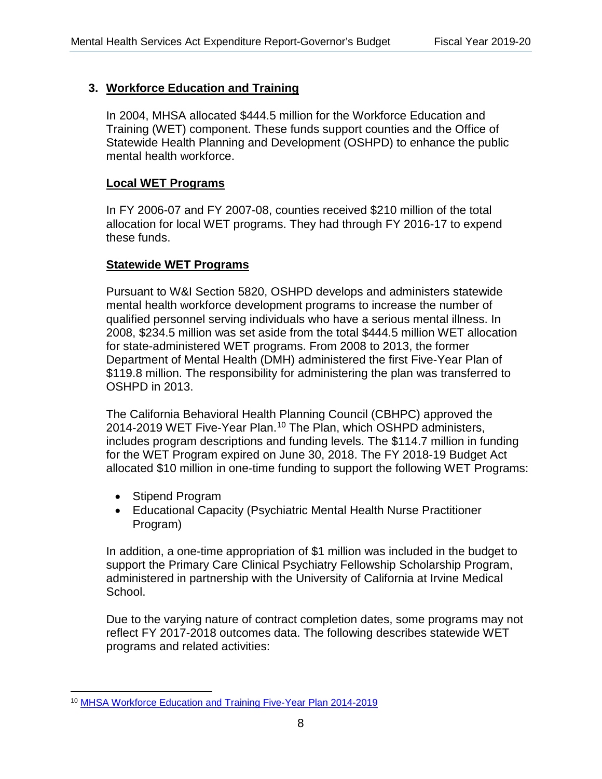## **3. Workforce Education and Training**  <u>3. Workforce Education and Training</u>

 mental health workforce. In 2004, MHSA allocated \$444.5 million for the Workforce Education and Training (WET) component. These funds support counties and the Office of Statewide Health Planning and Development (OSHPD) to enhance the public

#### **Local WET Programs**  <u>Local WET Programs</u>

In FY 2006-07 and FY 2007-08, counties received \$210 million of the total allocation for local WET programs. They had through FY 2016-17 to expend these funds.

## **Statewide WET Programs**  <u>Statewide WET Programs</u>

Pursuant to W&I Section 5820, OSHPD develops and administers statewide mental health workforce development programs to increase the number of qualified personnel serving individuals who have a serious mental illness. In 2008, \$234.5 million was set aside from the total \$444.5 million WET allocation for state-administered WET programs. From 2008 to 2013, the former Department of Mental Health (DMH) administered the first Five-Year Plan of \$119.8 million. The responsibility for administering the plan was transferred to OSHPD in 2013.

The California Behavioral Health Planning Council (CBHPC) approved the 2014-2019 WET Five-Year Plan.<sup>10</sup> The Plan, which OSHPD administers, includes program descriptions and funding levels. The \$114.7 million in funding includes program descriptions and funding levels. The \$114.7 million in funding for the WET Program expired on June 30, 2018. The FY 2018-19 Budget Act allocated \$10 million in one-time funding to support the following WET Programs:  $\mathbf{1}_{\mathbf{1}_{\mathbf{1}}}$  million in one-time funding to support the following WET  $\mathbf{1}_{\mathbf{1}}$ 

- Stipend Program
- Educational Capacity (Psychiatric Mental Health Nurse Practitioner Program)

In addition, a one-time appropriation of \$1 million was included in the budget to support the Primary Care Clinical Psychiatry Fellowship Scholarship Program, administered in partnership with the University of California at Irvine Medical School.

Due to the varying nature of contract completion dates, some programs may not reflect FY 2017-2018 outcomes data. The following describes statewide WET programs and related activities:

 $\overline{a}$ 10 MHSA Workforce Education and Training Five-Year Plan 2014-2019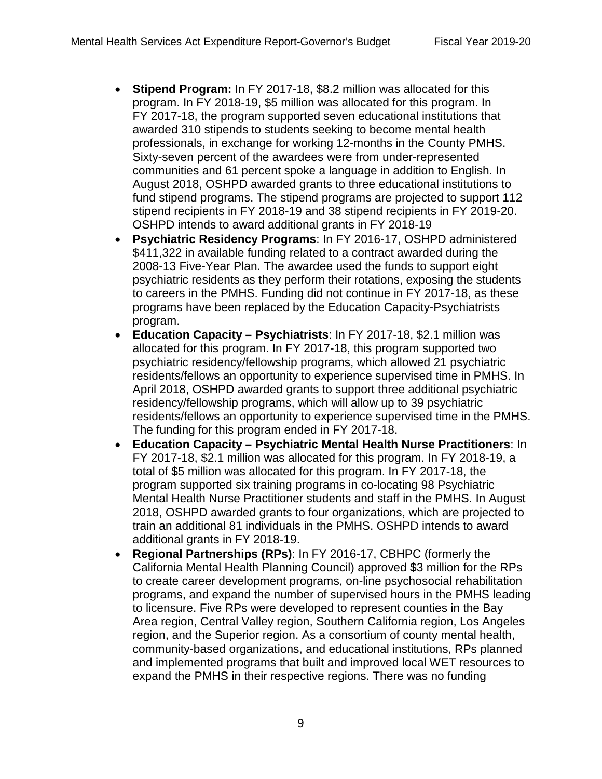- **Stipend Program:** In FY 2017-18, \$8.2 million was allocated for this program. In FY 2018-19, \$5 million was allocated for this program. In FY 2017-18, the program supported seven educational institutions that awarded 310 stipends to students seeking to become mental health professionals, in exchange for working 12-months in the County PMHS. Sixty-seven percent of the awardees were from under-represented communities and 61 percent spoke a language in addition to English. In August 2018, OSHPD awarded grants to three educational institutions to fund stipend programs. The stipend programs are projected to support 112 stipend recipients in FY 2018-19 and 38 stipend recipients in FY 2019-20. OSHPD intends to award additional grants in FY 2018-19
- **Psychiatric Residency Programs**: In FY 2016-17, OSHPD administered \$411,322 in available funding related to a contract awarded during the 2008-13 Five-Year Plan. The awardee used the funds to support eight psychiatric residents as they perform their rotations, exposing the students to careers in the PMHS. Funding did not continue in FY 2017-18, as these programs have been replaced by the Education Capacity-Psychiatrists program.
- **Education Capacity Psychiatrists**: In FY 2017-18, \$2.1 million was allocated for this program. In FY 2017-18, this program supported two psychiatric residency/fellowship programs, which allowed 21 psychiatric residents/fellows an opportunity to experience supervised time in PMHS. In April 2018, OSHPD awarded grants to support three additional psychiatric residency/fellowship programs, which will allow up to 39 psychiatric residents/fellows an opportunity to experience supervised time in the PMHS. The funding for this program ended in FY 2017-18.
- **Education Capacity Psychiatric Mental Health Nurse Practitioners**: In FY 2017-18, \$2.1 million was allocated for this program. In FY 2018-19, a total of \$5 million was allocated for this program. In FY 2017-18, the program supported six training programs in co-locating 98 Psychiatric Mental Health Nurse Practitioner students and staff in the PMHS. In August 2018, OSHPD awarded grants to four organizations, which are projected to train an additional 81 individuals in the PMHS. OSHPD intends to award additional grants in FY 2018-19.
- **Regional Partnerships (RPs)**: In FY 2016-17, CBHPC (formerly the California Mental Health Planning Council) approved \$3 million for the RPs Uniformia memail realin't familing Council) approved \$3 million for the RPs to create career development programs, on-line psychosocial rehabilitation programs, and expand the number of supervised hours in the PMHS leading to licensure. Five RPs were developed to represent counties in the Bay Area region, Central Valley region, Southern California region, Los Angeles region, and the Superior region. As a consortium of county mental health, community-based organizations, and educational institutions, RPs planned educational institutions, and educational institutions, RPs planned and implemented programs that built and improved local WET resources to expand the PMHS in their respective regions. There was no funding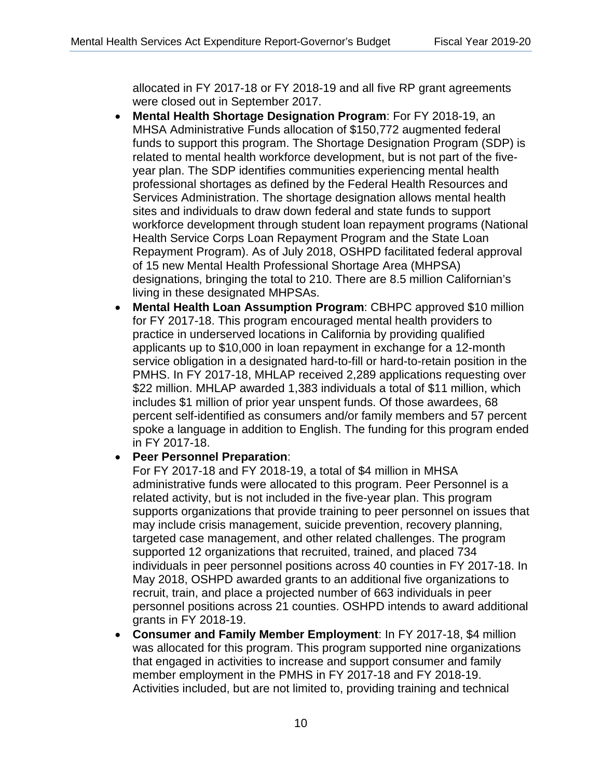allocated in FY 2017-18 or FY 2018-19 and all five RP grant agreements were closed out in September 2017.

- **Mental Health Shortage Designation Program**: For FY 2018-19, an MHSA Administrative Funds allocation of \$150,772 augmented federal funds to support this program. The Shortage Designation Program (SDP) is related to mental health workforce development, but is not part of the fiveyear plan. The SDP identifies communities experiencing mental health professional shortages as defined by the Federal Health Resources and Services Administration. The shortage designation allows mental health sites and individuals to draw down federal and state funds to support workforce development through student loan repayment programs (National Health Service Corps Loan Repayment Program and the State Loan Repayment Program). As of July 2018, OSHPD facilitated federal approval of 15 new Mental Health Professional Shortage Area (MHPSA) designations, bringing the total to 210. There are 8.5 million Californian's living in these designated MHPSAs.
- **Mental Health Loan Assumption Program**: CBHPC approved \$10 million for FY 2017-18. This program encouraged mental health providers to practice in underserved locations in California by providing qualified applicants up to \$10,000 in loan repayment in exchange for a 12-month service obligation in a designated hard-to-fill or hard-to-retain position in the PMHS. In FY 2017-18, MHLAP received 2,289 applications requesting over \$22 million. MHLAP awarded 1,383 individuals a total of \$11 million, which includes \$1 million of prior year unspent funds. Of those awardees, 68 percent self-identified as consumers and/or family members and 57 percent spoke a language in addition to English. The funding for this program ended in FY 2017-18.

### • **Peer Personnel Preparation**:

For FY 2017-18 and FY 2018-19, a total of \$4 million in MHSA administrative funds were allocated to this program. Peer Personnel is a related activity, but is not included in the five-year plan. This program supports organizations that provide training to peer personnel on issues that may include crisis management, suicide prevention, recovery planning, targeted case management, and other related challenges. The program supported 12 organizations that recruited, trained, and placed 734 individuals in peer personnel positions across 40 counties in FY 2017-18. In May 2018, OSHPD awarded grants to an additional five organizations to recruit, train, and place a projected number of 663 individuals in peer personnel positions across 21 counties. OSHPD intends to award additional grants in FY 2018-19.

• **Consumer and Family Member Employment**: In FY 2017-18, \$4 million was allocated for this program. This program supported nine organizations that engaged in activities to increase and support consumer and family member employment in the PMHS in FY 2017-18 and FY 2018-19. Activities included, but are not limited to, providing training and technical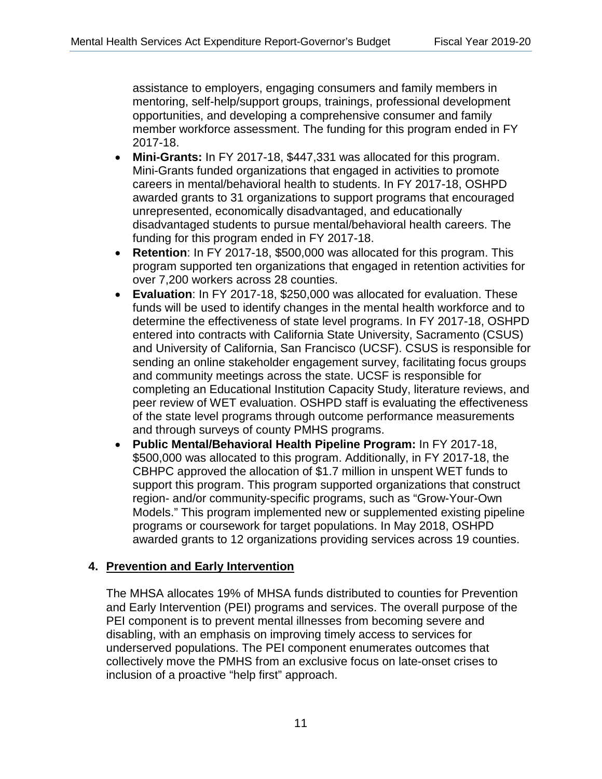assistance to employers, engaging consumers and family members in mentoring, self-help/support groups, trainings, professional development opportunities, and developing a comprehensive consumer and family member workforce assessment. The funding for this program ended in FY 2017-18.

- **Mini-Grants:** In FY 2017-18, \$447,331 was allocated for this program. Mini-Grants funded organizations that engaged in activities to promote careers in mental/behavioral health to students. In FY 2017-18, OSHPD awarded grants to 31 organizations to support programs that encouraged unrepresented, economically disadvantaged, and educationally disadvantaged students to pursue mental/behavioral health careers. The funding for this program ended in FY 2017-18.
- **Retention**: In FY 2017-18, \$500,000 was allocated for this program. This program supported ten organizations that engaged in retention activities for over 7,200 workers across 28 counties.
- and through surveys of county PMHS programs. • **Evaluation**: In FY 2017-18, \$250,000 was allocated for evaluation. These funds will be used to identify changes in the mental health workforce and to determine the effectiveness of state level programs. In FY 2017-18, OSHPD entered into contracts with California State University, Sacramento (CSUS) and University of California, San Francisco (UCSF). CSUS is responsible for sending an online stakeholder engagement survey, facilitating focus groups and community meetings across the state. UCSF is responsible for completing an Educational Institution Capacity Study, literature reviews, and peer review of WET evaluation. OSHPD staff is evaluating the effectiveness of the state level programs through outcome performance measurements
- **Public Mental/Behavioral Health Pipeline Program:** In FY 2017-18, \$500,000 was allocated to this program. Additionally, in FY 2017-18, the CBHPC approved the allocation of \$1.7 million in unspent WET funds to support this program. This program supported organizations that construct region- and/or community-specific programs, such as "Grow-Your-Own Models." This program implemented new or supplemented existing pipeline programs or coursework for target populations. In May 2018, OSHPD awarded grants to 12 organizations providing services across 19 counties.

### **4. Prevention and Early Intervention**  <u>4. Prevention and Early Intervention</u>

The MHSA allocates 19% of MHSA funds distributed to counties for Prevention and Early Intervention (PEI) programs and services. The overall purpose of the PEI component is to prevent mental illnesses from becoming severe and disabling, with an emphasis on improving timely access to services for underserved populations. The PEI component enumerates outcomes that collectively move the PMHS from an exclusive focus on late-onset crises to inclusion of a proactive "help first" approach.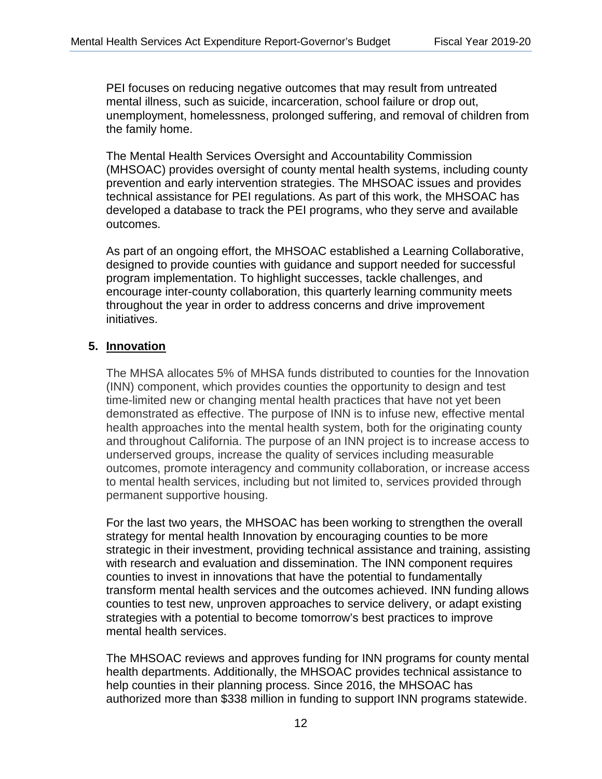PEI focuses on reducing negative outcomes that may result from untreated mental illness, such as suicide, incarceration, school failure or drop out, unemployment, homelessness, prolonged suffering, and removal of children from the family home.

outcomes. The Mental Health Services Oversight and Accountability Commission (MHSOAC) provides oversight of county mental health systems, including county prevention and early intervention strategies. The MHSOAC issues and provides technical assistance for PEI regulations. As part of this work, the MHSOAC has developed a database to track the PEI programs, who they serve and available

As part of an ongoing effort, the MHSOAC established a Learning Collaborative, designed to provide counties with guidance and support needed for successful program implementation. To highlight successes, tackle challenges, and encourage inter-county collaboration, this quarterly learning community meets throughout the year in order to address concerns and drive improvement initiatives.

### **5. Innovation**  <u>5. Innovation</u>

The MHSA allocates 5% of MHSA funds distributed to counties for the Innovation (INN) component, which provides counties the opportunity to design and test time-limited new or changing mental health practices that have not yet been demonstrated as effective. The purpose of INN is to infuse new, effective mental health approaches into the mental health system, both for the originating county and throughout California. The purpose of an INN project is to increase access to underserved groups, increase the quality of services including measurable outcomes, promote interagency and community collaboration, or increase access to mental health services, including but not limited to, services provided through permanent supportive housing.

mental health services. For the last two years, the MHSOAC has been working to strengthen the overall strategy for mental health Innovation by encouraging counties to be more strategic in their investment, providing technical assistance and training, assisting with research and evaluation and dissemination. The INN component requires counties to invest in innovations that have the potential to fundamentally transform mental health services and the outcomes achieved. INN funding allows counties to test new, unproven approaches to service delivery, or adapt existing strategies with a potential to become tomorrow's best practices to improve

The MHSOAC reviews and approves funding for INN programs for county mental health departments. Additionally, the MHSOAC provides technical assistance to help counties in their planning process. Since 2016, the MHSOAC has authorized more than \$338 million in funding to support INN programs statewide.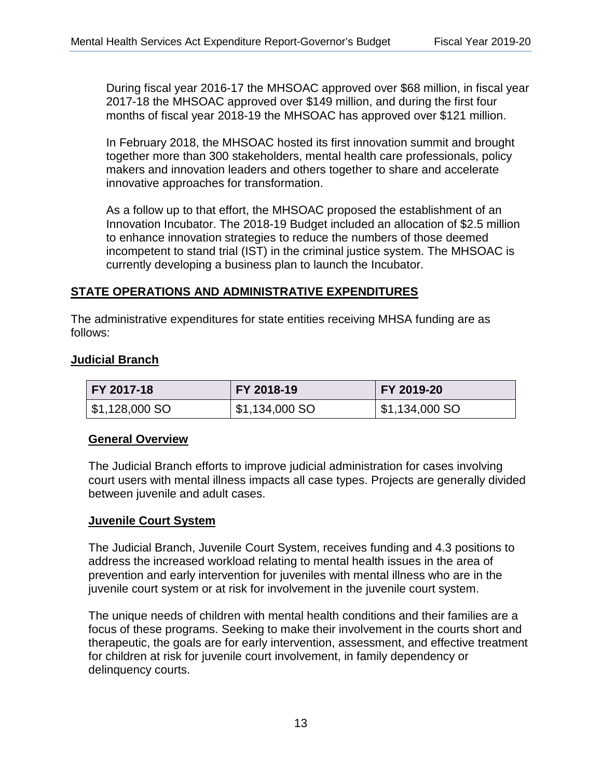During fiscal year 2016-17 the MHSOAC approved over \$68 million, in fiscal year 2017-18 the MHSOAC approved over \$149 million, and during the first four months of fiscal year 2018-19 the MHSOAC has approved over \$121 million.

In February 2018, the MHSOAC hosted its first innovation summit and brought together more than 300 stakeholders, mental health care professionals, policy makers and innovation leaders and others together to share and accelerate innovative approaches for transformation.

 currently developing a business plan to launch the Incubator. As a follow up to that effort, the MHSOAC proposed the establishment of an Innovation Incubator. The 2018-19 Budget included an allocation of \$2.5 million to enhance innovation strategies to reduce the numbers of those deemed incompetent to stand trial (IST) in the criminal justice system. The MHSOAC is

## **STATE OPERATIONS AND ADMINISTRATIVE EXPENDITURES**  <u>STATE OPERATIONS AND ADMINISTRATIVE EXPENDITURES</u>

The administrative expenditures for state entities receiving MHSA funding are as follows:

#### **Judicial Branch**

| FY 2017-18     | FY 2018-19     | FY 2019-20     |
|----------------|----------------|----------------|
| \$1,128,000 SO | \$1,134,000 SO | \$1,134,000 SO |

#### **General Overview**

The Judicial Branch efforts to improve judicial administration for cases involving court users with mental illness impacts all case types. Projects are generally divided between juvenile and adult cases.

### **Juvenile Court System**  <u>Juvenile Court System</u>

juvenile court system or at risk for involvement in the juvenile court system. The Judicial Branch, Juvenile Court System, receives funding and 4.3 positions to address the increased workload relating to mental health issues in the area of prevention and early intervention for juveniles with mental illness who are in the

The unique needs of children with mental health conditions and their families are a focus of these programs. Seeking to make their involvement in the courts short and therapeutic, the goals are for early intervention, assessment, and effective treatment for children at risk for juvenile court involvement, in family dependency or delinquency courts.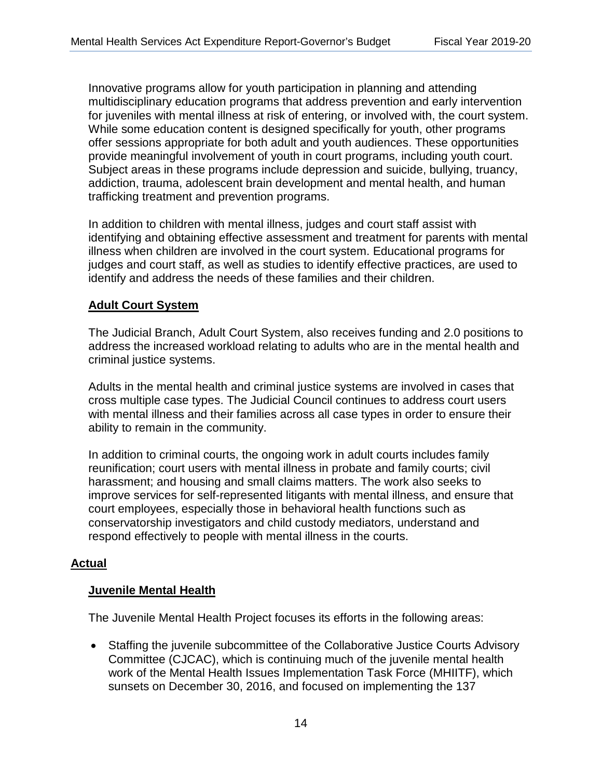Innovative programs allow for youth participation in planning and attending multidisciplinary education programs that address prevention and early intervention for juveniles with mental illness at risk of entering, or involved with, the court system. While some education content is designed specifically for youth, other programs offer sessions appropriate for both adult and youth audiences. These opportunities provide meaningful involvement of youth in court programs, including youth court. Subject areas in these programs include depression and suicide, bullying, truancy, addiction, trauma, adolescent brain development and mental health, and human trafficking treatment and prevention programs.

In addition to children with mental illness, judges and court staff assist with identifying and obtaining effective assessment and treatment for parents with mental illness when children are involved in the court system. Educational programs for judges and court staff, as well as studies to identify effective practices, are used to identify and address the needs of these families and their children.

#### **Adult Court System**  <u>Adult Court System</u>

The Judicial Branch, Adult Court System, also receives funding and 2.0 positions to address the increased workload relating to adults who are in the mental health and criminal justice systems.

Adults in the mental health and criminal justice systems are involved in cases that cross multiple case types. The Judicial Council continues to address court users with mental illness and their families across all case types in order to ensure their ability to remain in the community.

In addition to criminal courts, the ongoing work in adult courts includes family reunification; court users with mental illness in probate and family courts; civil harassment; and housing and small claims matters. The work also seeks to improve services for self-represented litigants with mental illness, and ensure that court employees, especially those in behavioral health functions such as conservatorship investigators and child custody mediators, understand and respond effectively to people with mental illness in the courts.

### **Actual**  <u>Actual</u>

### **Juvenile Mental Health**  <u>Juvenile Mental Health</u>

The Juvenile Mental Health Project focuses its efforts in the following areas:

• Staffing the juvenile subcommittee of the Collaborative Justice Courts Advisory Committee (CJCAC), which is continuing much of the juvenile mental health work of the Mental Health Issues Implementation Task Force (MHIITF), which sunsets on December 30, 2016, and focused on implementing the 137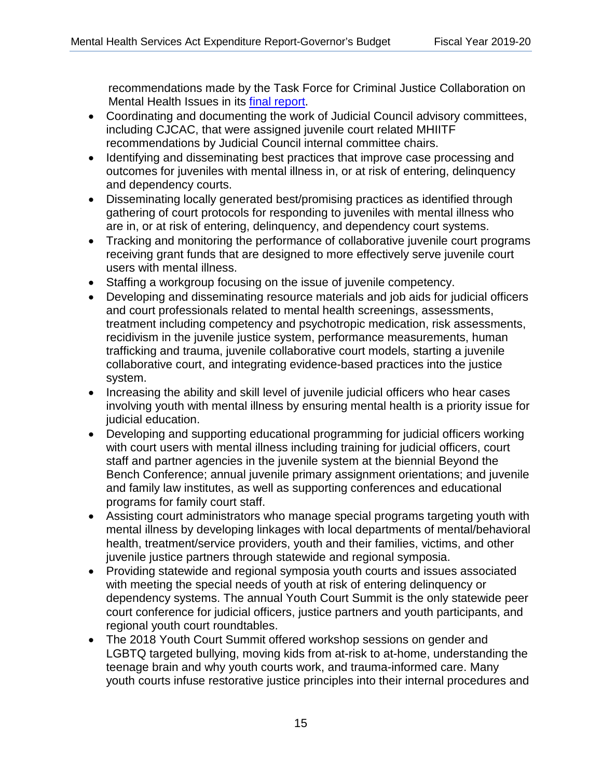recommendations made by the Task Force for Criminal Justice Collaboration on Mental Health Issues in its [final report.](http://www.courts.ca.gov/documents/MHIITF-Final-Report.pdf) 

- Coordinating and documenting the work of Judicial Council advisory committees, including CJCAC, that were assigned juvenile court related MHIITF recommendations by Judicial Council internal committee chairs.
- Identifying and disseminating best practices that improve case processing and outcomes for juveniles with mental illness in, or at risk of entering, delinquency and dependency courts.
- Disseminating locally generated best/promising practices as identified through gathering of court protocols for responding to juveniles with mental illness who are in, or at risk of entering, delinquency, and dependency court systems.
- Tracking and monitoring the performance of collaborative juvenile court programs receiving grant funds that are designed to more effectively serve juvenile court users with mental illness.
- Staffing a workgroup focusing on the issue of juvenile competency.
- Developing and disseminating resource materials and job aids for judicial officers and court professionals related to mental health screenings, assessments, treatment including competency and psychotropic medication, risk assessments, recidivism in the juvenile justice system, performance measurements, human trafficking and trauma, juvenile collaborative court models, starting a juvenile collaborative court, and integrating evidence-based practices into the justice system.
- Increasing the ability and skill level of juvenile judicial officers who hear cases involving youth with mental illness by ensuring mental health is a priority issue for judicial education.
- Developing and supporting educational programming for judicial officers working with court users with mental illness including training for judicial officers, court staff and partner agencies in the juvenile system at the biennial Beyond the Bench Conference; annual juvenile primary assignment orientations; and juvenile and family law institutes, as well as supporting conferences and educational programs for family court staff.
- Assisting court administrators who manage special programs targeting youth with mental illness by developing linkages with local departments of mental/behavioral health, treatment/service providers, youth and their families, victims, and other juvenile justice partners through statewide and regional symposia.
- Providing statewide and regional symposia youth courts and issues associated with meeting the special needs of youth at risk of entering delinquency or dependency systems. The annual Youth Court Summit is the only statewide peer court conference for judicial officers, justice partners and youth participants, and regional youth court roundtables.
- The 2018 Youth Court Summit offered workshop sessions on gender and LGBTQ targeted bullying, moving kids from at-risk to at-home, understanding the teenage brain and why youth courts work, and trauma-informed care. Many youth courts infuse restorative justice principles into their internal procedures and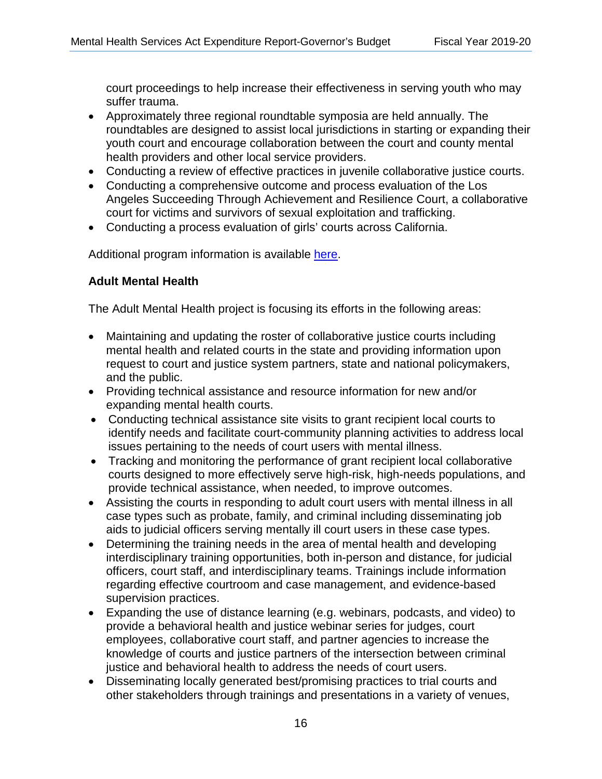court proceedings to help increase their effectiveness in serving youth who may suffer trauma.

- Approximately three regional roundtable symposia are held annually. The roundtables are designed to assist local jurisdictions in starting or expanding their youth court and encourage collaboration between the court and county mental health providers and other local service providers.
- Conducting a review of effective practices in juvenile collaborative justice courts.
- Conducting a comprehensive outcome and process evaluation of the Los Angeles Succeeding Through Achievement and Resilience Court, a collaborative court for victims and survivors of sexual exploitation and trafficking.
- Conducting a process evaluation of girls' courts across California.

Additional program information is available here.

## **Adult Mental Health**  <u>Adult Mental Health</u>

The Adult Mental Health project is focusing its efforts in the following areas:

- Maintaining and updating the roster of collaborative justice courts including mental health and related courts in the state and providing information upon request to court and justice system partners, state and national policymakers, and the public.
- Providing technical assistance and resource information for new and/or expanding mental health courts.
- Conducting technical assistance site visits to grant recipient local courts to identify needs and facilitate court-community planning activities to address local issues pertaining to the needs of court users with mental illness.
- Tracking and monitoring the performance of grant recipient local collaborative courts designed to more effectively serve high-risk, high-needs populations, and provide technical assistance, when needed, to improve outcomes.
- Assisting the courts in responding to adult court users with mental illness in all case types such as probate, family, and criminal including disseminating job aids to judicial officers serving mentally ill court users in these case types.
- Determining the training needs in the area of mental health and developing interdisciplinary training opportunities, both in-person and distance, for judicial officers, court staff, and interdisciplinary teams. Trainings include information regarding effective courtroom and case management, and evidence-based supervision practices.
- Expanding the use of distance learning (e.g. webinars, podcasts, and video) to provide a behavioral health and justice webinar series for judges, court employees, collaborative court staff, and partner agencies to increase the knowledge of courts and justice partners of the intersection between criminal justice and behavioral health to address the needs of court users.
- Disseminating locally generated best/promising practices to trial courts and other stakeholders through trainings and presentations in a variety of venues,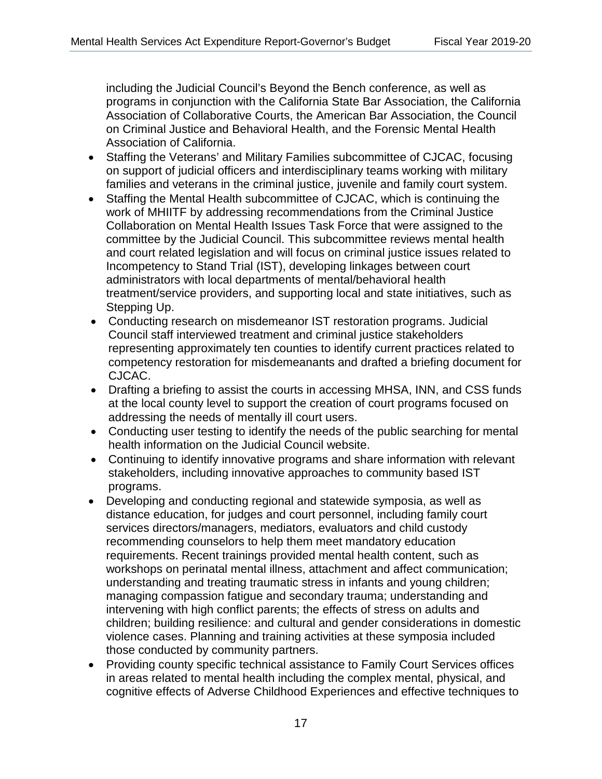including the Judicial Council's Beyond the Bench conference, as well as programs in conjunction with the California State Bar Association, the California<br>Association of Callaborative Causta the Association David in the Cause il Association of Collaborative Courts, the American Bar Association, the Council on Criminal Justice and Behavioral Health, and the Forensic Mental Health Association of California. And the Forensic Mental Health Association of California.

- Staffing the Veterans' and Military Families subcommittee of CJCAC, focusing on support of judicial officers and interdisciplinary teams working with military families and veterans in the criminal justice, juvenile and family court system.
- Staffing the Mental Health subcommittee of CJCAC, which is continuing the work of MHIITF by addressing recommendations from the Criminal Justice Collaboration on Mental Health Issues Task Force that were assigned to the committee by the Judicial Council. This subcommittee reviews mental health and court related legislation and will focus on criminal justice issues related to Incompetency to Stand Trial (IST), developing linkages between court administrators with local departments of mental/behavioral health treatment/service providers, and supporting local and state initiatives, such as Stepping Up.
- Conducting research on misdemeanor IST restoration programs. Judicial Council staff interviewed treatment and criminal justice stakeholders representing approximately ten counties to identify current practices related to competency restoration for misdemeanants and drafted a briefing document for CJCAC.
- Drafting a briefing to assist the courts in accessing MHSA, INN, and CSS funds at the local county level to support the creation of court programs focused on addressing the needs of mentally ill court users.
- Conducting user testing to identify the needs of the public searching for mental health information on the Judicial Council website.
- Continuing to identify innovative programs and share information with relevant stakeholders, including innovative approaches to community based IST programs.
- Developing and conducting regional and statewide symposia, as well as distance education, for judges and court personnel, including family court services directors/managers, mediators, evaluators and child custody recommending counselors to help them meet mandatory education requirements. Recent trainings provided mental health content, such as workshops on perinatal mental illness, attachment and affect communication; understanding and treating traumatic stress in infants and young children; managing compassion fatigue and secondary trauma; understanding and intervening with high conflict parents; the effects of stress on adults and children; building resilience: and cultural and gender considerations in domestic violence cases. Planning and training activities at these symposia included those conducted by community partners.
- Providing county specific technical assistance to Family Court Services offices in areas related to mental health including the complex mental, physical, and In areas related to momal meaning the complex mental, physical, and cognitive effects of Adverse Childhood Experiences and effective techniques to techniques to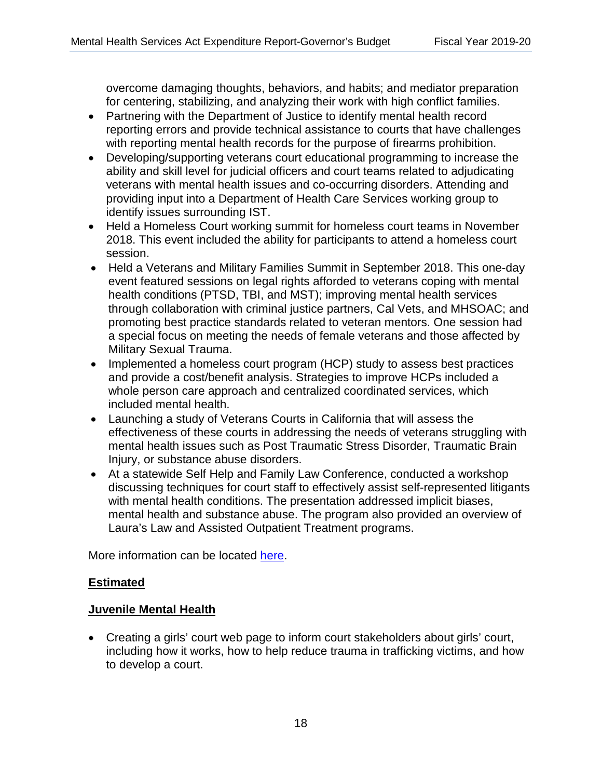overcome damaging thoughts, behaviors, and habits; and mediator preparation for centering, stabilizing, and analyzing their work with high conflict families.

- Partnering with the Department of Justice to identify mental health record reporting errors and provide technical assistance to courts that have challenges with reporting mental health records for the purpose of firearms prohibition.
- Developing/supporting veterans court educational programming to increase the ability and skill level for judicial officers and court teams related to adjudicating veterans with mental health issues and co-occurring disorders. Attending and providing input into a Department of Health Care Services working group to identify issues surrounding IST.
- Held a Homeless Court working summit for homeless court teams in November 2018. This event included the ability for participants to attend a homeless court session.
- Held a Veterans and Military Families Summit in September 2018. This one-day event featured sessions on legal rights afforded to veterans coping with mental health conditions (PTSD, TBI, and MST); improving mental health services through collaboration with criminal justice partners, Cal Vets, and MHSOAC; and promoting best practice standards related to veteran mentors. One session had a special focus on meeting the needs of female veterans and those affected by Military Sexual Trauma.
- Implemented a homeless court program (HCP) study to assess best practices and provide a cost/benefit analysis. Strategies to improve HCPs included a whole person care approach and centralized coordinated services, which included mental health.
- Launching a study of Veterans Courts in California that will assess the effectiveness of these courts in addressing the needs of veterans struggling with mental health issues such as Post Traumatic Stress Disorder, Traumatic Brain Injury, or substance abuse disorders.
- At a statewide Self Help and Family Law Conference, conducted a workshop discussing techniques for court staff to effectively assist self-represented litigants with mental health conditions. The presentation addressed implicit biases, mental health and substance abuse. The program also provided an overview of Laura's Law and Assisted Outpatient Treatment programs.

More information can be located here.

## **Estimated**  <u>Estimated</u>

## **Juvenile Mental Health**  <u>Juvenile Mental Health</u>

• Creating a girls' court web page to inform court stakeholders about girls' court, including how it works, how to help reduce trauma in trafficking victims, and how to develop a court.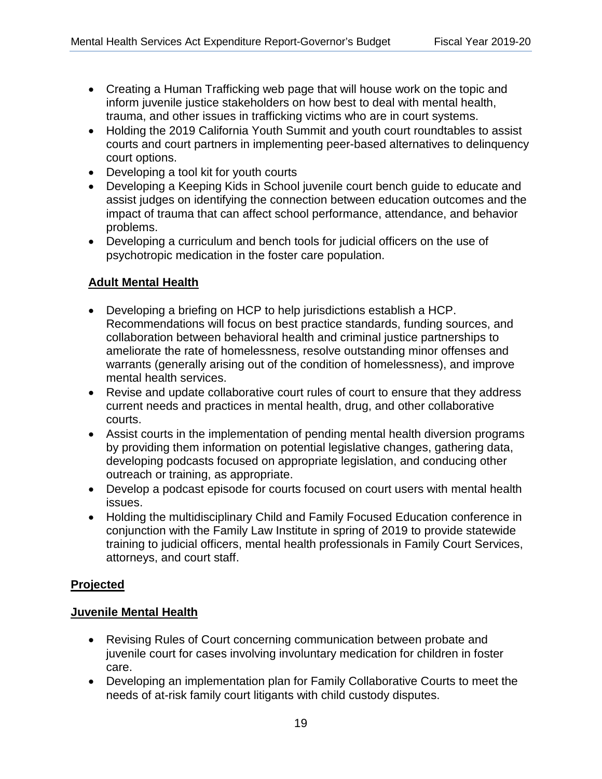- Creating a Human Trafficking web page that will house work on the topic and inform juvenile justice stakeholders on how best to deal with mental health, trauma, and other issues in trafficking victims who are in court systems.
- Holding the 2019 California Youth Summit and youth court roundtables to assist courts and court partners in implementing peer-based alternatives to delinquency court options.
- Developing a tool kit for youth courts
- Developing a Keeping Kids in School juvenile court bench guide to educate and assist judges on identifying the connection between education outcomes and the impact of trauma that can affect school performance, attendance, and behavior problems.
- Developing a curriculum and bench tools for judicial officers on the use of psychotropic medication in the foster care population.

# **Adult Mental Health**  <u>Adult Mental Health</u>

- Developing a briefing on HCP to help jurisdictions establish a HCP. Recommendations will focus on best practice standards, funding sources, and collaboration between behavioral health and criminal justice partnerships to ameliorate the rate of homelessness, resolve outstanding minor offenses and warrants (generally arising out of the condition of homelessness), and improve mental health services.
- Revise and update collaborative court rules of court to ensure that they address current needs and practices in mental health, drug, and other collaborative courts.
- Assist courts in the implementation of pending mental health diversion programs by providing them information on potential legislative changes, gathering data, developing podcasts focused on appropriate legislation, and conducing other outreach or training, as appropriate.
- Develop a podcast episode for courts focused on court users with mental health issues.
- Holding the multidisciplinary Child and Family Focused Education conference in conjunction with the Family Law Institute in spring of 2019 to provide statewide training to judicial officers, mental health professionals in Family Court Services, attorneys, and court staff.

## **Projected**  <u>Projected</u>

## **Juvenile Mental Health**  <u>Juvenile Mental Health</u>

- Revising Rules of Court concerning communication between probate and juvenile court for cases involving involuntary medication for children in foster care.
- needs of at-risk family court litigants with child custody disputes.<br>19 • Developing an implementation plan for Family Collaborative Courts to meet the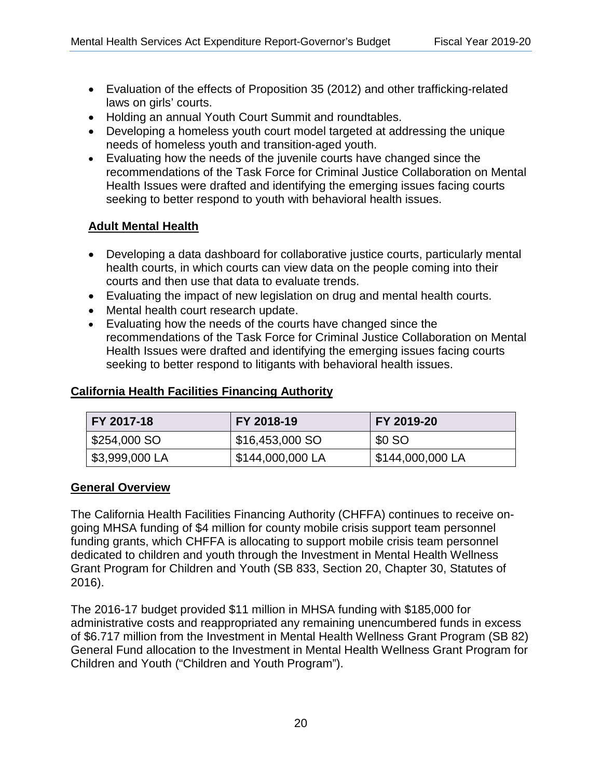- Evaluation of the effects of Proposition 35 (2012) and other trafficking-related laws on girls' courts.
- Holding an annual Youth Court Summit and roundtables.
- Developing a homeless youth court model targeted at addressing the unique needs of homeless youth and transition-aged youth.
- Evaluating how the needs of the juvenile courts have changed since the recommendations of the Task Force for Criminal Justice Collaboration on Mental Health Issues were drafted and identifying the emerging issues facing courts seeking to better respond to youth with behavioral health issues.

## **Adult Mental Health**  <u>Adult Mental Health</u>

- Developing a data dashboard for collaborative justice courts, particularly mental health courts, in which courts can view data on the people coming into their courts and then use that data to evaluate trends.
- Evaluating the impact of new legislation on drug and mental health courts.
- Mental health court research update.
- Evaluating how the needs of the courts have changed since the recommendations of the Task Force for Criminal Justice Collaboration on Mental Health Issues were drafted and identifying the emerging issues facing courts seeking to better respond to litigants with behavioral health issues.

| FY 2017-18    | FY 2018-19       | FY 2019-20      |
|---------------|------------------|-----------------|
| $$254,000$ SO | \$16,453,000 SO  | <b>\$0 SO</b>   |
| 53,999,000 LA | \$144,000,000 LA | 5144,000,000 LA |

## **California Health Facilities Financing Authority**  <u>California Health Facilities Financing Authority</u>

### **General Overview**  <u>General Overview</u>

The California Health Facilities Financing Authority (CHFFA) continues to receive ongoing MHSA funding of \$4 million for county mobile crisis support team personnel funding grants, which CHFFA is allocating to support mobile crisis team personnel dedicated to children and youth through the Investment in Mental Health Wellness Grant Program for Children and Youth (SB 833, Section 20, Chapter 30, Statutes of 2016).

The 2016-17 budget provided \$11 million in MHSA funding with \$185,000 for administrative costs and reappropriated any remaining unencumbered funds in excess of \$6.717 million from the Investment in Mental Health Wellness Grant Program (SB 82) General Fund allocation to the Investment in Mental Health Wellness Grant Program for Children and Youth ("Children and Youth Program").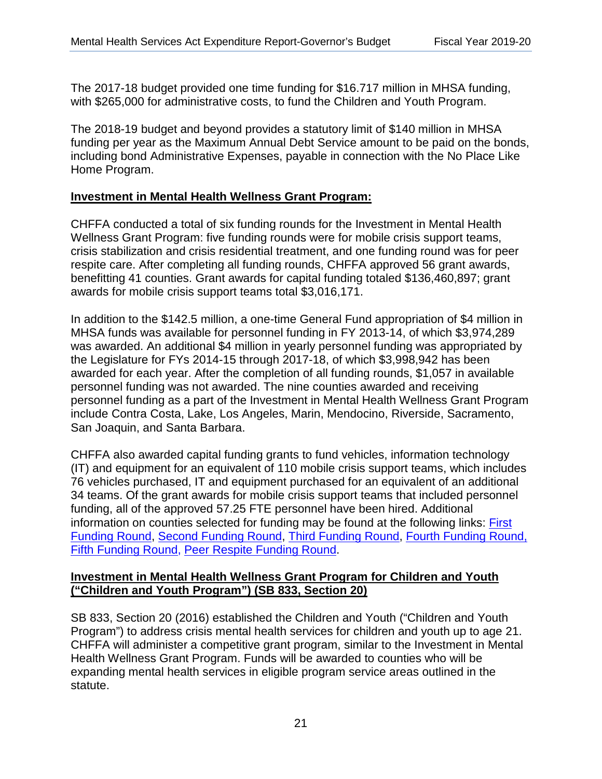The 2017-18 budget provided one time funding for \$16.717 million in MHSA funding, with \$265,000 for administrative costs, to fund the Children and Youth Program.

The 2018-19 budget and beyond provides a statutory limit of \$140 million in MHSA funding per year as the Maximum Annual Debt Service amount to be paid on the bonds, including bond Administrative Expenses, payable in connection with the No Place Like Home Program.

# **Investment in Mental Health Wellness Grant Program:**  <u>Investment in Mental Health Wellness Program</u>

CHFFA conducted a total of six funding rounds for the Investment in Mental Health Wellness Grant Program: five funding rounds were for mobile crisis support teams, crisis stabilization and crisis residential treatment, and one funding round was for peer respite care. After completing all funding rounds, CHFFA approved 56 grant awards, benefitting 41 counties. Grant awards for capital funding totaled \$136,460,897; grant awards for mobile crisis support teams total \$3,016,171.

In addition to the \$142.5 million, a one-time General Fund appropriation of \$4 million in MHSA funds was available for personnel funding in FY 2013-14, of which \$3,974,289 was awarded. An additional \$4 million in yearly personnel funding was appropriated by the Legislature for FYs 2014-15 through 2017-18, of which \$3,998,942 has been awarded for each year. After the completion of all funding rounds, \$1,057 in available personnel funding was not awarded. The nine counties awarded and receiving personnel funding as a part of the Investment in Mental Health Wellness Grant Program include Contra Costa, Lake, Los Angeles, Marin, Mendocino, Riverside, Sacramento, San Joaquin, and Santa Barbara.

CHFFA also awarded capital funding grants to fund vehicles, information technology (IT) and equipment for an equivalent of 110 mobile crisis support teams, which includes 76 vehicles purchased, IT and equipment purchased for an equivalent of an additional 34 teams. Of the grant awards for mobile crisis support teams that included personnel funding, all of the approved 57.25 FTE personnel have been hired. Additional information on counties selected for funding may be found at the following links: *First* [Funding Round,](https://www.treasurer.ca.gov/chffa/imhwa/allocations.pdf) [Second Funding Round,](https://www.treasurer.ca.gov/chffa/imhwa/allocations_2.pdf) [Third Funding Round,](https://www.treasurer.ca.gov/chffa/imhwa/allocations3.pdf) [Fourth Funding Round,](https://www.treasurer.ca.gov/chffa/imhwa/allocations4.pdf)  Funding Round, Second Funding Round, Third Funding Round, Fourth Funding Round, [Fifth Funding Round,](https://www.treasurer.ca.gov/chffa/imhwa/allocations5.pdf) [Peer Respite Funding Round.](https://www.treasurer.ca.gov/chffa/imhwa/peer/allocations_pr.pdf)  Fifth Funding Round, Peer Respite Funding Round.

## **Investment in Mental Health Wellness Grant Program for Children and Youth**  <u>Investment in Mental Health Wellness Grant Program for Children and Youth ("Children **("Children and Youth Program") (SB 833, Section 20)**  and Youth Program") (SB 833, Section 20)</u>

SB 833, Section 20 (2016) established the Children and Youth ("Children and Youth Program") to address crisis mental health services for children and youth up to age 21. CHFFA will administer a competitive grant program, similar to the Investment in Mental Health Wellness Grant Program. Funds will be awarded to counties who will be expanding mental health services in eligible program service areas outlined in the statute.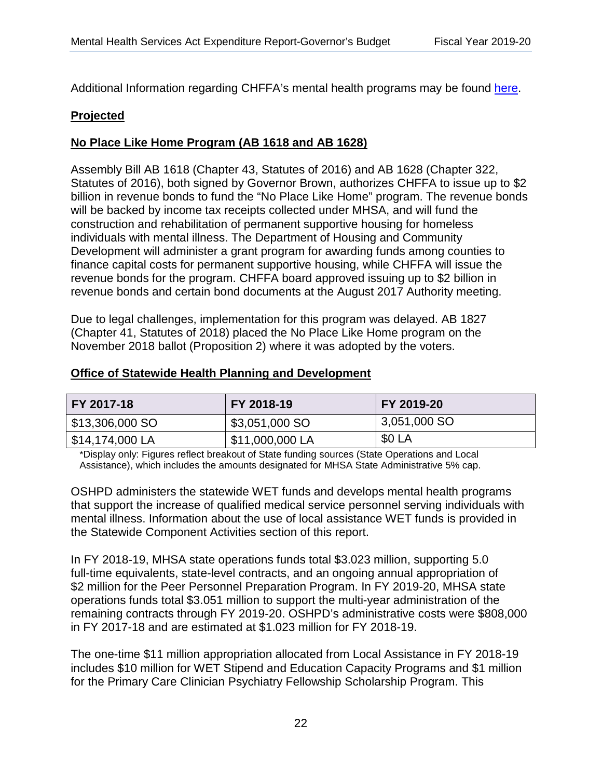Additional Information regarding CHFFA's mental health programs may be found [here.](https://www.treasurer.ca.gov/chffa/imhwa/index.asp)

### **Projected**  <u>Projected</u>

## **No Place Like Home Program (AB 1618 and AB 1628)**  <u>No Place Like Home Program (AB 1618 and AB 1628) </u>

Assembly Bill AB 1618 (Chapter 43, Statutes of 2016) and AB 1628 (Chapter 322, Statutes of 2016), both signed by Governor Brown, authorizes CHFFA to issue up to \$2 billion in revenue bonds to fund the "No Place Like Home" program. The revenue bonds will be backed by income tax receipts collected under MHSA, and will fund the construction and rehabilitation of permanent supportive housing for homeless individuals with mental illness. The Department of Housing and Community Development will administer a grant program for awarding funds among counties to finance capital costs for permanent supportive housing, while CHFFA will issue the revenue bonds for the program. CHFFA board approved issuing up to \$2 billion in revenue bonds and certain bond documents at the August 2017 Authority meeting.

Due to legal challenges, implementation for this program was delayed. AB 1827 (Chapter 41, Statutes of 2018) placed the No Place Like Home program on the November 2018 ballot (Proposition 2) where it was adopted by the voters.

### **Office of Statewide Health Planning and Development**  <u>Office of Statewide Health Planning and Development </u>

| FY 2017-18                    | FY 2018-19      | FY 2019-20   |
|-------------------------------|-----------------|--------------|
| $\frac{1}{2}$ \$13,306,000 SO | \$3,051,000 SO  | 3,051,000 SO |
| \$14,174,000 LA               | \$11,000,000 LA | \$0 LA       |

\*Display only: Figures reflect breakout of State funding sources (State Operations and Local Assistance), which includes the amounts designated for MHSA State Administrative 5% cap.

OSHPD administers the statewide WET funds and develops mental health programs that support the increase of qualified medical service personnel serving individuals with mental illness. Information about the use of local assistance WET funds is provided in the Statewide Component Activities section of this report.

In FY 2018-19, MHSA state operations funds total \$3.023 million, supporting 5.0 full-time equivalents, state-level contracts, and an ongoing annual appropriation of \$2 million for the Peer Personnel Preparation Program. In FY 2019-20, MHSA state operations funds total \$3.051 million to support the multi-year administration of the remaining contracts through FY 2019-20. OSHPD's administrative costs were \$808,000 in FY 2017-18 and are estimated at \$1.023 million for FY 2018-19.

The one-time \$11 million appropriation allocated from Local Assistance in FY 2018-19 includes \$10 million for WET Stipend and Education Capacity Programs and \$1 million for the Primary Care Clinician Psychiatry Fellowship Scholarship Program. This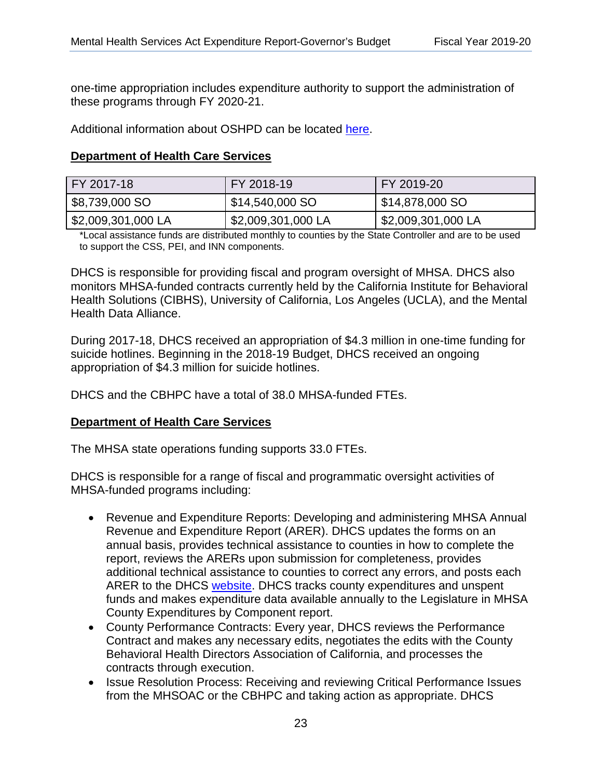one-time appropriation includes expenditure authority to support the administration of these programs through FY 2020-21.

Additional information about OSHPD can be located [here.](https://oshpd.ca.gov/loans-scholarships-grants/grants/wet/) 

## **Department of Health Care Services**  <u>Department of Health Care Services </u>

| FY 2017-18         | FY 2018-19         | FY 2019-20           |
|--------------------|--------------------|----------------------|
| \$8,739,000 SO     | \$14,540,000 SO    | \$14,878,000 SO      |
| \$2,009,301,000 LA | \$2,009,301,000 LA | I \$2,009,301,000 LA |

\*Local assistance funds are distributed monthly to counties by the State Controller and are to be used to support the CSS, PEI, and INN components.

DHCS is responsible for providing fiscal and program oversight of MHSA. DHCS also monitors MHSA-funded contracts currently held by the California Institute for Behavioral Health Solutions (CIBHS), University of California, Los Angeles (UCLA), and the Mental Health Data Alliance.

During 2017-18, DHCS received an appropriation of \$4.3 million in one-time funding for suicide hotlines. Beginning in the 2018-19 Budget, DHCS received an ongoing appropriation of \$4.3 million for suicide hotlines.

DHCS and the CBHPC have a total of 38.0 MHSA-funded FTEs.

### **Department of Health Care Services**

The MHSA state operations funding supports 33.0 FTEs.

DHCS is responsible for a range of fiscal and programmatic oversight activities of MHSA-funded programs including:

- Revenue and Expenditure Reports: Developing and administering MHSA Annual Revenue and Expenditure Report (ARER). DHCS updates the forms on an annual basis, provides technical assistance to counties in how to complete the report, reviews the ARERs upon submission for completeness, provides additional technical assistance to counties to correct any errors, and posts each ARER to the DHCS [website.](https://www.dhcs.ca.gov/services/MH/Pages/Annual-Revenue-and-Expenditure-Reports-by-County.aspx) DHCS tracks county expenditures and unspent funds and makes expenditure data available annually to the Legislature in MHSA County Expenditures by Component report.
- County Performance Contracts: Every year, DHCS reviews the Performance Contract and makes any necessary edits, negotiates the edits with the County Behavioral Health Directors Association of California, and processes the contracts through execution.
- Issue Resolution Process: Receiving and reviewing Critical Performance Issues from the MHSOAC or the CBHPC and taking action as appropriate. DHCS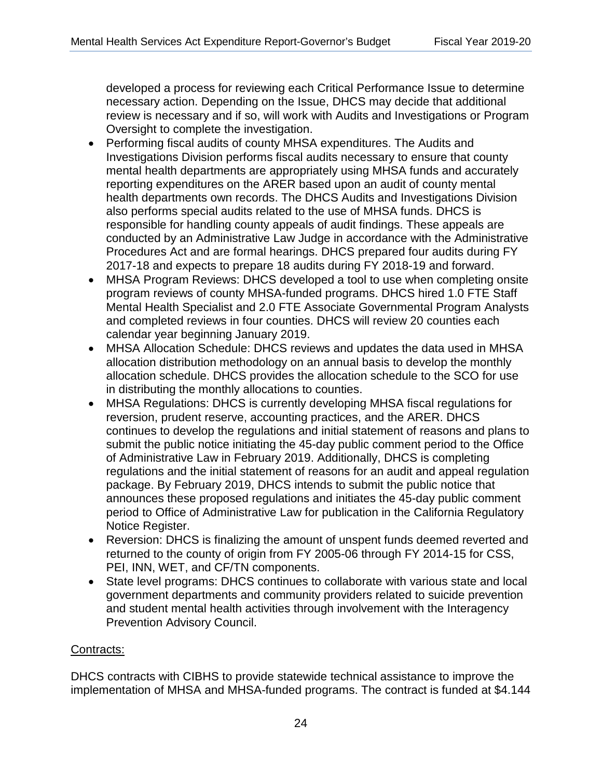developed a process for reviewing each Critical Performance Issue to determine necessary action. Depending on the Issue, DHCS may decide that additional review is necessary and if so, will work with Audits and Investigations or Program Oversight to complete the investigation.

- Performing fiscal audits of county MHSA expenditures. The Audits and Investigations Division performs fiscal audits necessary to ensure that county mental health departments are appropriately using MHSA funds and accurately reporting expenditures on the ARER based upon an audit of county mental health departments own records. The DHCS Audits and Investigations Division also performs special audits related to the use of MHSA funds. DHCS is responsible for handling county appeals of audit findings. These appeals are conducted by an Administrative Law Judge in accordance with the Administrative Procedures Act and are formal hearings. DHCS prepared four audits during FY 2017-18 and expects to prepare 18 audits during FY 2018-19 and forward.
- MHSA Program Reviews: DHCS developed a tool to use when completing onsite program reviews of county MHSA-funded programs. DHCS hired 1.0 FTE Staff Mental Health Specialist and 2.0 FTE Associate Governmental Program Analysts and completed reviews in four counties. DHCS will review 20 counties each calendar year beginning January 2019.
- MHSA Allocation Schedule: DHCS reviews and updates the data used in MHSA allocation distribution methodology on an annual basis to develop the monthly allocation schedule. DHCS provides the allocation schedule to the SCO for use in distributing the monthly allocations to counties.
- MHSA Regulations: DHCS is currently developing MHSA fiscal regulations for reversion, prudent reserve, accounting practices, and the ARER. DHCS continues to develop the regulations and initial statement of reasons and plans to submit the public notice initiating the 45-day public comment period to the Office of Administrative Law in February 2019. Additionally, DHCS is completing regulations and the initial statement of reasons for an audit and appeal regulation package. By February 2019, DHCS intends to submit the public notice that announces these proposed regulations and initiates the 45-day public comment period to Office of Administrative Law for publication in the California Regulatory Notice Register.
- PEI, INN, WET, and CF/TN components. • Reversion: DHCS is finalizing the amount of unspent funds deemed reverted and returned to the county of origin from FY 2005-06 through FY 2014-15 for CSS,
- State level programs: DHCS continues to collaborate with various state and local government departments and community providers related to suicide prevention and student mental health activities through involvement with the Interagency Prevention Advisory Council.

### Contracts: <u>Contracts:</u>

DHCS contracts with CIBHS to provide statewide technical assistance to improve the implementation of MHSA and MHSA-funded programs. The contract is funded at \$4.144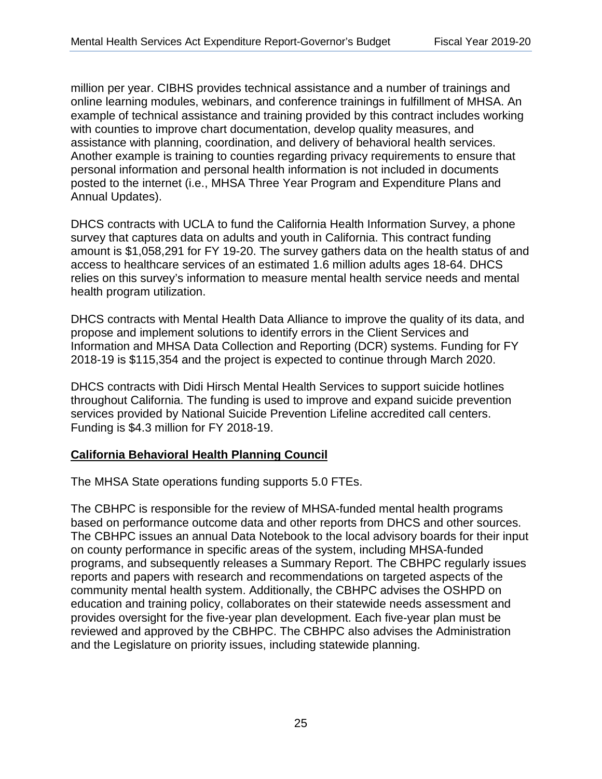million per year. CIBHS provides technical assistance and a number of trainings and online learning modules, webinars, and conference trainings in fulfillment of MHSA. An example of technical assistance and training provided by this contract includes working with counties to improve chart documentation, develop quality measures, and assistance with planning, coordination, and delivery of behavioral health services. Another example is training to counties regarding privacy requirements to ensure that personal information and personal health information is not included in documents posted to the internet (i.e., MHSA Three Year Program and Expenditure Plans and Annual Updates).

DHCS contracts with UCLA to fund the California Health Information Survey, a phone survey that captures data on adults and youth in California. This contract funding amount is \$1,058,291 for FY 19-20. The survey gathers data on the health status of and access to healthcare services of an estimated 1.6 million adults ages 18-64. DHCS relies on this survey's information to measure mental health service needs and mental health program utilization.

DHCS contracts with Mental Health Data Alliance to improve the quality of its data, and propose and implement solutions to identify errors in the Client Services and Information and MHSA Data Collection and Reporting (DCR) systems. Funding for FY 2018-19 is \$115,354 and the project is expected to continue through March 2020.

 Funding is \$4.3 million for FY 2018-19. DHCS contracts with Didi Hirsch Mental Health Services to support suicide hotlines throughout California. The funding is used to improve and expand suicide prevention services provided by National Suicide Prevention Lifeline accredited call centers.

### **California Behavioral Health Planning Council**  <u>California Behavioral Health Planning Council </u>

The MHSA State operations funding supports 5.0 FTEs.

The CBHPC is responsible for the review of MHSA-funded mental health programs based on performance outcome data and other reports from DHCS and other sources. The CBHPC issues an annual Data Notebook to the local advisory boards for their input on county performance in specific areas of the system, including MHSA-funded programs, and subsequently releases a Summary Report. The CBHPC regularly issues reports and papers with research and recommendations on targeted aspects of the community mental health system. Additionally, the CBHPC advises the OSHPD on education and training policy, collaborates on their statewide needs assessment and provides oversight for the five-year plan development. Each five-year plan must be reviewed and approved by the CBHPC. The CBHPC also advises the Administration and the Legislature on priority issues, including statewide planning.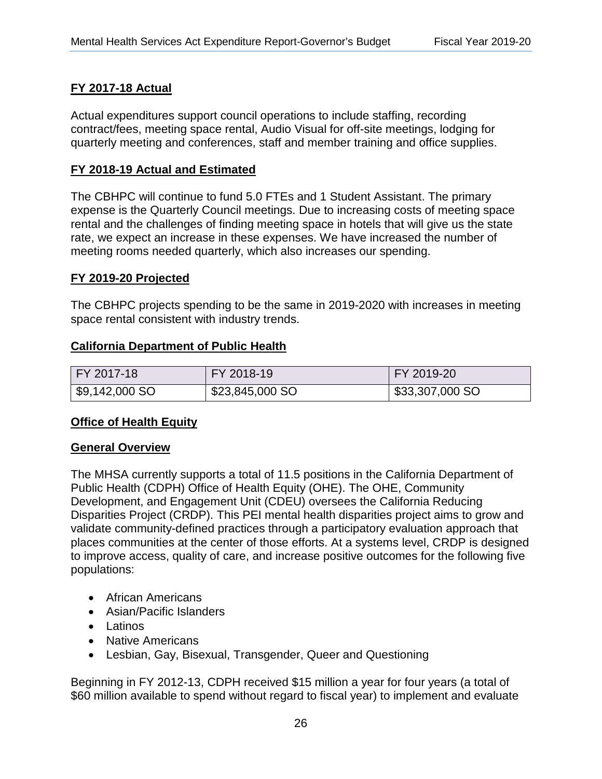## **FY 2017-18 Actual**  <u>FY 2017-18 Actual</u>

Actual expenditures support council operations to include staffing, recording contract/fees, meeting space rental, Audio Visual for off-site meetings, lodging for quarterly meeting and conferences, staff and member training and office supplies.

### **FY 2018-19 Actual and Estimated**  <u>FY 2018-19 Actual and Estimated</u>

 meeting rooms needed quarterly, which also increases our spending. The CBHPC will continue to fund 5.0 FTEs and 1 Student Assistant. The primary expense is the Quarterly Council meetings. Due to increasing costs of meeting space rental and the challenges of finding meeting space in hotels that will give us the state rate, we expect an increase in these expenses. We have increased the number of

#### **FY 2019-20 Projected**  <u>FY 2019-20 Projected</u>

The CBHPC projects spending to be the same in 2019-2020 with increases in meeting space rental consistent with industry trends.

### **California Department of Public Health**  <u>California Department of Public Health</u>

| FY 2017-18     | <b>FY 2018-19</b> | FY 2019-20      |
|----------------|-------------------|-----------------|
| \$9,142,000 SO | \$23,845,000 SO   | \$33,307,000 SO |

#### **Office of Health Equity**  <u>Office of Health Equity</u>

#### **General Overview**  <u>General Overview</u>

The MHSA currently supports a total of 11.5 positions in the California Department of Public Health (CDPH) Office of Health Equity (OHE). The OHE, Community Development, and Engagement Unit (CDEU) oversees the California Reducing Disparities Project (CRDP). This PEI mental health disparities project aims to grow and validate community-defined practices through a participatory evaluation approach that places communities at the center of those efforts. At a systems level, CRDP is designed to improve access, quality of care, and increase positive outcomes for the following five populations:

- African Americans
- Asian/Pacific Islanders
- Latinos
- Native Americans
- Lesbian, Gay, Bisexual, Transgender, Queer and Questioning

Beginning in FY 2012-13, CDPH received \$15 million a year for four years (a total of \$60 million available to spend without regard to fiscal year) to implement and evaluate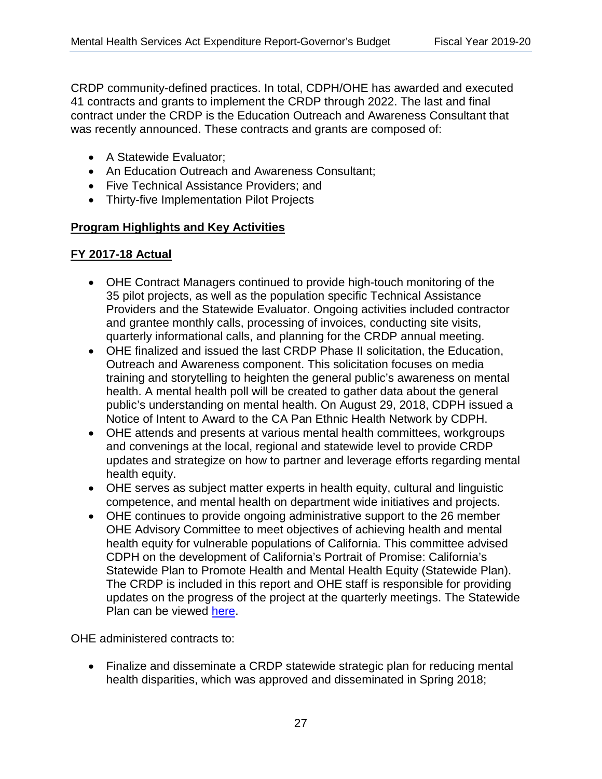CRDP community-defined practices. In total, CDPH/OHE has awarded and executed 41 contracts and grants to implement the CRDP through 2022. The last and final contract under the CRDP is the Education Outreach and Awareness Consultant that was recently announced. These contracts and grants are composed of:

- A Statewide Evaluator;
- An Education Outreach and Awareness Consultant;
- Five Technical Assistance Providers; and
- Thirty-five Implementation Pilot Projects

## **Program Highlights and Key Activities**  <u>Program Highlights and Key Activities</u>

## **FY 2017-18 Actual**  <u>FY 2017-18 Actual</u>

- OHE Contract Managers continued to provide high-touch monitoring of the 35 pilot projects, as well as the population specific Technical Assistance Providers and the Statewide Evaluator. Ongoing activities included contractor and grantee monthly calls, processing of invoices, conducting site visits, quarterly informational calls, and planning for the CRDP annual meeting.
- OHE finalized and issued the last CRDP Phase II solicitation, the Education, Outreach and Awareness component. This solicitation focuses on media training and storytelling to heighten the general public's awareness on mental health. A mental health poll will be created to gather data about the general public's understanding on mental health. On August 29, 2018, CDPH issued a Notice of Intent to Award to the CA Pan Ethnic Health Network by CDPH.
- OHE attends and presents at various mental health committees, workgroups and convenings at the local, regional and statewide level to provide CRDP updates and strategize on how to partner and leverage efforts regarding mental health equity.
- OHE serves as subject matter experts in health equity, cultural and linguistic competence, and mental health on department wide initiatives and projects.
- OHE continues to provide ongoing administrative support to the 26 member OHE Advisory Committee to meet objectives of achieving health and mental health equity for vulnerable populations of California. This committee advised CDPH on the development of California's Portrait of Promise: California's Statewide Plan to Promote Health and Mental Health Equity (Statewide Plan). The CRDP is included in this report and OHE staff is responsible for providing updates on the progress of the project at the quarterly meetings. The Statewide Plan can be viewed [here.](https://www.cdph.ca.gov/Programs/OHE/CDPH%20Document%20Library/Accessible-CDPH_OHE_Disparity_Report_Final%20(2).pdf)

OHE administered contracts to:

• Finalize and disseminate a CRDP statewide strategic plan for reducing mental health disparities, which was approved and disseminated in Spring 2018;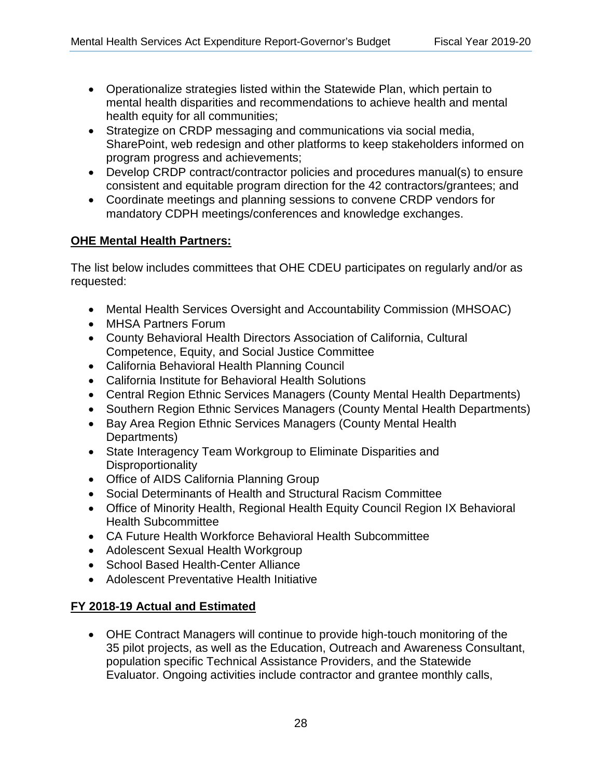- Operationalize strategies listed within the Statewide Plan, which pertain to mental health disparities and recommendations to achieve health and mental health equity for all communities;
- Strategize on CRDP messaging and communications via social media, SharePoint, web redesign and other platforms to keep stakeholders informed on program progress and achievements;
- Develop CRDP contract/contractor policies and procedures manual(s) to ensure consistent and equitable program direction for the 42 contractors/grantees; and
- Coordinate meetings and planning sessions to convene CRDP vendors for mandatory CDPH meetings/conferences and knowledge exchanges.

## **OHE Mental Health Partners:**  <u>OHE Mental Health Partners:</u>

The list below includes committees that OHE CDEU participates on regularly and/or as requested:

- Mental Health Services Oversight and Accountability Commission (MHSOAC)
- MHSA Partners Forum
- County Behavioral Health Directors Association of California, Cultural Competence, Equity, and Social Justice Committee
- California Behavioral Health Planning Council California Behavioral Health Planning Council
- California Institute for Behavioral Health Solutions California Institute for Behavioral Health Solutions
- Central Region Ethnic Services Managers (County Mental Health Departments)
- Southern Region Ethnic Services Managers (County Mental Health Departments)
- Bay Area Region Ethnic Services Managers (County Mental Health Departments)
- State Interagency Team Workgroup to Eliminate Disparities and **Disproportionality**
- Office of AIDS California Planning Group
- Social Determinants of Health and Structural Racism Committee
- Office of Minority Health, Regional Health Equity Council Region IX Behavioral Health Subcommittee
- CA Future Health Workforce Behavioral Health Subcommittee
- Adolescent Sexual Health Workgroup
- School Based Health-Center Alliance
- Adolescent Preventative Health Initiative

## **FY 2018-19 Actual and Estimated**  <u>FY 2018-19 Actual and Estimated</u>

• OHE Contract Managers will continue to provide high-touch monitoring of the 35 pilot projects, as well as the Education, Outreach and Awareness Consultant, population specific Technical Assistance Providers, and the Statewide Evaluator. Ongoing activities include contractor and grantee monthly calls,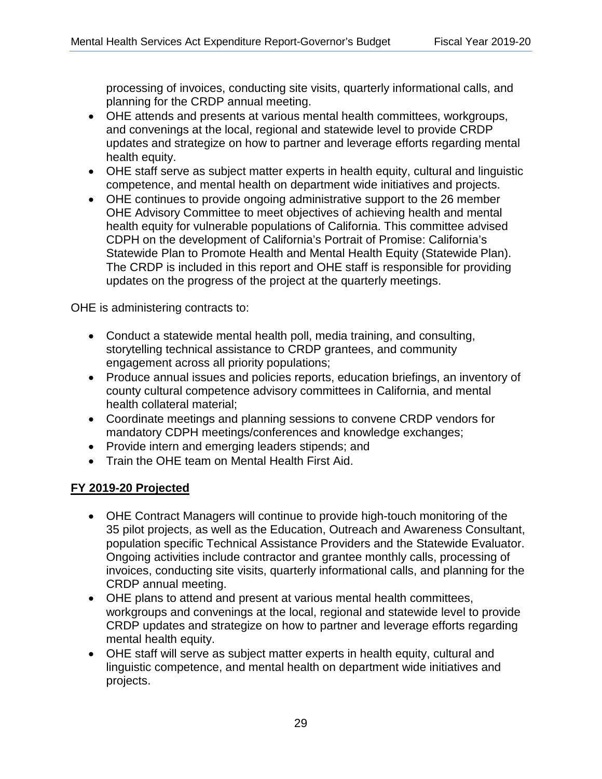planning for the CRDP annual meeting. processing of invoices, conducting site visits, quarterly informational calls, and

- OHE attends and presents at various mental health committees, workgroups, and convenings at the local, regional and statewide level to provide CRDP updates and strategize on how to partner and leverage efforts regarding mental health equity.
- OHE staff serve as subject matter experts in health equity, cultural and linguistic competence, and mental health on department wide initiatives and projects.
- OHE continues to provide ongoing administrative support to the 26 member OHE Advisory Committee to meet objectives of achieving health and mental health equity for vulnerable populations of California. This committee advised CDPH on the development of California's Portrait of Promise: California's Statewide Plan to Promote Health and Mental Health Equity (Statewide Plan). The CRDP is included in this report and OHE staff is responsible for providing updates on the progress of the project at the quarterly meetings.

OHE is administering contracts to:

- Conduct a statewide mental health poll, media training, and consulting, storytelling technical assistance to CRDP grantees, and community engagement across all priority populations;
- Produce annual issues and policies reports, education briefings, an inventory of county cultural competence advisory committees in California, and mental health collateral material;
- Coordinate meetings and planning sessions to convene CRDP vendors for mandatory CDPH meetings/conferences and knowledge exchanges;
- Provide intern and emerging leaders stipends; and
- Train the OHE team on Mental Health First Aid.

## **FY 2019-20 Projected**  <u>FY 2019-20 Projected</u>

- OHE Contract Managers will continue to provide high-touch monitoring of the 35 pilot projects, as well as the Education, Outreach and Awareness Consultant, population specific Technical Assistance Providers and the Statewide Evaluator. Ongoing activities include contractor and grantee monthly calls, processing of invoices, conducting site visits, quarterly informational calls, and planning for the CRDP annual meeting.
- OHE plans to attend and present at various mental health committees, workgroups and convenings at the local, regional and statewide level to provide CRDP updates and strategize on how to partner and leverage efforts regarding mental health equity.
- OHE staff will serve as subject matter experts in health equity, cultural and linguistic competence, and mental health on department wide initiatives and projects.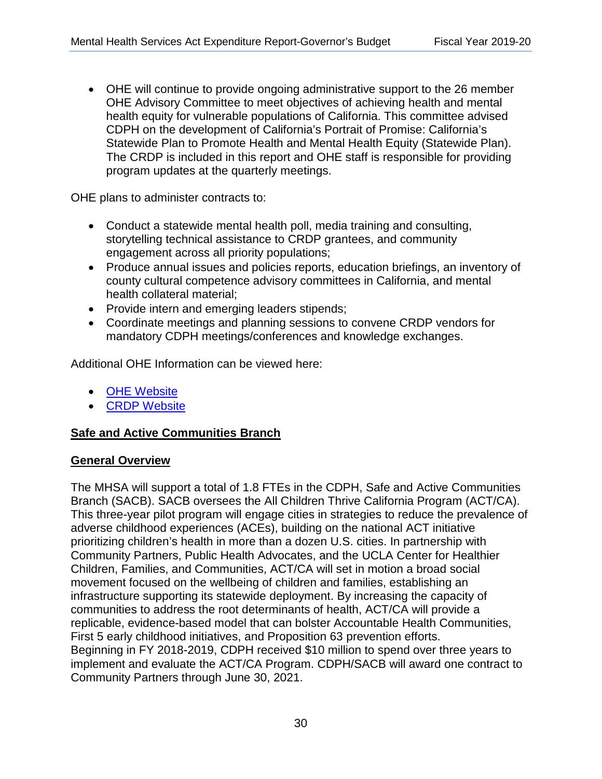• OHE will continue to provide ongoing administrative support to the 26 member OHE Advisory Committee to meet objectives of achieving health and mental health equity for vulnerable populations of California. This committee advised CDPH on the development of California's Portrait of Promise: California's Statewide Plan to Promote Health and Mental Health Equity (Statewide Plan). The CRDP is included in this report and OHE staff is responsible for providing program updates at the quarterly meetings.

OHE plans to administer contracts to:

- Conduct a statewide mental health poll, media training and consulting, storytelling technical assistance to CRDP grantees, and community engagement across all priority populations;
- Produce annual issues and policies reports, education briefings, an inventory of county cultural competence advisory committees in California, and mental health collateral material;
- Provide intern and emerging leaders stipends;
- Coordinate meetings and planning sessions to convene CRDP vendors for mandatory CDPH meetings/conferences and knowledge exchanges.

Additional OHE Information can be viewed here:

- [OHE Website](https://www.cdph.ca.gov/Programs/OHE/Pages/About_OHE.aspx)
- [CRDP Website](https://www.cdph.ca.gov/Programs/OHE/Pages/CRDP.aspx)

### **Safe and Active Communities Branch**  <u>Safe and Active Communities Branch</u>

### **General Overview**  <u>General Overview</u>

The MHSA will support a total of 1.8 FTEs in the CDPH, Safe and Active Communities Branch (SACB). SACB oversees the All Children Thrive California Program (ACT/CA). This three-year pilot program will engage cities in strategies to reduce the prevalence of adverse childhood experiences (ACEs), building on the national ACT initiative prioritizing children's health in more than a dozen U.S. cities. In partnership with Community Partners, Public Health Advocates, and the UCLA Center for Healthier Children, Families, and Communities, ACT/CA will set in motion a broad social movement focused on the wellbeing of children and families, establishing an infrastructure supporting its statewide deployment. By increasing the capacity of communities to address the root determinants of health, ACT/CA will provide a replicable, evidence-based model that can bolster Accountable Health Communities, First 5 early childhood initiatives, and Proposition 63 prevention efforts. Beginning in FY 2018-2019, CDPH received \$10 million to spend over three years to implement and evaluate the ACT/CA Program. CDPH/SACB will award one contract to Community Partners through June 30, 2021.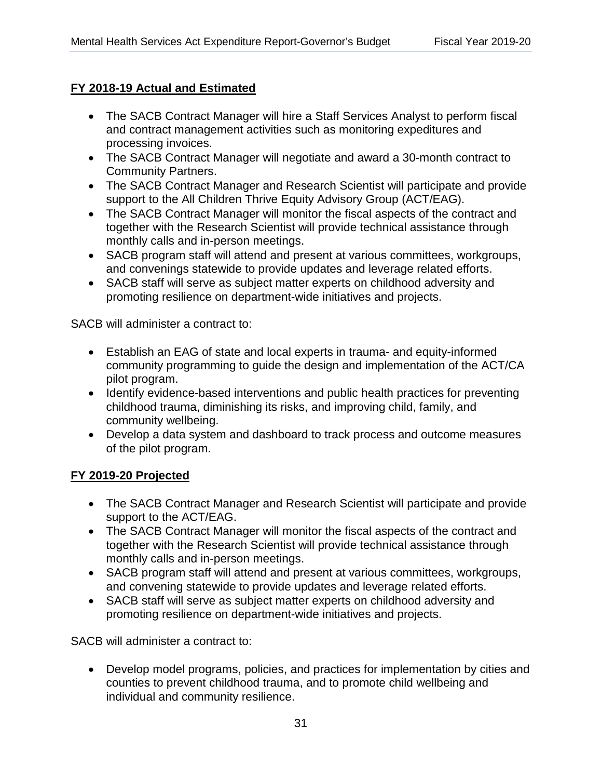## **FY 2018-19 Actual and Estimated**  <u>FY 2018-19 Actual and Estimated</u>

- The SACB Contract Manager will hire a Staff Services Analyst to perform fiscal and contract management activities such as monitoring expeditures and processing invoices.
- The SACB Contract Manager will negotiate and award a 30-month contract to Community Partners.
- The SACB Contract Manager and Research Scientist will participate and provide support to the All Children Thrive Equity Advisory Group (ACT/EAG).
- The SACB Contract Manager will monitor the fiscal aspects of the contract and together with the Research Scientist will provide technical assistance through monthly calls and in-person meetings.
- SACB program staff will attend and present at various committees, workgroups, and convenings statewide to provide updates and leverage related efforts.
- SACB staff will serve as subject matter experts on childhood adversity and promoting resilience on department-wide initiatives and projects.

SACB will administer a contract to:

- Establish an EAG of state and local experts in trauma- and equity-informed community programming to guide the design and implementation of the ACT/CA pilot program.
- Identify evidence-based interventions and public health practices for preventing childhood trauma, diminishing its risks, and improving child, family, and community wellbeing.
- Develop a data system and dashboard to track process and outcome measures of the pilot program.

## **FY 2019-20 Projected**  <u>FY 2019-20 Projected</u>

- The SACB Contract Manager and Research Scientist will participate and provide support to the ACT/EAG.
- The SACB Contract Manager will monitor the fiscal aspects of the contract and together with the Research Scientist will provide technical assistance through monthly calls and in-person meetings.
- SACB program staff will attend and present at various committees, workgroups, and convening statewide to provide updates and leverage related efforts.
- SACB staff will serve as subject matter experts on childhood adversity and promoting resilience on department-wide initiatives and projects.

SACB will administer a contract to:

• Develop model programs, policies, and practices for implementation by cities and counties to prevent childhood trauma, and to promote child wellbeing and individual and community resilience.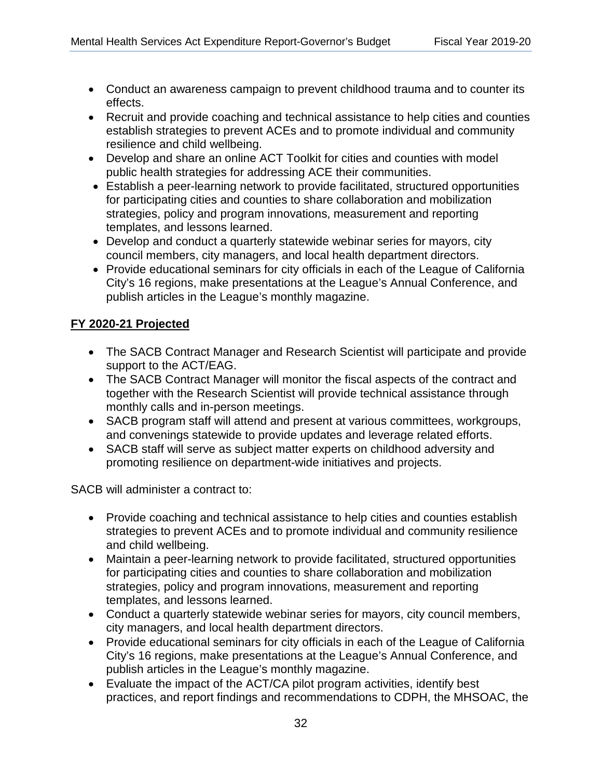- Conduct an awareness campaign to prevent childhood trauma and to counter its effects.
- Recruit and provide coaching and technical assistance to help cities and counties establish strategies to prevent ACEs and to promote individual and community resilience and child wellbeing.
- public health strategies for addressing ACE their communities. • Develop and share an online ACT Toolkit for cities and counties with model
- Establish a peer-learning network to provide facilitated, structured opportunities for participating cities and counties to share collaboration and mobilization strategies, policy and program innovations, measurement and reporting templates, and lessons learned.
- Develop and conduct a quarterly statewide webinar series for mayors, city council members, city managers, and local health department directors.
- Provide educational seminars for city officials in each of the League of California City's 16 regions, make presentations at the League's Annual Conference, and publish articles in the League's monthly magazine.

## **FY 2020-21 Projected**  <u>FY 2020-21 Projected</u>

- The SACB Contract Manager and Research Scientist will participate and provide support to the ACT/EAG.
- The SACB Contract Manager will monitor the fiscal aspects of the contract and together with the Research Scientist will provide technical assistance through monthly calls and in-person meetings.
- SACB program staff will attend and present at various committees, workgroups, and convenings statewide to provide updates and leverage related efforts.
- SACB staff will serve as subject matter experts on childhood adversity and promoting resilience on department-wide initiatives and projects.

SACB will administer a contract to:

- Provide coaching and technical assistance to help cities and counties establish strategies to prevent ACEs and to promote individual and community resilience and child wellbeing.
- Maintain a peer-learning network to provide facilitated, structured opportunities for participating cities and counties to share collaboration and mobilization strategies, policy and program innovations, measurement and reporting templates, and lessons learned.
- Conduct a quarterly statewide webinar series for mayors, city council members, city managers, and local health department directors.
- Provide educational seminars for city officials in each of the League of California City's 16 regions, make presentations at the League's Annual Conference, and publish articles in the League's monthly magazine.
- Evaluate the impact of the ACT/CA pilot program activities, identify best practices, and report findings and recommendations to CDPH, the MHSOAC, the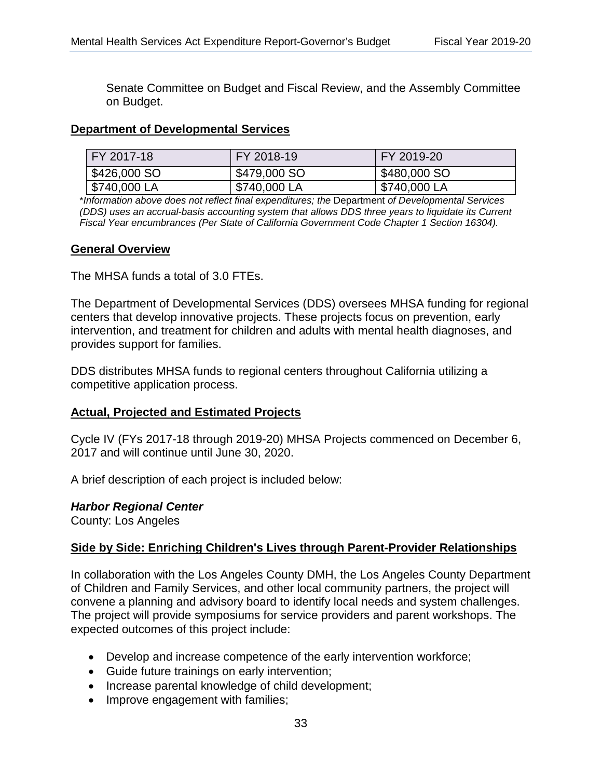Senate Committee on Budget and Fiscal Review, and the Assembly Committee on Budget.

## **Department of Developmental Services**  <u>Department of Developmental Services</u>

| FY 2017-18   | FY 2018-19   | FY 2019-20   |
|--------------|--------------|--------------|
| \$426,000 SO | \$479,000 SO | \$480,000 SO |
| \$740,000 LA | \$740,000 LA | \$740,000 LA |

\**Information above does not reflect final expenditures; the* Department *of Developmental Services (DDS) uses an accrual-basis accounting system that allows DDS three years to liquidate its Current Fiscal Year encumbrances (Per State of California Government Code Chapter 1 Section 16304).* 

### **General Overview**  <u>General Overview</u>

The MHSA funds a total of 3.0 FTEs.

The Department of Developmental Services (DDS) oversees MHSA funding for regional centers that develop innovative projects. These projects focus on prevention, early intervention, and treatment for children and adults with mental health diagnoses, and provides support for families.

DDS distributes MHSA funds to regional centers throughout California utilizing a competitive application process.

#### **Actual, Projected and Estimated Projects**  <u>Actual, Projected and Estimated Projects</u>

Cycle IV (FYs 2017-18 through 2019-20) MHSA Projects commenced on December 6, 2017 and will continue until June 30, 2020.

A brief description of each project is included below:

#### *Harbor Regional Center*

County: Los Angeles

# **Side by Side: Enriching Children's Lives through Parent-Provider Relationships**  <u>Side by Side: Enriching Children's Lives through Parent-Provider Relationships</u>

In collaboration with the Los Angeles County DMH, the Los Angeles County Department of Children and Family Services, and other local community partners, the project will convene a planning and advisory board to identify local needs and system challenges. The project will provide symposiums for service providers and parent workshops. The expected outcomes of this project include:

- Develop and increase competence of the early intervention workforce;
- Guide future trainings on early intervention;
- Increase parental knowledge of child development;
- Improve engagement with families;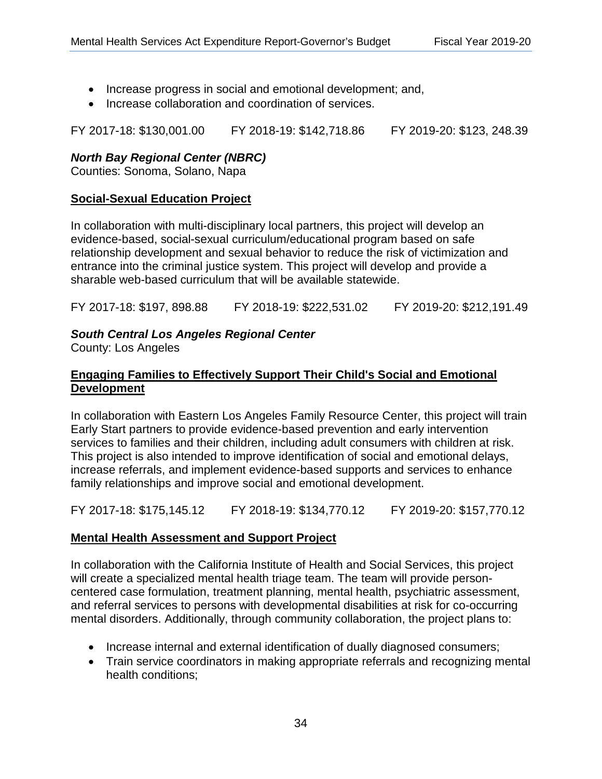- Increase progress in social and emotional development; and,
- Increase collaboration and coordination of services.

FY 2017-18: \$130,001.00 FY 2018-19: \$142,718.86 FY 2019-20: \$123, 248.39

### *North Bay Regional Center (NBRC)*

Counties: Sonoma, Solano, Napa

#### **Social-Sexual Education Project**  <u>Social-Sexual Education Project</u>

In collaboration with multi-disciplinary local partners, this project will develop an evidence-based, social-sexual curriculum/educational program based on safe relationship development and sexual behavior to reduce the risk of victimization and entrance into the criminal justice system. This project will develop and provide a sharable web-based curriculum that will be available statewide.

FY 2017-18: \$197, 898.88 FY 2018-19: \$222,531.02 FY 2019-20: \$212,191.49

## *South Central Los Angeles Regional Center*

County: Los Angeles

### **Engaging Families to Effectively Support Their Child's Social and Emotional Development**

In collaboration with Eastern Los Angeles Family Resource Center, this project will train Early Start partners to provide evidence-based prevention and early intervention services to families and their children, including adult consumers with children at risk. This project is also intended to improve identification of social and emotional delays, increase referrals, and implement evidence-based supports and services to enhance family relationships and improve social and emotional development.

FY 2017-18: \$175,145.12 FY 2018-19: \$134,770.12 FY 2019-20: \$157,770.12

## **Mental Health Assessment and Support Project**  <u>Mental Health Assessment and Support Project</u>

In collaboration with the California Institute of Health and Social Services, this project will create a specialized mental health triage team. The team will provide personcentered case formulation, treatment planning, mental health, psychiatric assessment, and referral services to persons with developmental disabilities at risk for co-occurring mental disorders. Additionally, through community collaboration, the project plans to:

- Increase internal and external identification of dually diagnosed consumers;
- Train service coordinators in making appropriate referrals and recognizing mental health conditions;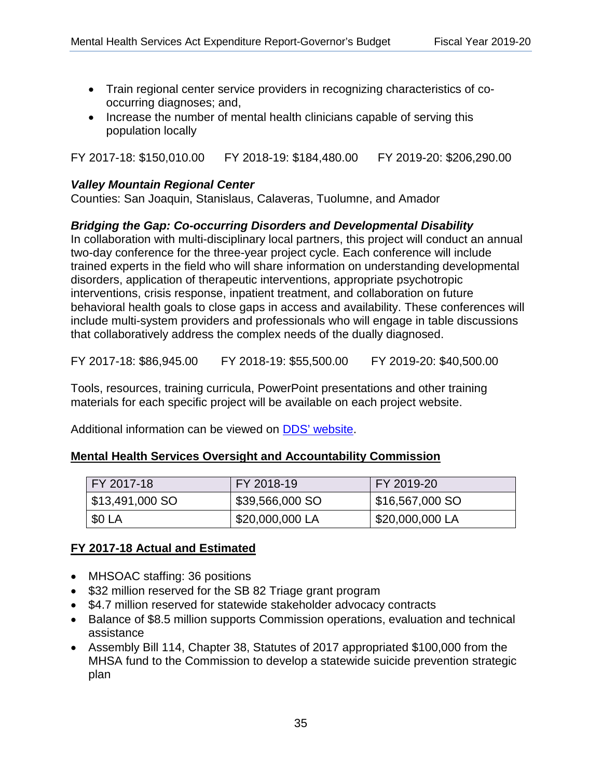- Train regional center service providers in recognizing characteristics of cooccurring diagnoses; and,
- Increase the number of mental health clinicians capable of serving this population locally

FY 2017-18: \$150,010.00 FY 2018-19: \$184,480.00 FY 2019-20: \$206,290.00

#### *Valley Mountain Regional Center*

Counties: San Joaquin, Stanislaus, Calaveras, Tuolumne, and Amador

## *Bridging the Gap: Co-occurring Disorders and Developmental Disability* <u>Bridging the Gap: Co-occurring Disorders and Developmental Disability</u>

In collaboration with multi-disciplinary local partners, this project will conduct an annual two-day conference for the three-year project cycle. Each conference will include trained experts in the field who will share information on understanding developmental disorders, application of therapeutic interventions, appropriate psychotropic interventions, crisis response, inpatient treatment, and collaboration on future behavioral health goals to close gaps in access and availability. These conferences will include multi-system providers and professionals who will engage in table discussions that collaboratively address the complex needs of the dually diagnosed.

FY 2017-18: \$86,945.00 FY 2018-19: \$55,500.00 FY 2019-20: \$40,500.00

Tools, resources, training curricula, PowerPoint presentations and other training materials for each specific project will be available on each project website.

Additional information can be viewed on [DDS' website.](https://www.dds.ca.gov/HealthDevelopment/)

### **Mental Health Services Oversight and Accountability Commission**  <u>Mental Health Services Oversight and Accountability Commission</u>

| FY 2017-18      | FY 2018-19      | FY 2019-20                    |  |
|-----------------|-----------------|-------------------------------|--|
| \$13,491,000 SO | \$39,566,000 SO | $\frac{1}{1}$ \$16,567,000 SO |  |
| \$0 LA          | \$20,000,000 LA | \$20,000,000 LA               |  |

### **FY 2017-18 Actual and Estimated**  <u>FY 2017-18 Actual and Estimated</u>

- MHSOAC staffing: 36 positions
- \$32 million reserved for the SB 82 Triage grant program
- \$4.7 million reserved for statewide stakeholder advocacy contracts
- Balance of \$8.5 million supports Commission operations, evaluation and technical assistance
- Assembly Bill 114, Chapter 38, Statutes of 2017 appropriated \$100,000 from the MHSA fund to the Commission to develop a statewide suicide prevention strategic plan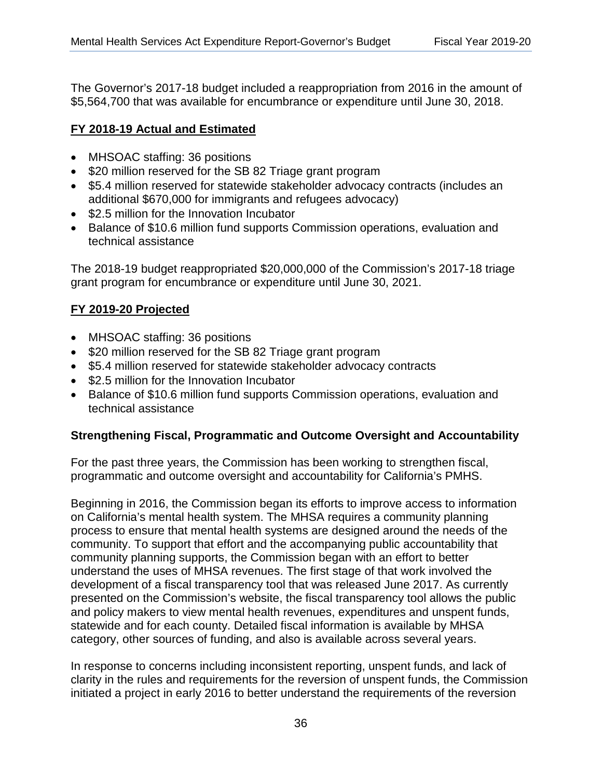The Governor's 2017-18 budget included a reappropriation from 2016 in the amount of \$5,564,700 that was available for encumbrance or expenditure until June 30, 2018.

## **FY 2018-19 Actual and Estimated**  <u>FY 2018-19 Actual and Estimated</u>

- MHSOAC staffing: 36 positions
- \$20 million reserved for the SB 82 Triage grant program
- \$5.4 million reserved for statewide stakeholder advocacy contracts (includes an additional \$670,000 for immigrants and refugees advocacy)
- \$2.5 million for the Innovation Incubator
- Balance of \$10.6 million fund supports Commission operations, evaluation and technical assistance

 grant program for encumbrance or expenditure until June 30, 2021. The 2018-19 budget reappropriated \$20,000,000 of the Commission's 2017-18 triage

## **FY 2019-20 Projected**  <u>FY 2019-20 Projected</u>

- MHSOAC staffing: 36 positions
- \$20 million reserved for the SB 82 Triage grant program
- \$5.4 million reserved for statewide stakeholder advocacy contracts
- \$2.5 million for the Innovation Incubator
- Balance of \$10.6 million fund supports Commission operations, evaluation and technical assistance

### **Strengthening Fiscal, Programmatic and Outcome Oversight and Accountability**

For the past three years, the Commission has been working to strengthen fiscal, programmatic and outcome oversight and accountability for California's PMHS.

Beginning in 2016, the Commission began its efforts to improve access to information on California's mental health system. The MHSA requires a community planning process to ensure that mental health systems are designed around the needs of the community. To support that effort and the accompanying public accountability that community planning supports, the Commission began with an effort to better understand the uses of MHSA revenues. The first stage of that work involved the development of a fiscal transparency tool that was released June 2017. As currently presented on the Commission's website, the fiscal transparency tool allows the public and policy makers to view mental health revenues, expenditures and unspent funds, statewide and for each county. Detailed fiscal information is available by MHSA category, other sources of funding, and also is available across several years.

In response to concerns including inconsistent reporting, unspent funds, and lack of clarity in the rules and requirements for the reversion of unspent funds, the Commission initiated a project in early 2016 to better understand the requirements of the reversion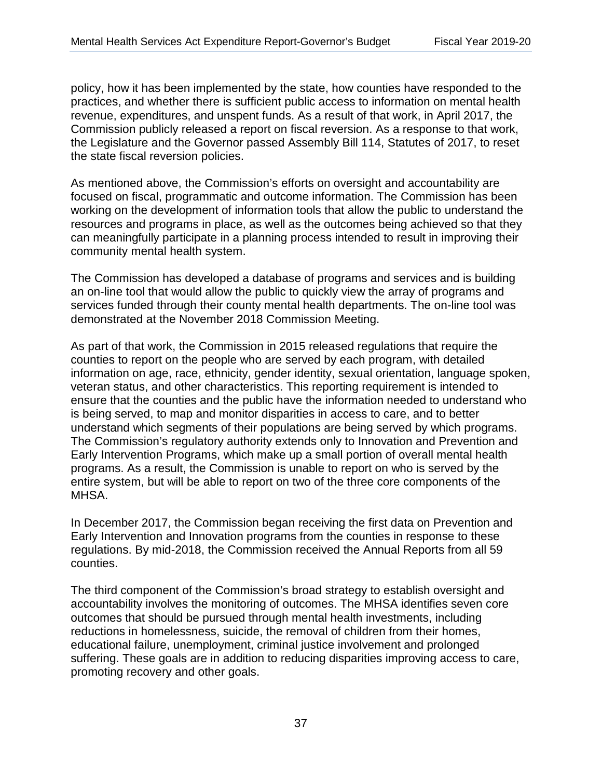the state fiscal reversion policies. policy, how it has been implemented by the state, how counties have responded to the practices, and whether there is sufficient public access to information on mental health revenue, expenditures, and unspent funds. As a result of that work, in April 2017, the Commission publicly released a report on fiscal reversion. As a response to that work, the Legislature and the Governor passed Assembly Bill 114, Statutes of 2017, to reset

As mentioned above, the Commission's efforts on oversight and accountability are focused on fiscal, programmatic and outcome information. The Commission has been working on the development of information tools that allow the public to understand the resources and programs in place, as well as the outcomes being achieved so that they can meaningfully participate in a planning process intended to result in improving their community mental health system.

demonstrated at the November 2018 Commission Meeting. The Commission has developed a database of programs and services and is building an on-line tool that would allow the public to quickly view the array of programs and services funded through their county mental health departments. The on-line tool was

As part of that work, the Commission in 2015 released regulations that require the counties to report on the people who are served by each program, with detailed information on age, race, ethnicity, gender identity, sexual orientation, language spoken, veteran status, and other characteristics. This reporting requirement is intended to ensure that the counties and the public have the information needed to understand who is being served, to map and monitor disparities in access to care, and to better understand which segments of their populations are being served by which programs. The Commission's regulatory authority extends only to Innovation and Prevention and Early Intervention Programs, which make up a small portion of overall mental health programs. As a result, the Commission is unable to report on who is served by the entire system, but will be able to report on two of the three core components of the MHSA.

In December 2017, the Commission began receiving the first data on Prevention and Early Intervention and Innovation programs from the counties in response to these regulations. By mid-2018, the Commission received the Annual Reports from all 59 counties.

promoting recovery and other goals.<br>37 The third component of the Commission's broad strategy to establish oversight and accountability involves the monitoring of outcomes. The MHSA identifies seven core outcomes that should be pursued through mental health investments, including reductions in homelessness, suicide, the removal of children from their homes, educational failure, unemployment, criminal justice involvement and prolonged suffering. These goals are in addition to reducing disparities improving access to care,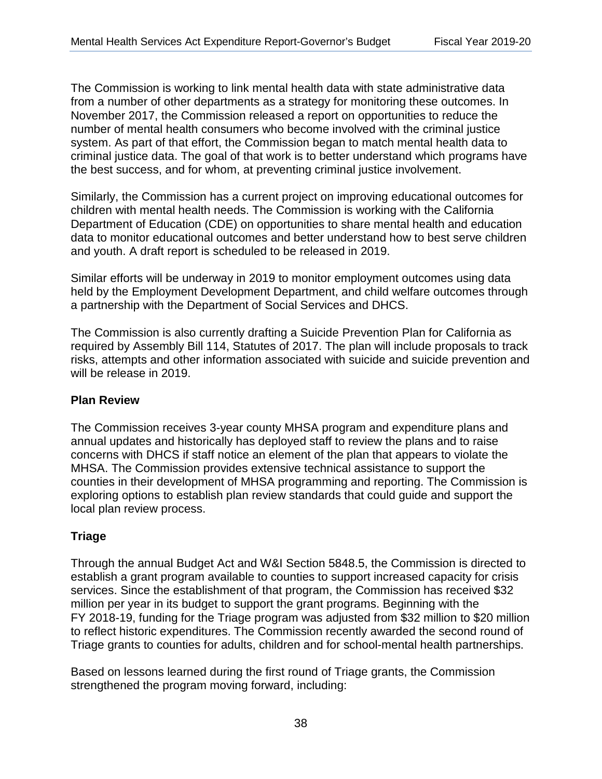The Commission is working to link mental health data with state administrative data from a number of other departments as a strategy for monitoring these outcomes. In November 2017, the Commission released a report on opportunities to reduce the number of mental health consumers who become involved with the criminal justice system. As part of that effort, the Commission began to match mental health data to criminal justice data. The goal of that work is to better understand which programs have the best success, and for whom, at preventing criminal justice involvement.

Similarly, the Commission has a current project on improving educational outcomes for children with mental health needs. The Commission is working with the California Department of Education (CDE) on opportunities to share mental health and education data to monitor educational outcomes and better understand how to best serve children and youth. A draft report is scheduled to be released in 2019.

Similar efforts will be underway in 2019 to monitor employment outcomes using data held by the Employment Development Department, and child welfare outcomes through a partnership with the Department of Social Services and DHCS.

The Commission is also currently drafting a Suicide Prevention Plan for California as required by Assembly Bill 114, Statutes of 2017. The plan will include proposals to track risks, attempts and other information associated with suicide and suicide prevention and will be release in 2019.

#### **Plan Review**

The Commission receives 3-year county MHSA program and expenditure plans and annual updates and historically has deployed staff to review the plans and to raise concerns with DHCS if staff notice an element of the plan that appears to violate the MHSA. The Commission provides extensive technical assistance to support the counties in their development of MHSA programming and reporting. The Commission is exploring options to establish plan review standards that could guide and support the local plan review process.

### **Triage**

Through the annual Budget Act and W&I Section 5848.5, the Commission is directed to establish a grant program available to counties to support increased capacity for crisis services. Since the establishment of that program, the Commission has received \$32 million per year in its budget to support the grant programs. Beginning with the FY 2018-19, funding for the Triage program was adjusted from \$32 million to \$20 million to reflect historic expenditures. The Commission recently awarded the second round of Triage grants to counties for adults, children and for school-mental health partnerships.

Based on lessons learned during the first round of Triage grants, the Commission strengthened the program moving forward, including: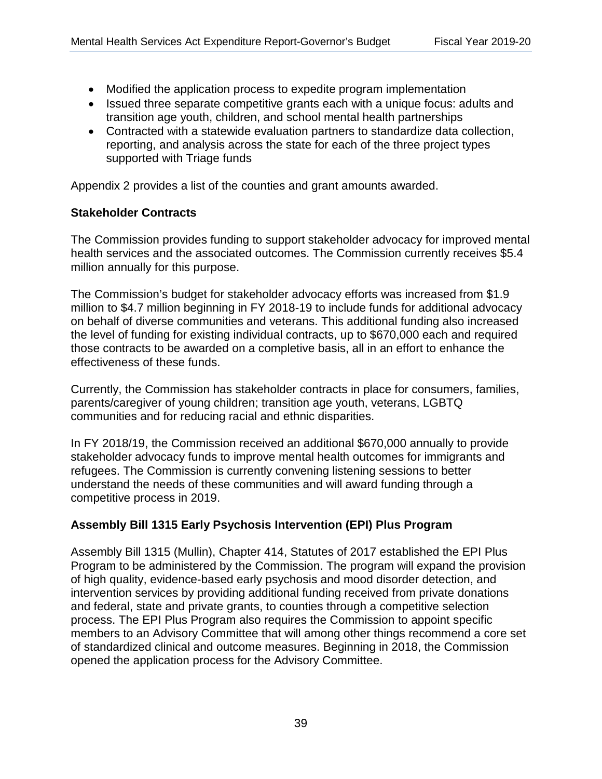- Modified the application process to expedite program implementation
- Issued three separate competitive grants each with a unique focus: adults and transition age youth, children, and school mental health partnerships
- supported with Triage funds • Contracted with a statewide evaluation partners to standardize data collection, reporting, and analysis across the state for each of the three project types

Appendix 2 provides a list of the counties and grant amounts awarded.

#### **Stakeholder Contracts**

million annually for this purpose. The Commission provides funding to support stakeholder advocacy for improved mental health services and the associated outcomes. The Commission currently receives \$5.4

The Commission's budget for stakeholder advocacy efforts was increased from \$1.9 million to \$4.7 million beginning in FY 2018-19 to include funds for additional advocacy on behalf of diverse communities and veterans. This additional funding also increased the level of funding for existing individual contracts, up to \$670,000 each and required those contracts to be awarded on a completive basis, all in an effort to enhance the effectiveness of these funds.

Currently, the Commission has stakeholder contracts in place for consumers, families, parents/caregiver of young children; transition age youth, veterans, LGBTQ communities and for reducing racial and ethnic disparities.

 competitive process in 2019. In FY 2018/19, the Commission received an additional \$670,000 annually to provide stakeholder advocacy funds to improve mental health outcomes for immigrants and refugees. The Commission is currently convening listening sessions to better understand the needs of these communities and will award funding through a

### **Assembly Bill 1315 Early Psychosis Intervention (EPI) Plus Program**

opened the application process for the Advisory Committee.<br>39 Assembly Bill 1315 (Mullin), Chapter 414, Statutes of 2017 established the EPI Plus Program to be administered by the Commission. The program will expand the provision of high quality, evidence-based early psychosis and mood disorder detection, and intervention services by providing additional funding received from private donations and federal, state and private grants, to counties through a competitive selection process. The EPI Plus Program also requires the Commission to appoint specific members to an Advisory Committee that will among other things recommend a core set of standardized clinical and outcome measures. Beginning in 2018, the Commission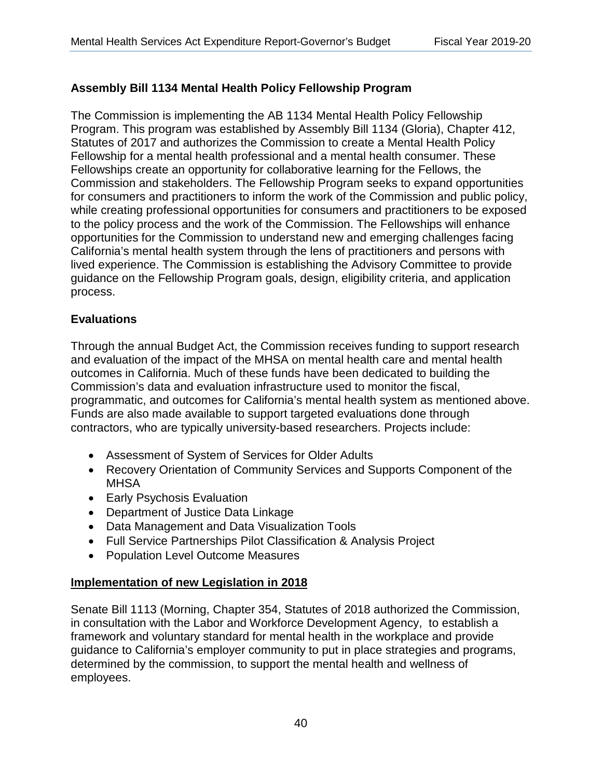## **Assembly Bill 1134 Mental Health Policy Fellowship Program**

The Commission is implementing the AB 1134 Mental Health Policy Fellowship Program. This program was established by Assembly Bill 1134 (Gloria), Chapter 412, Statutes of 2017 and authorizes the Commission to create a Mental Health Policy Fellowship for a mental health professional and a mental health consumer. These Fellowships create an opportunity for collaborative learning for the Fellows, the Commission and stakeholders. The Fellowship Program seeks to expand opportunities for consumers and practitioners to inform the work of the Commission and public policy, while creating professional opportunities for consumers and practitioners to be exposed to the policy process and the work of the Commission. The Fellowships will enhance opportunities for the Commission to understand new and emerging challenges facing California's mental health system through the lens of practitioners and persons with lived experience. The Commission is establishing the Advisory Committee to provide guidance on the Fellowship Program goals, design, eligibility criteria, and application process.

## **Evaluations**

Through the annual Budget Act, the Commission receives funding to support research and evaluation of the impact of the MHSA on mental health care and mental health outcomes in California. Much of these funds have been dedicated to building the Commission's data and evaluation infrastructure used to monitor the fiscal, programmatic, and outcomes for California's mental health system as mentioned above. Funds are also made available to support targeted evaluations done through contractors, who are typically university-based researchers. Projects include:

- Assessment of System of Services for Older Adults
- Recovery Orientation of Community Services and Supports Component of the **MHSA**
- Early Psychosis Evaluation
- Department of Justice Data Linkage
- Data Management and Data Visualization Tools
- Full Service Partnerships Pilot Classification & Analysis Project
- Population Level Outcome Measures

## **Implementation of new Legislation in 2018**  <u>Implementation of new Legislation in 2018</u>

Senate Bill 1113 (Morning, Chapter 354, Statutes of 2018 authorized the Commission, in consultation with the Labor and Workforce Development Agency, to establish a framework and voluntary standard for mental health in the workplace and provide guidance to California's employer community to put in place strategies and programs, determined by the commission, to support the mental health and wellness of employees.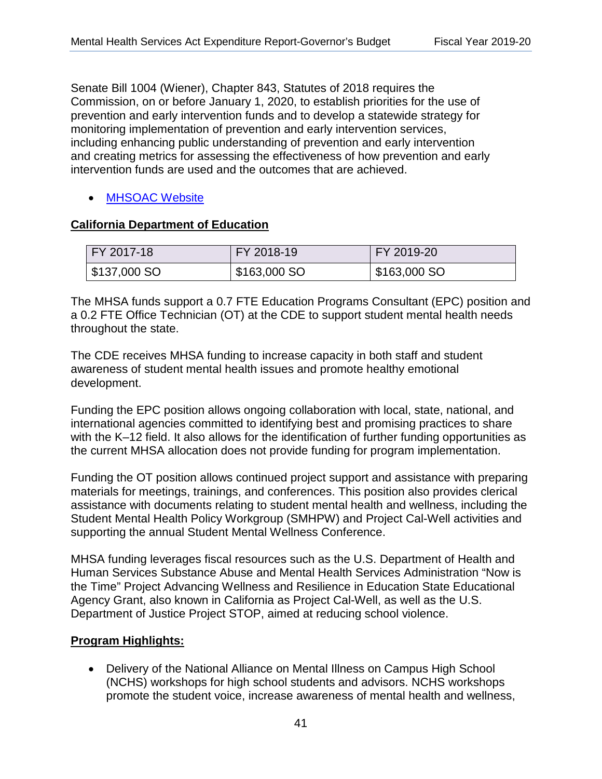Senate Bill 1004 (Wiener), Chapter 843, Statutes of 2018 requires the Commission, on or before January 1, 2020, to establish priorities for the use of prevention and early intervention funds and to develop a statewide strategy for monitoring implementation of prevention and early intervention services, including enhancing public understanding of prevention and early intervention and creating metrics for assessing the effectiveness of how prevention and early intervention funds are used and the outcomes that are achieved.

## • [MHSOAC Website](https://www.mhsoac.ca.gov/)

### **California Department of Education**  <u>California Department of Education</u>

| <b>FY 2017-18</b> | FY 2018-19   | FY 2019-20                 |  |
|-------------------|--------------|----------------------------|--|
| $$137,000$ SO     | \$163,000 SO | $\frac{1}{2}$ \$163,000 SO |  |

The MHSA funds support a 0.7 FTE Education Programs Consultant (EPC) position and a 0.2 FTE Office Technician (OT) at the CDE to support student mental health needs throughout the state.

The CDE receives MHSA funding to increase capacity in both staff and student awareness of student mental health issues and promote healthy emotional development.

Funding the EPC position allows ongoing collaboration with local, state, national, and international agencies committed to identifying best and promising practices to share with the K–12 field. It also allows for the identification of further funding opportunities as the current MHSA allocation does not provide funding for program implementation.

Funding the OT position allows continued project support and assistance with preparing materials for meetings, trainings, and conferences. This position also provides clerical assistance with documents relating to student mental health and wellness, including the Student Mental Health Policy Workgroup (SMHPW) and Project Cal-Well activities and supporting the annual Student Mental Wellness Conference.

MHSA funding leverages fiscal resources such as the U.S. Department of Health and Human Services Substance Abuse and Mental Health Services Administration "Now is the Time" Project Advancing Wellness and Resilience in Education State Educational Agency Grant, also known in California as Project Cal-Well, as well as the U.S. Department of Justice Project STOP, aimed at reducing school violence.

### **Program Highlights:**  <u>Program Highlights:</u>

• Delivery of the National Alliance on Mental Illness on Campus High School (NCHS) workshops for high school students and advisors. NCHS workshops promote the student voice, increase awareness of mental health and wellness,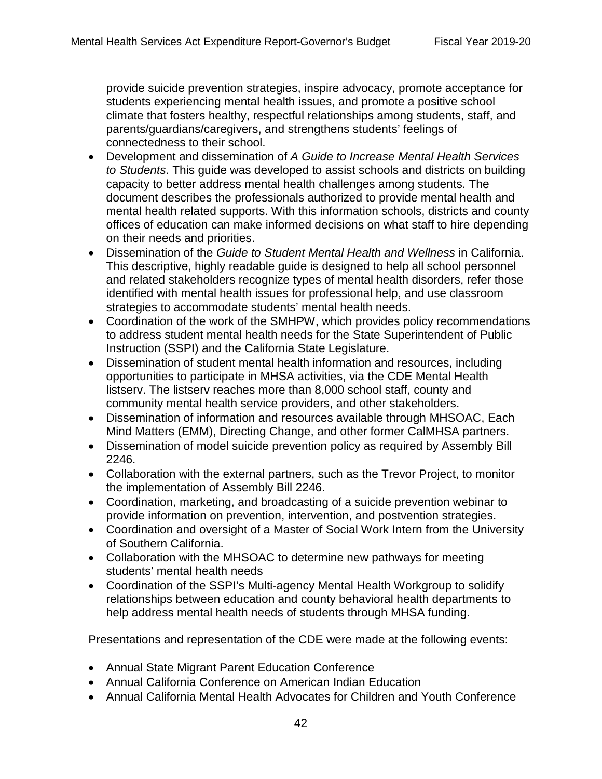provide suicide prevention strategies, inspire advocacy, promote acceptance for students experiencing mental health issues, and promote a positive school climate that fosters healthy, respectful relationships among students, staff, and parents/guardians/caregivers, and strengthens students' feelings of connectedness to their school.

- Development and dissemination of *A Guide to Increase Mental Health Services to Students*. This guide was developed to assist schools and districts on building capacity to better address mental health challenges among students. The document describes the professionals authorized to provide mental health and mental health related supports. With this information schools, districts and county offices of education can make informed decisions on what staff to hire depending on their needs and priorities.
- Dissemination of the *Guide to Student Mental Health and Wellness* in California. This descriptive, highly readable guide is designed to help all school personnel and related stakeholders recognize types of mental health disorders, refer those identified with mental health issues for professional help, and use classroom strategies to accommodate students' mental health needs.
- Coordination of the work of the SMHPW, which provides policy recommendations to address student mental health needs for the State Superintendent of Public Instruction (SSPI) and the California State Legislature.
- Dissemination of student mental health information and resources, including opportunities to participate in MHSA activities, via the CDE Mental Health listserv. The listserv reaches more than 8,000 school staff, county and community mental health service providers, and other stakeholders.
- Dissemination of information and resources available through MHSOAC, Each Mind Matters (EMM), Directing Change, and other former CalMHSA partners.
- Dissemination of model suicide prevention policy as required by Assembly Bill 2246.
- Collaboration with the external partners, such as the Trevor Project, to monitor the implementation of Assembly Bill 2246.
- Coordination, marketing, and broadcasting of a suicide prevention webinar to provide information on prevention, intervention, and postvention strategies.
- Coordination and oversight of a Master of Social Work Intern from the University of Southern California.
- Collaboration with the MHSOAC to determine new pathways for meeting students' mental health needs
- Coordination of the SSPI's Multi-agency Mental Health Workgroup to solidify relationships between education and county behavioral health departments to help address mental health needs of students through MHSA funding.

Presentations and representation of the CDE were made at the following events:

- Annual State Migrant Parent Education Conference
- Annual California Conference on American Indian Education
- Annual California Mental Health Advocates for Children and Youth Conference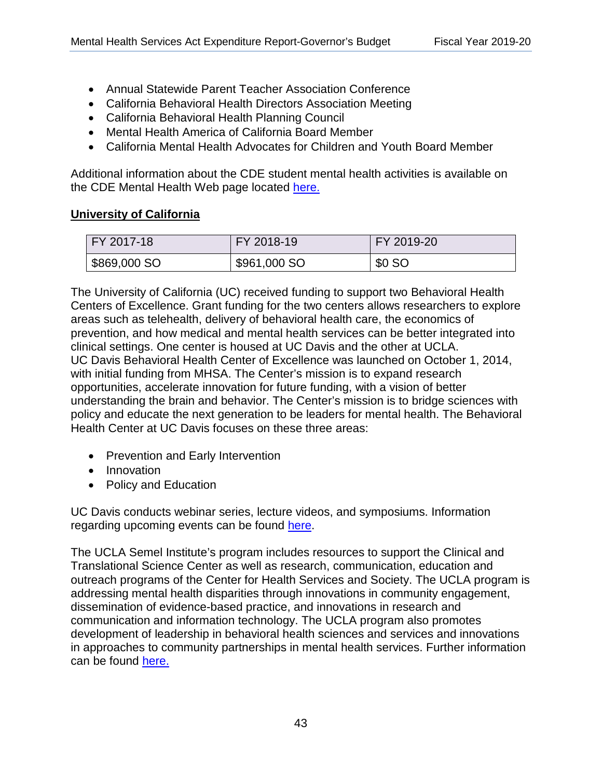- Annual Statewide Parent Teacher Association Conference
- California Behavioral Health Directors Association Meeting
- California Behavioral Health Planning Council
- Mental Health America of California Board Member
- California Mental Health Advocates for Children and Youth Board Member

Additional information about the CDE student mental health activities is available on the CDE Mental Health Web page located [here.](http://www.cde.ca.gov/ls/cg/mh/)

## **University of California**  <u>University of California</u>

| FY 2017-18   | FY 2018-19   | FY 2019-20 |
|--------------|--------------|------------|
| \$869,000 SO | \$961,000 SO | \$0 SO     |

The University of California (UC) received funding to support two Behavioral Health Centers of Excellence. Grant funding for the two centers allows researchers to explore areas such as telehealth, delivery of behavioral health care, the economics of prevention, and how medical and mental health services can be better integrated into clinical settings. One center is housed at UC Davis and the other at UCLA. UC Davis Behavioral Health Center of Excellence was launched on October 1, 2014, with initial funding from MHSA. The Center's mission is to expand research opportunities, accelerate innovation for future funding, with a vision of better understanding the brain and behavior. The Center's mission is to bridge sciences with policy and educate the next generation to be leaders for mental health. The Behavioral Health Center at UC Davis focuses on these three areas:

- Prevention and Early Intervention
- Innovation
- Policy and Education

UC Davis conducts webinar series, lecture videos, and symposiums. Information regarding upcoming events can be found [here.](http://behavioralhealth.ucdavis.edu/index.html)

The UCLA Semel Institute's program includes resources to support the Clinical and Translational Science Center as well as research, communication, education and outreach programs of the Center for Health Services and Society. The UCLA program is addressing mental health disparities through innovations in community engagement, dissemination of evidence-based practice, and innovations in research and communication and information technology. The UCLA program also promotes development of leadership in behavioral health sciences and services and innovations in approaches to community partnerships in mental health services. Further information can be found [here.](http://hss.semel.ucla.edu/cce/)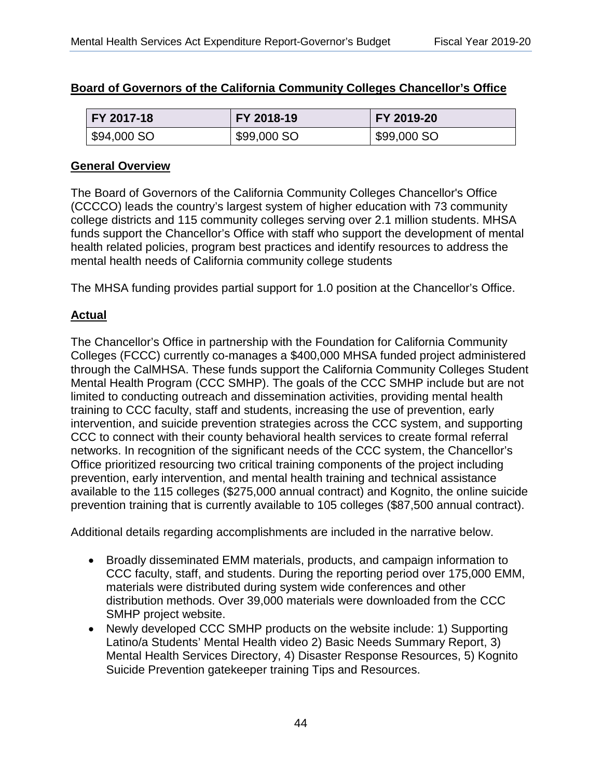| Board of Governors of the California Community Colleges Chancellor's Office |  |
|-----------------------------------------------------------------------------|--|
|-----------------------------------------------------------------------------|--|

| FY 2017-18  | FY 2018-19  | FY 2019-20  |
|-------------|-------------|-------------|
| \$94,000 SO | \$99,000 SO | \$99,000 SO |

## **General Overview**  <u>General Overview</u>

The Board of Governors of the California Community Colleges Chancellor's Office (CCCCO) leads the country's largest system of higher education with 73 community college districts and 115 community colleges serving over 2.1 million students. MHSA funds support the Chancellor's Office with staff who support the development of mental health related policies, program best practices and identify resources to address the mental health needs of California community college students

The MHSA funding provides partial support for 1.0 position at the Chancellor's Office.

### **Actual**  <u>Actual</u>

The Chancellor's Office in partnership with the Foundation for California Community Colleges (FCCC) currently co-manages a \$400,000 MHSA funded project administered through the CalMHSA. These funds support the California Community Colleges Student Mental Health Program (CCC SMHP). The goals of the CCC SMHP include but are not limited to conducting outreach and dissemination activities, providing mental health training to CCC faculty, staff and students, increasing the use of prevention, early intervention, and suicide prevention strategies across the CCC system, and supporting CCC to connect with their county behavioral health services to create formal referral networks. In recognition of the significant needs of the CCC system, the Chancellor's Office prioritized resourcing two critical training components of the project including prevention, early intervention, and mental health training and technical assistance available to the 115 colleges (\$275,000 annual contract) and Kognito, the online suicide prevention training that is currently available to 105 colleges (\$87,500 annual contract).

Additional details regarding accomplishments are included in the narrative below.

- Broadly disseminated EMM materials, products, and campaign information to CCC faculty, staff, and students. During the reporting period over 175,000 EMM, materials were distributed during system wide conferences and other distribution methods. Over 39,000 materials were downloaded from the CCC SMHP project website.
- Newly developed CCC SMHP products on the website include: 1) Supporting Latino/a Students' Mental Health video 2) Basic Needs Summary Report, 3) Mental Health Services Directory, 4) Disaster Response Resources, 5) Kognito Suicide Prevention gatekeeper training Tips and Resources.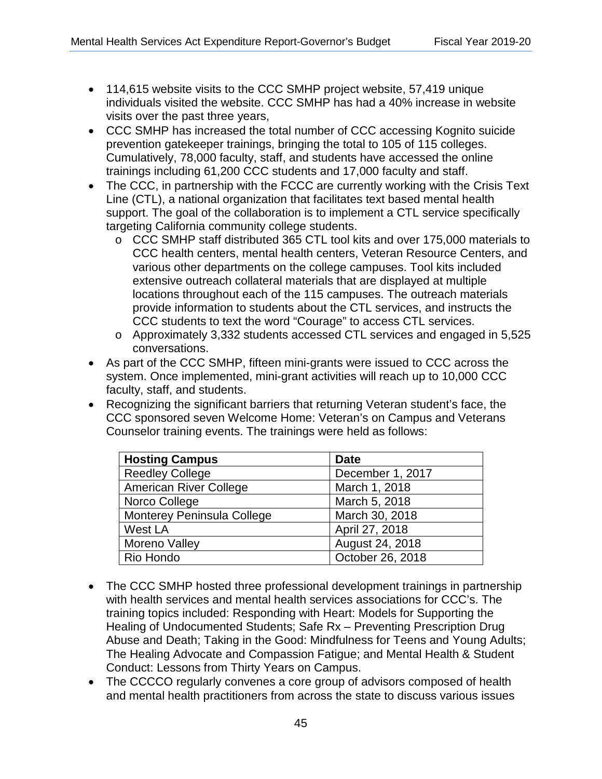- 114,615 website visits to the CCC SMHP project website, 57,419 unique individuals visited the website. CCC SMHP has had a 40% increase in website visits over the past three years,
- trainings including 61,200 CCC students and 17,000 faculty and staff. • CCC SMHP has increased the total number of CCC accessing Kognito suicide prevention gatekeeper trainings, bringing the total to 105 of 115 colleges. Cumulatively, 78,000 faculty, staff, and students have accessed the online
- The CCC, in partnership with the FCCC are currently working with the Crisis Text Line (CTL), a national organization that facilitates text based mental health support. The goal of the collaboration is to implement a CTL service specifically targeting California community college students.
	- o CCC SMHP staff distributed 365 CTL tool kits and over 175,000 materials to CCC health centers, mental health centers, Veteran Resource Centers, and various other departments on the college campuses. Tool kits included extensive outreach collateral materials that are displayed at multiple locations throughout each of the 115 campuses. The outreach materials provide information to students about the CTL services, and instructs the CCC students to text the word "Courage" to access CTL services.
	- o Approximately 3,332 students accessed CTL services and engaged in 5,525 conversations.
- As part of the CCC SMHP, fifteen mini-grants were issued to CCC across the system. Once implemented, mini-grant activities will reach up to 10,000 CCC faculty, staff, and students.
- Recognizing the significant barriers that returning Veteran student's face, the CCC sponsored seven Welcome Home: Veteran's on Campus and Veterans Counselor training events. The trainings were held as follows:

| <b>Hosting Campus</b>         | <b>Date</b>      |
|-------------------------------|------------------|
| <b>Reedley College</b>        | December 1, 2017 |
| <b>American River College</b> | March 1, 2018    |
| Norco College                 | March 5, 2018    |
| Monterey Peninsula College    | March 30, 2018   |
| West LA                       | April 27, 2018   |
| Moreno Valley                 | August 24, 2018  |
| Rio Hondo                     | October 26, 2018 |

- The CCC SMHP hosted three professional development trainings in partnership with health services and mental health services associations for CCC's. The training topics included: Responding with Heart: Models for Supporting the Healing of Undocumented Students; Safe Rx – Preventing Prescription Drug Abuse and Death; Taking in the Good: Mindfulness for Teens and Young Adults; The Healing Advocate and Compassion Fatigue; and Mental Health & Student Conduct: Lessons from Thirty Years on Campus.
- The CCCCO regularly convenes a core group of advisors composed of health and mental health practitioners from across the state to discuss various issues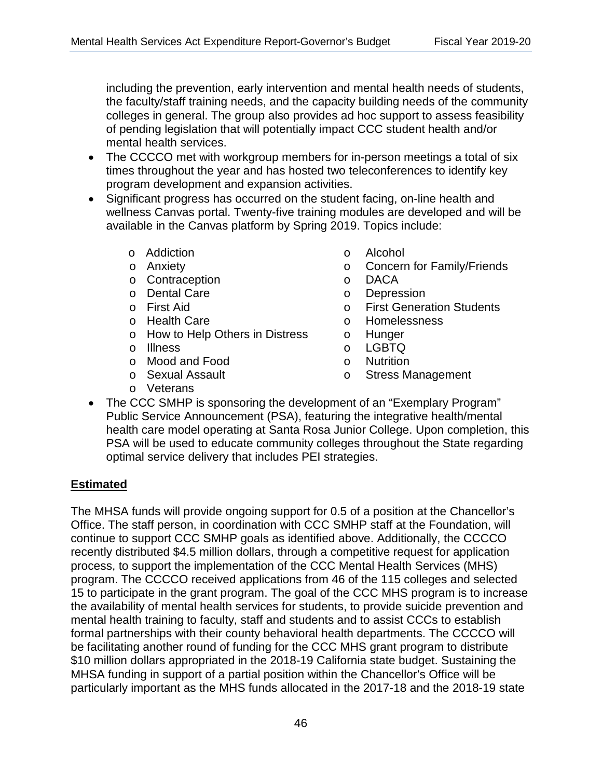including the prevention, early intervention and mental health needs of students, the faculty/staff training needs, and the capacity building needs of the community colleges in general. The group also provides ad hoc support to assess feasibility of pending legislation that will potentially impact CCC student health and/or mental health services.

- The CCCCO met with workgroup members for in-person meetings a total of six times throughout the year and has hosted two teleconferences to identify key program development and expansion activities.
- Significant progress has occurred on the student facing, on-line health and wellness Canvas portal. Twenty-five training modules are developed and will be available in the Canvas platform by Spring 2019. Topics include:
	-
	-
	- o Contraception o DACA
	- o Dental Care o Operation o Dental Care o Operation o Operation o Operation o Operation o Operation o Operatio<br>
	o Pirst Aid
	-
	-
	- o Health Care<br>o How to Help Others in Distress o Hunger o How to Help Others in Distress on Hunger<br>
	o Illness on CGBTQ

optimal service delivery that includes PEI strategies.

- 
- o Illness o LGBTQ o Mood and Food<br>o Sexual Assault
- 
- o Addiction o Alcohol o Concern for Family/Friends
	-
	-
	- o First Generation Students<br>o Homelessness
	-
	-
	-
	-
	- o Stress Management
- o Veterans • The CCC SMHP is sponsoring the development of an "Exemplary Program" Public Service Announcement (PSA), featuring the integrative health/mental health care model operating at Santa Rosa Junior College. Upon completion, this PSA will be used to educate community colleges throughout the State regarding

## **Estimated**  <u>Estimated</u>

The MHSA funds will provide ongoing support for 0.5 of a position at the Chancellor's Office. The staff person, in coordination with CCC SMHP staff at the Foundation, will continue to support CCC SMHP goals as identified above. Additionally, the CCCCO recently distributed \$4.5 million dollars, through a competitive request for application process, to support the implementation of the CCC Mental Health Services (MHS) program. The CCCCO received applications from 46 of the 115 colleges and selected 15 to participate in the grant program. The goal of the CCC MHS program is to increase the availability of mental health services for students, to provide suicide prevention and mental health training to faculty, staff and students and to assist CCCs to establish formal partnerships with their county behavioral health departments. The CCCCO will be facilitating another round of funding for the CCC MHS grant program to distribute \$10 million dollars appropriated in the 2018-19 California state budget. Sustaining the MHSA funding in support of a partial position within the Chancellor's Office will be particularly important as the MHS funds allocated in the 2017-18 and the 2018-19 state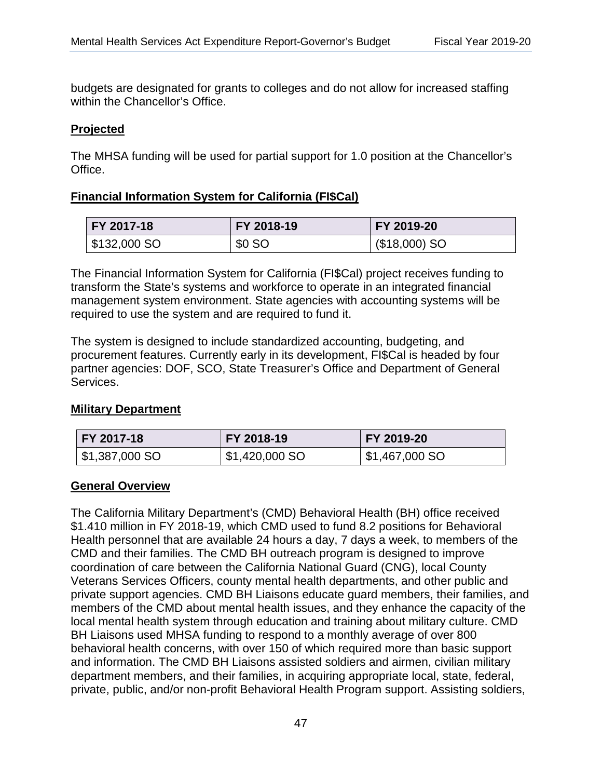budgets are designated for grants to colleges and do not allow for increased staffing within the Chancellor's Office.

## **Projected**  <u>Projected</u>

The MHSA funding will be used for partial support for 1.0 position at the Chancellor's Office.

## **Financial Information System for California (FI\$Cal)**  <u>Financial Information System for California (FI\$Cal) </u>

| FY 2017-18                 | FY 2018-19 | FY 2019-20     |  |
|----------------------------|------------|----------------|--|
| $\frac{1}{2}$ \$132,000 SO | \$0 SO     | $($18,000)$ SO |  |

The Financial Information System for California (FI\$Cal) project receives funding to transform the State's systems and workforce to operate in an integrated financial management system environment. State agencies with accounting systems will be required to use the system and are required to fund it.

The system is designed to include standardized accounting, budgeting, and procurement features. Currently early in its development, FI\$Cal is headed by four partner agencies: DOF, SCO, State Treasurer's Office and Department of General Services.

## **Military Department**  <u>Military Department</u>

| FY 2017-18      | FY 2018-19     | FY 2019-20     |  |
|-----------------|----------------|----------------|--|
| $$1,387,000$ SO | \$1,420,000 SO | \$1,467,000 SO |  |

### **General Overview**  <u>General Overview</u>

The California Military Department's (CMD) Behavioral Health (BH) office received \$1.410 million in FY 2018-19, which CMD used to fund 8.2 positions for Behavioral Health personnel that are available 24 hours a day, 7 days a week, to members of the CMD and their families. The CMD BH outreach program is designed to improve coordination of care between the California National Guard (CNG), local County Veterans Services Officers, county mental health departments, and other public and private support agencies. CMD BH Liaisons educate guard members, their families, and members of the CMD about mental health issues, and they enhance the capacity of the local mental health system through education and training about military culture. CMD BH Liaisons used MHSA funding to respond to a monthly average of over 800 behavioral health concerns, with over 150 of which required more than basic support and information. The CMD BH Liaisons assisted soldiers and airmen, civilian military department members, and their families, in acquiring appropriate local, state, federal, private, public, and/or non-profit Behavioral Health Program support. Assisting soldiers,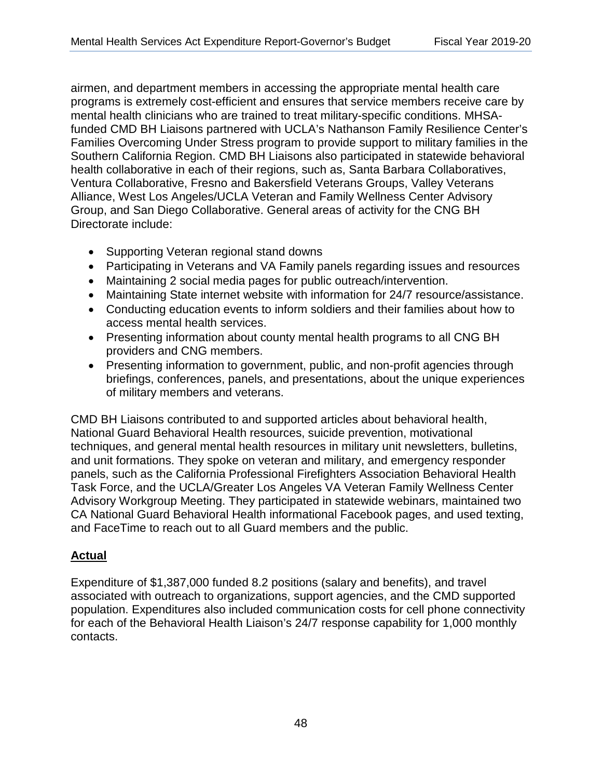airmen, and department members in accessing the appropriate mental health care programs is extremely cost-efficient and ensures that service members receive care by mental health clinicians who are trained to treat military-specific conditions. MHSAfunded CMD BH Liaisons partnered with UCLA's Nathanson Family Resilience Center's Families Overcoming Under Stress program to provide support to military families in the Southern California Region. CMD BH Liaisons also participated in statewide behavioral health collaborative in each of their regions, such as, Santa Barbara Collaboratives, Ventura Collaborative, Fresno and Bakersfield Veterans Groups, Valley Veterans Alliance, West Los Angeles/UCLA Veteran and Family Wellness Center Advisory Group, and San Diego Collaborative. General areas of activity for the CNG BH Directorate include:

- Supporting Veteran regional stand downs
- Participating in Veterans and VA Family panels regarding issues and resources
- Maintaining 2 social media pages for public outreach/intervention.
- Maintaining State internet website with information for 24/7 resource/assistance.
- access mental health services. • Conducting education events to inform soldiers and their families about how to
- Presenting information about county mental health programs to all CNG BH providers and CNG members.
- Presenting information to government, public, and non-profit agencies through briefings, conferences, panels, and presentations, about the unique experiences of military members and veterans.

CMD BH Liaisons contributed to and supported articles about behavioral health, National Guard Behavioral Health resources, suicide prevention, motivational techniques, and general mental health resources in military unit newsletters, bulletins, and unit formations. They spoke on veteran and military, and emergency responder panels, such as the California Professional Firefighters Association Behavioral Health Task Force, and the UCLA/Greater Los Angeles VA Veteran Family Wellness Center Advisory Workgroup Meeting. They participated in statewide webinars, maintained two CA National Guard Behavioral Health informational Facebook pages, and used texting, and FaceTime to reach out to all Guard members and the public.

## **Actual**  <u>Actual</u>

Expenditure of \$1,387,000 funded 8.2 positions (salary and benefits), and travel associated with outreach to organizations, support agencies, and the CMD supported population. Expenditures also included communication costs for cell phone connectivity for each of the Behavioral Health Liaison's 24/7 response capability for 1,000 monthly contacts.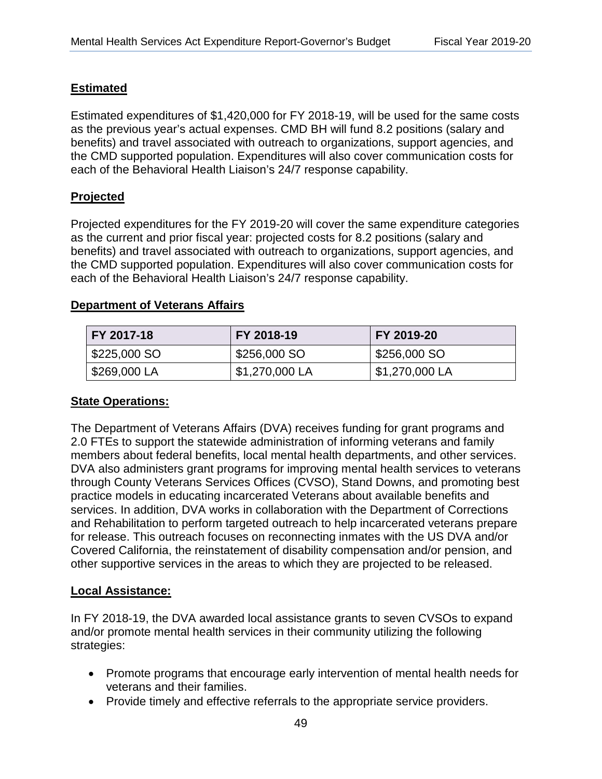## **Estimated**  <u>Estimated</u>

Estimated expenditures of \$1,420,000 for FY 2018-19, will be used for the same costs as the previous year's actual expenses. CMD BH will fund 8.2 positions (salary and benefits) and travel associated with outreach to organizations, support agencies, and the CMD supported population. Expenditures will also cover communication costs for each of the Behavioral Health Liaison's 24/7 response capability.

## **Projected**  <u>Projected</u>

Projected expenditures for the FY 2019-20 will cover the same expenditure categories as the current and prior fiscal year: projected costs for 8.2 positions (salary and benefits) and travel associated with outreach to organizations, support agencies, and the CMD supported population. Expenditures will also cover communication costs for each of the Behavioral Health Liaison's 24/7 response capability.

### **Department of Veterans Affairs**  <u>Department of Veterans Affairs</u>

| FY 2017-18   | FY 2018-19     | FY 2019-20     |  |
|--------------|----------------|----------------|--|
| \$225,000 SO | \$256,000 SO   | \$256,000 SO   |  |
| \$269,000 LA | \$1,270,000 LA | \$1,270,000 LA |  |

## **State Operations:**  <u>State Operations: </u>

The Department of Veterans Affairs (DVA) receives funding for grant programs and 2.0 FTEs to support the statewide administration of informing veterans and family members about federal benefits, local mental health departments, and other services. DVA also administers grant programs for improving mental health services to veterans through County Veterans Services Offices (CVSO), Stand Downs, and promoting best practice models in educating incarcerated Veterans about available benefits and services. In addition, DVA works in collaboration with the Department of Corrections and Rehabilitation to perform targeted outreach to help incarcerated veterans prepare for release. This outreach focuses on reconnecting inmates with the US DVA and/or Covered California, the reinstatement of disability compensation and/or pension, and other supportive services in the areas to which they are projected to be released.

### **Local Assistance:**  <u>Local Assistance: </u>

In FY 2018-19, the DVA awarded local assistance grants to seven CVSOs to expand and/or promote mental health services in their community utilizing the following strategies:

- Promote programs that encourage early intervention of mental health needs for veterans and their families.
- Provide timely and effective referrals to the appropriate service providers.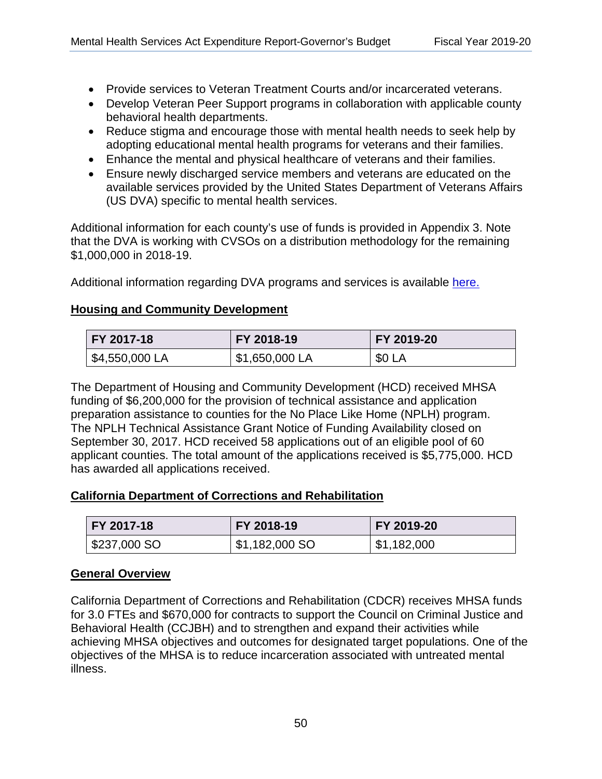- Provide services to Veteran Treatment Courts and/or incarcerated veterans.
- Develop Veteran Peer Support programs in collaboration with applicable county behavioral health departments.
- Reduce stigma and encourage those with mental health needs to seek help by adopting educational mental health programs for veterans and their families.
- Enhance the mental and physical healthcare of veterans and their families.
- Ensure newly discharged service members and veterans are educated on the available services provided by the United States Department of Veterans Affairs (US DVA) specific to mental health services.

\$1,000,000 in 2018-19. Additional information for each county's use of funds is provided in Appendix 3. Note that the DVA is working with CVSOs on a distribution methodology for the remaining

Additional information regarding DVA programs and services is available here.

### **Housing and Community Development**  <u>Housing and Community Development</u>

| FY 2017-18     | FY 2018-19     | FY 2019-20    |  |
|----------------|----------------|---------------|--|
| \$4,550,000 LA | \$1,650,000 LA | <b>\$0 LA</b> |  |

The Department of Housing and Community Development (HCD) received MHSA funding of \$6,200,000 for the provision of technical assistance and application preparation assistance to counties for the No Place Like Home (NPLH) program. The NPLH Technical Assistance Grant Notice of Funding Availability closed on September 30, 2017. HCD received 58 applications out of an eligible pool of 60 applicant counties. The total amount of the applications received is \$5,775,000. HCD has awarded all applications received.

### **California Department of Corrections and Rehabilitation**  <u>California Department of Corrections and Rehabilitation</u>

| <b>FY 2017-18</b> | FY 2018-19     | FY 2019-20  |
|-------------------|----------------|-------------|
| \$237,000 SO      | \$1,182,000 SO | \$1,182,000 |

#### **General Overview**  <u>General Overview </u>

California Department of Corrections and Rehabilitation (CDCR) receives MHSA funds for 3.0 FTEs and \$670,000 for contracts to support the Council on Criminal Justice and Behavioral Health (CCJBH) and to strengthen and expand their activities while achieving MHSA objectives and outcomes for designated target populations. One of the objectives of the MHSA is to reduce incarceration associated with untreated mental illness.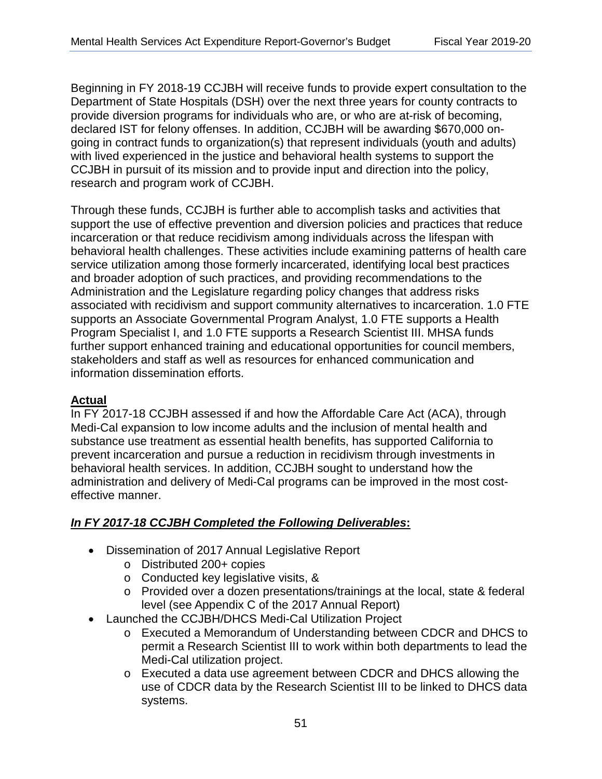Beginning in FY 2018-19 CCJBH will receive funds to provide expert consultation to the Department of State Hospitals (DSH) over the next three years for county contracts to provide diversion programs for individuals who are, or who are at-risk of becoming, declared IST for felony offenses. In addition, CCJBH will be awarding \$670,000 ongoing in contract funds to organization(s) that represent individuals (youth and adults) with lived experienced in the justice and behavioral health systems to support the CCJBH in pursuit of its mission and to provide input and direction into the policy, research and program work of CCJBH.

Through these funds, CCJBH is further able to accomplish tasks and activities that support the use of effective prevention and diversion policies and practices that reduce incarceration or that reduce recidivism among individuals across the lifespan with behavioral health challenges. These activities include examining patterns of health care service utilization among those formerly incarcerated, identifying local best practices and broader adoption of such practices, and providing recommendations to the Administration and the Legislature regarding policy changes that address risks associated with recidivism and support community alternatives to incarceration. 1.0 FTE supports an Associate Governmental Program Analyst, 1.0 FTE supports a Health Program Specialist I, and 1.0 FTE supports a Research Scientist III. MHSA funds further support enhanced training and educational opportunities for council members, stakeholders and staff as well as resources for enhanced communication and information dissemination efforts.

## **Actual**  <u>Actual</u>

In FY 2017-18 CCJBH assessed if and how the Affordable Care Act (ACA), through Medi-Cal expansion to low income adults and the inclusion of mental health and substance use treatment as essential health benefits, has supported California to prevent incarceration and pursue a reduction in recidivism through investments in behavioral health services. In addition, CCJBH sought to understand how the administration and delivery of Medi-Cal programs can be improved in the most costeffective manner.

## *In FY 2017-18 CCJBH Completed the Following Deliverables***:**  <u>In FR 2017-18 CCJBH Completed the Following Deliverables:</u>

- Dissemination of 2017 Annual Legislative Report
	- o Distributed 200+ copies
	- o Conducted key legislative visits, &
	- o Provided over a dozen presentations/trainings at the local, state & federal level (see Appendix C of the 2017 Annual Report)
- Launched the CCJBH/DHCS Medi-Cal Utilization Project
	- o Executed a Memorandum of Understanding between CDCR and DHCS to permit a Research Scientist III to work within both departments to lead the Medi-Cal utilization project.
	- o Executed a data use agreement between CDCR and DHCS allowing the use of CDCR data by the Research Scientist III to be linked to DHCS data systems.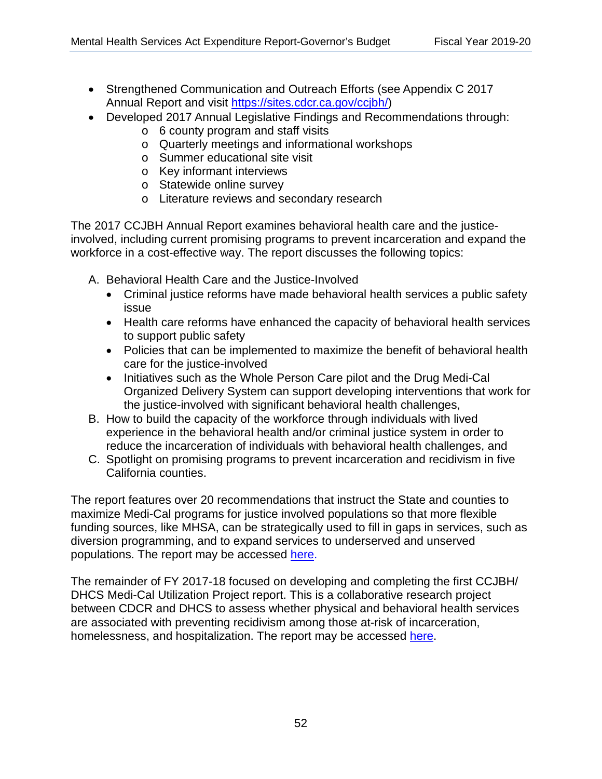- Strengthened Communication and Outreach Efforts (see Appendix C 2017 Annual Report and visit [https://sites.cdcr.ca.gov/ccjbh/\)](https://sites.cdcr.ca.gov/ccjbh/)
- Developed 2017 Annual Legislative Findings and Recommendations through:
	- o 6 county program and staff visits
	- o Quarterly meetings and informational workshops
	- o Summer educational site visit
	- o Key informant interviews
	- o Statewide online survey
	- o Literature reviews and secondary research

The 2017 CCJBH Annual Report examines behavioral health care and the justiceinvolved, including current promising programs to prevent incarceration and expand the workforce in a cost-effective way. The report discusses the following topics:

- A. Behavioral Health Care and the Justice-Involved
	- Criminal justice reforms have made behavioral health services a public safety issue
	- Health care reforms have enhanced the capacity of behavioral health services to support public safety
	- Policies that can be implemented to maximize the benefit of behavioral health care for the justice-involved
	- Initiatives such as the Whole Person Care pilot and the Drug Medi-Cal Organized Delivery System can support developing interventions that work for the justice-involved with significant behavioral health challenges,
- B. How to build the capacity of the workforce through individuals with lived experience in the behavioral health and/or criminal justice system in order to reduce the incarceration of individuals with behavioral health challenges, and
- C. Spotlight on promising programs to prevent incarceration and recidivism in five California counties.

The report features over 20 recommendations that instruct the State and counties to maximize Medi-Cal programs for justice involved populations so that more flexible funding sources, like MHSA, can be strategically used to fill in gaps in services, such as diversion programming, and to expand services to underserved and unserved populations. The report may be accessed [here.](https://sites.cdcr.ca.gov/ccjbh/wp-content/uploads/sites/4/2018/01/COMIO-16th-Annual-Report-Final_Print-1.pdf)

The remainder of FY 2017-18 focused on developing and completing the first CCJBH/ DHCS Medi-Cal Utilization Project report. This is a collaborative research project between CDCR and DHCS to assess whether physical and behavioral health services are associated with preventing recidivism among those at-risk of incarceration, homelessness, and hospitalization. The report may be accessed [here.](https://sites.cdcr.ca.gov/ccjbh/wp-content/uploads/sites/4/2018/12/Offender-Medi-Cal-Utilization-Study-Research-Report-CCJBH-FINAL.pdf)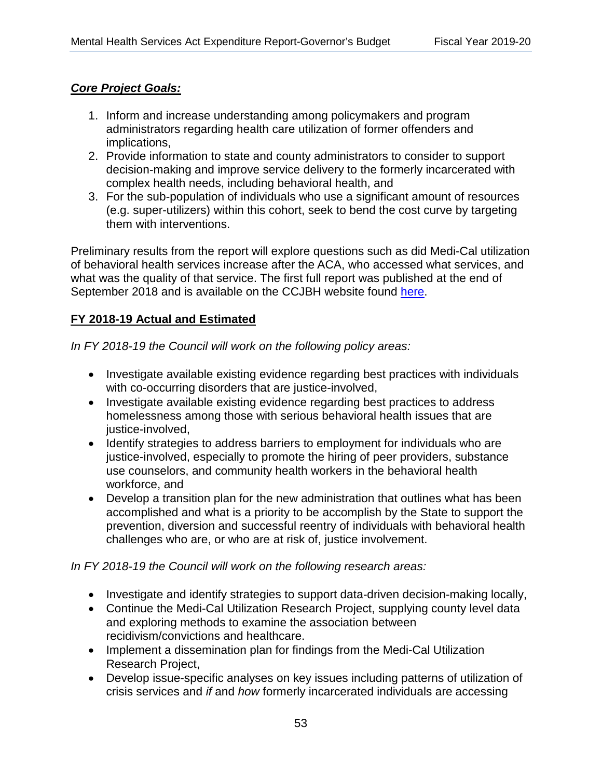## *Core Project Goals:*  <u>Core Project Goals:</u>

- 1. Inform and increase understanding among policymakers and program administrators regarding health care utilization of former offenders and implications,
- 2. Provide information to state and county administrators to consider to support decision-making and improve service delivery to the formerly incarcerated with complex health needs, including behavioral health, and
- 3. For the sub-population of individuals who use a significant amount of resources (e.g. super-utilizers) within this cohort, seek to bend the cost curve by targeting them with interventions.

Preliminary results from the report will explore questions such as did Medi-Cal utilization of behavioral health services increase after the ACA, who accessed what services, and what was the quality of that service. The first full report was published at the end of September 2018 and is available on the CCJBH website found [here.](https://sites.cdcr.ca.gov/ccjbh/)

## **FY 2018-19 Actual and Estimated**  <u>2018-19 Actual and Estimated</u>

*In FY 2018-19 the Council will work on the following policy areas:* 

- Investigate available existing evidence regarding best practices with individuals with co-occurring disorders that are justice-involved,
- Investigate available existing evidence regarding best practices to address homelessness among those with serious behavioral health issues that are justice-involved,
- Identify strategies to address barriers to employment for individuals who are justice-involved, especially to promote the hiring of peer providers, substance use counselors, and community health workers in the behavioral health workforce, and
- Develop a transition plan for the new administration that outlines what has been accomplished and what is a priority to be accomplish by the State to support the prevention, diversion and successful reentry of individuals with behavioral health challenges who are, or who are at risk of, justice involvement.

*In FY 2018-19 the Council will work on the following research areas:* 

- Investigate and identify strategies to support data-driven decision-making locally,
- Continue the Medi-Cal Utilization Research Project, supplying county level data and exploring methods to examine the association between recidivism/convictions and healthcare.
- Implement a dissemination plan for findings from the Medi-Cal Utilization Research Project,
- Develop issue-specific analyses on key issues including patterns of utilization of crisis services and *if* and *how* formerly incarcerated individuals are accessing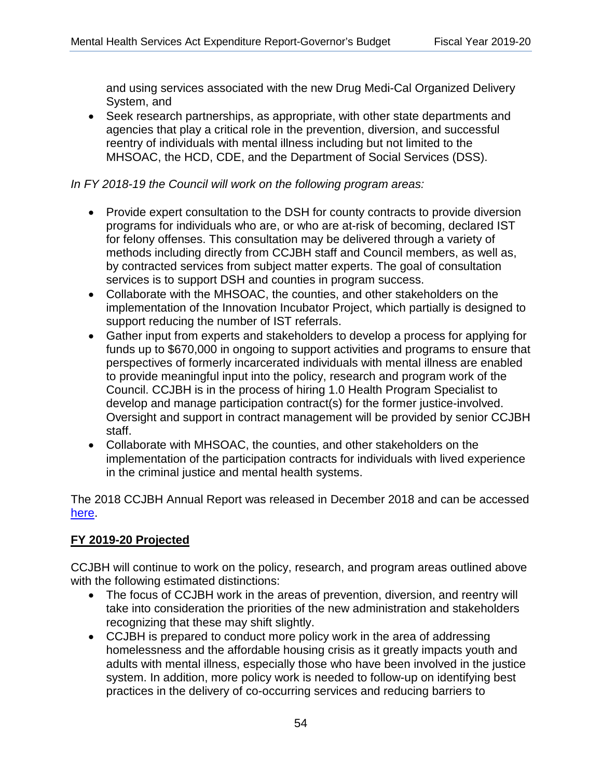and using services associated with the new Drug Medi-Cal Organized Delivery System, and

• Seek research partnerships, as appropriate, with other state departments and agencies that play a critical role in the prevention, diversion, and successful reentry of individuals with mental illness including but not limited to the MHSOAC, the HCD, CDE, and the Department of Social Services (DSS).

### *In FY 2018-19 the Council will work on the following program areas:*

- Provide expert consultation to the DSH for county contracts to provide diversion programs for individuals who are, or who are at-risk of becoming, declared IST for felony offenses. This consultation may be delivered through a variety of methods including directly from CCJBH staff and Council members, as well as, by contracted services from subject matter experts. The goal of consultation services is to support DSH and counties in program success.
- Collaborate with the MHSOAC, the counties, and other stakeholders on the implementation of the Innovation Incubator Project, which partially is designed to support reducing the number of IST referrals.
- Gather input from experts and stakeholders to develop a process for applying for funds up to \$670,000 in ongoing to support activities and programs to ensure that perspectives of formerly incarcerated individuals with mental illness are enabled to provide meaningful input into the policy, research and program work of the Council. CCJBH is in the process of hiring 1.0 Health Program Specialist to develop and manage participation contract(s) for the former justice-involved. Oversight and support in contract management will be provided by senior CCJBH staff.
- Collaborate with MHSOAC, the counties, and other stakeholders on the implementation of the participation contracts for individuals with lived experience in the criminal justice and mental health systems.

The 2018 CCJBH Annual Report was released in December 2018 and can be accessed [here.](https://sites.cdcr.ca.gov/ccjbh/wp-content/uploads/sites/4/2019/01/2018-CCJBH-17th-Annual-Legislative-Report-12-31-18.pdf)

### **FY 2019-20 Projected**  <u>FY 2019-20 Projected</u>

CCJBH will continue to work on the policy, research, and program areas outlined above with the following estimated distinctions:

- The focus of CCJBH work in the areas of prevention, diversion, and reentry will take into consideration the priorities of the new administration and stakeholders recognizing that these may shift slightly.
- CCJBH is prepared to conduct more policy work in the area of addressing homelessness and the affordable housing crisis as it greatly impacts youth and adults with mental illness, especially those who have been involved in the justice system. In addition, more policy work is needed to follow-up on identifying best practices in the delivery of co-occurring services and reducing barriers to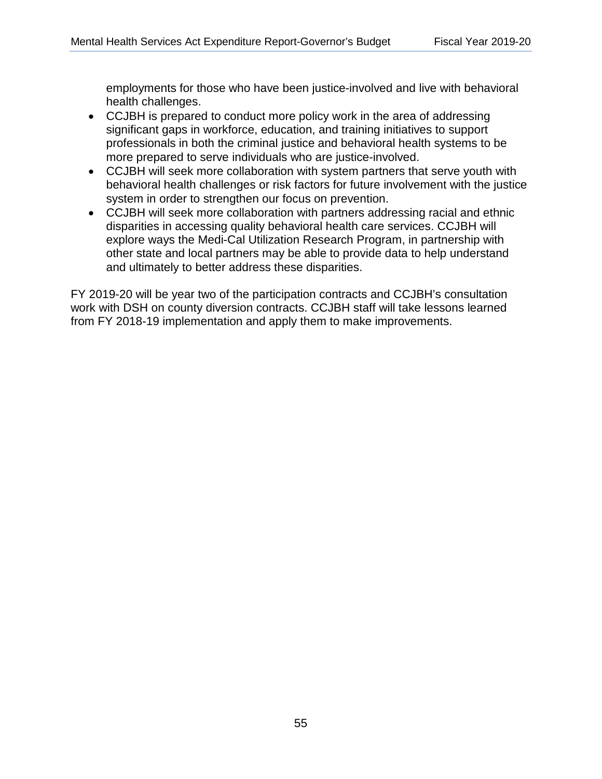health challenges. employments for those who have been justice-involved and live with behavioral

- CCJBH is prepared to conduct more policy work in the area of addressing significant gaps in workforce, education, and training initiatives to support professionals in both the criminal justice and behavioral health systems to be more prepared to serve individuals who are justice-involved.
- CCJBH will seek more collaboration with system partners that serve youth with behavioral health challenges or risk factors for future involvement with the justice system in order to strengthen our focus on prevention.
- and ultimately to better address these disparities. • CCJBH will seek more collaboration with partners addressing racial and ethnic disparities in accessing quality behavioral health care services. CCJBH will explore ways the Medi-Cal Utilization Research Program, in partnership with other state and local partners may be able to provide data to help understand

FY 2019-20 will be year two of the participation contracts and CCJBH's consultation work with DSH on county diversion contracts. CCJBH staff will take lessons learned from FY 2018-19 implementation and apply them to make improvements.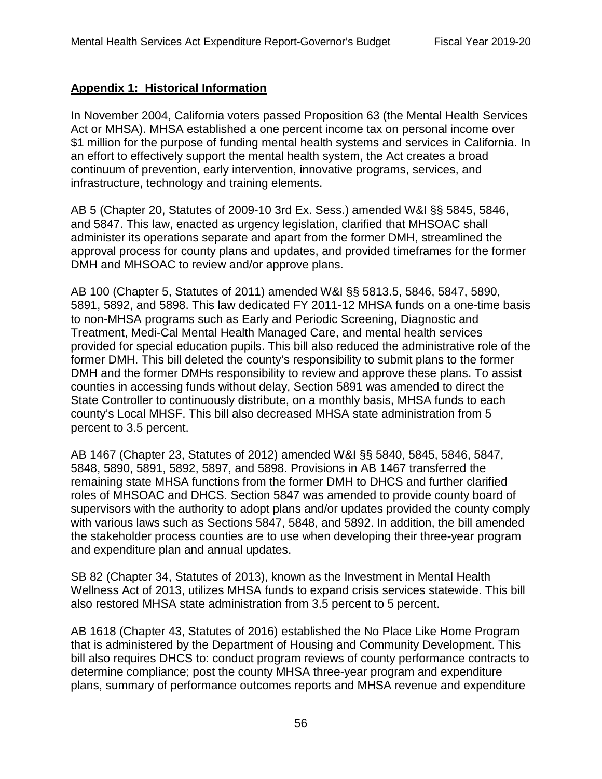## **Appendix 1: Historical Information**  <u>Appendix 1: Historical Information</u>

 infrastructure, technology and training elements. In November 2004, California voters passed Proposition 63 (the Mental Health Services Act or MHSA). MHSA established a one percent income tax on personal income over \$1 million for the purpose of funding mental health systems and services in California. In an effort to effectively support the mental health system, the Act creates a broad continuum of prevention, early intervention, innovative programs, services, and

AB 5 (Chapter 20, Statutes of 2009-10 3rd Ex. Sess.) amended W&I §§ 5845, 5846, and 5847. This law, enacted as urgency legislation, clarified that MHSOAC shall administer its operations separate and apart from the former DMH, streamlined the approval process for county plans and updates, and provided timeframes for the former DMH and MHSOAC to review and/or approve plans.

AB 100 (Chapter 5, Statutes of 2011) amended W&I §§ 5813.5, 5846, 5847, 5890, 5891, 5892, and 5898. This law dedicated FY 2011-12 MHSA funds on a one-time basis to non-MHSA programs such as Early and Periodic Screening, Diagnostic and Treatment, Medi-Cal Mental Health Managed Care, and mental health services provided for special education pupils. This bill also reduced the administrative role of the former DMH. This bill deleted the county's responsibility to submit plans to the former DMH and the former DMHs responsibility to review and approve these plans. To assist counties in accessing funds without delay, Section 5891 was amended to direct the State Controller to continuously distribute, on a monthly basis, MHSA funds to each county's Local MHSF. This bill also decreased MHSA state administration from 5 percent to 3.5 percent.

AB 1467 (Chapter 23, Statutes of 2012) amended W&I §§ 5840, 5845, 5846, 5847, 5848, 5890, 5891, 5892, 5897, and 5898. Provisions in AB 1467 transferred the remaining state MHSA functions from the former DMH to DHCS and further clarified roles of MHSOAC and DHCS. Section 5847 was amended to provide county board of supervisors with the authority to adopt plans and/or updates provided the county comply with various laws such as Sections 5847, 5848, and 5892. In addition, the bill amended the stakeholder process counties are to use when developing their three-year program and expenditure plan and annual updates.

SB 82 (Chapter 34, Statutes of 2013), known as the Investment in Mental Health Wellness Act of 2013, utilizes MHSA funds to expand crisis services statewide. This bill also restored MHSA state administration from 3.5 percent to 5 percent.

AB 1618 (Chapter 43, Statutes of 2016) established the No Place Like Home Program that is administered by the Department of Housing and Community Development. This bill also requires DHCS to: conduct program reviews of county performance contracts to determine compliance; post the county MHSA three-year program and expenditure plans, summary of performance outcomes reports and MHSA revenue and expenditure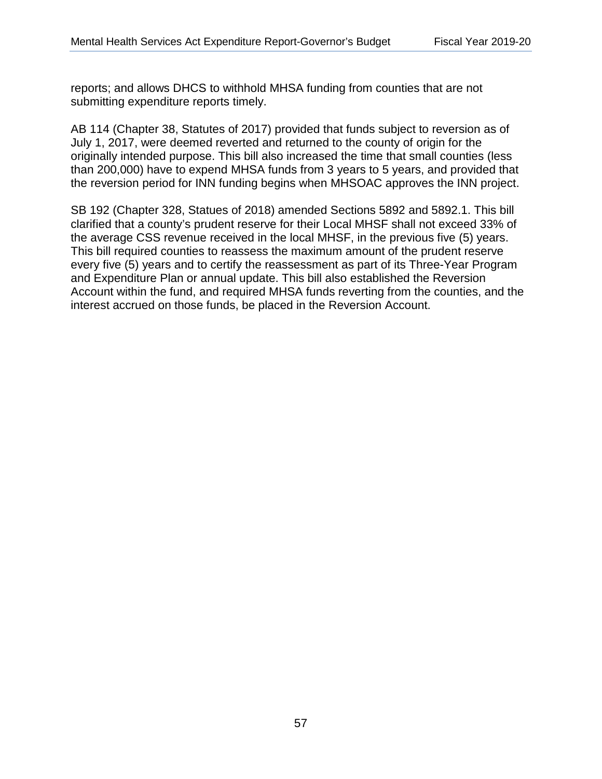reports; and allows DHCS to withhold MHSA funding from counties that are not submitting expenditure reports timely.

AB 114 (Chapter 38, Statutes of 2017) provided that funds subject to reversion as of July 1, 2017, were deemed reverted and returned to the county of origin for the originally intended purpose. This bill also increased the time that small counties (less than 200,000) have to expend MHSA funds from 3 years to 5 years, and provided that the reversion period for INN funding begins when MHSOAC approves the INN project.

SB 192 (Chapter 328, Statues of 2018) amended Sections 5892 and 5892.1. This bill clarified that a county's prudent reserve for their Local MHSF shall not exceed 33% of the average CSS revenue received in the local MHSF, in the previous five (5) years. This bill required counties to reassess the maximum amount of the prudent reserve every five (5) years and to certify the reassessment as part of its Three-Year Program and Expenditure Plan or annual update. This bill also established the Reversion Account within the fund, and required MHSA funds reverting from the counties, and the interest accrued on those funds, be placed in the Reversion Account.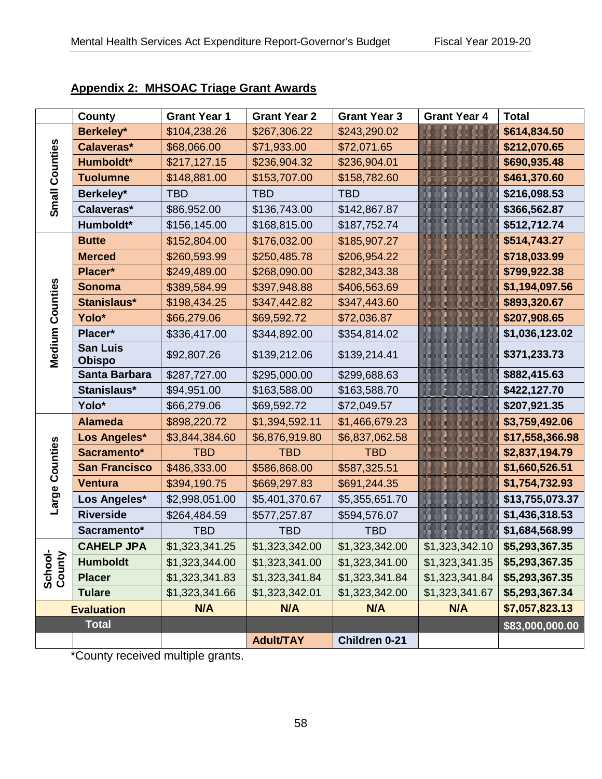|                        | <b>County</b>                    | <b>Grant Year 1</b> | <b>Grant Year 2</b> | <b>Grant Year 3</b> | <b>Grant Year 4</b> | <b>Total</b>    |
|------------------------|----------------------------------|---------------------|---------------------|---------------------|---------------------|-----------------|
|                        | Berkeley*                        | \$104,238.26        | \$267,306.22        | \$243,290.02        |                     | \$614,834.50    |
|                        | Calaveras*                       | \$68,066.00         | \$71,933.00         | \$72,071.65         |                     | \$212,070.65    |
|                        | Humboldt*                        | \$217,127.15        | \$236,904.32        | \$236,904.01        |                     | \$690,935.48    |
|                        | <b>Tuolumne</b>                  | \$148,881.00        | \$153,707.00        | \$158,782.60        |                     | \$461,370.60    |
| Small Counties         | Berkeley*                        | <b>TBD</b>          | <b>TBD</b>          | <b>TBD</b>          |                     | \$216,098.53    |
|                        | Calaveras*                       | \$86,952.00         | \$136,743.00        | \$142,867.87        |                     | \$366,562.87    |
|                        | Humboldt*                        | \$156,145.00        | \$168,815.00        | \$187,752.74        |                     | \$512,712.74    |
|                        | <b>Butte</b>                     | \$152,804.00        | \$176,032.00        | \$185,907.27        |                     | \$514,743.27    |
|                        | <b>Merced</b>                    | \$260,593.99        | \$250,485.78        | \$206,954.22        |                     | \$718,033.99    |
|                        | Placer*                          | \$249,489.00        | \$268,090.00        | \$282,343.38        |                     | \$799,922.38    |
|                        | <b>Sonoma</b>                    | \$389,584.99        | \$397,948.88        | \$406,563.69        |                     | \$1,194,097.56  |
|                        | Stanislaus*                      | \$198,434.25        | \$347,442.82        | \$347,443.60        |                     | \$893,320.67    |
|                        | Yolo*                            | \$66,279.06         | \$69,592.72         | \$72,036.87         |                     | \$207,908.65    |
|                        | Placer*                          | \$336,417.00        | \$344,892.00        | \$354,814.02        |                     | \$1,036,123.02  |
| <b>Medium Counties</b> | <b>San Luis</b><br><b>Obispo</b> | \$92,807.26         | \$139,212.06        | \$139,214.41        |                     | \$371,233.73    |
|                        | Santa Barbara                    | \$287,727.00        | \$295,000.00        | \$299,688.63        |                     | \$882,415.63    |
|                        | Stanislaus*                      | \$94,951.00         | \$163,588.00        | \$163,588.70        |                     | \$422,127.70    |
|                        | Yolo*                            | \$66,279.06         | \$69,592.72         | \$72,049.57         |                     | \$207,921.35    |
|                        | <b>Alameda</b>                   | \$898,220.72        | \$1,394,592.11      | \$1,466,679.23      |                     | \$3,759,492.06  |
|                        | Los Angeles*                     | \$3,844,384.60      | \$6,876,919.80      | \$6,837,062.58      |                     | \$17,558,366.98 |
|                        | Sacramento*                      | <b>TBD</b>          | <b>TBD</b>          | <b>TBD</b>          |                     | \$2,837,194.79  |
| Counties               | <b>San Francisco</b>             | \$486,333.00        | \$586,868.00        | \$587,325.51        |                     | \$1,660,526.51  |
|                        | <b>Ventura</b>                   | \$394,190.75        | \$669,297.83        | \$691,244.35        |                     | \$1,754,732.93  |
| Large                  | Los Angeles*                     | \$2,998,051.00      | \$5,401,370.67      | \$5,355,651.70      |                     | \$13,755,073.37 |
|                        | <b>Riverside</b>                 | \$264,484.59        | \$577,257.87        | \$594,576.07        |                     | \$1,436,318.53  |
|                        | Sacramento*                      | <b>TBD</b>          | <b>TBD</b>          | <b>TBD</b>          |                     | \$1,684,568.99  |
|                        | <b>CAHELP JPA</b>                | \$1,323,341.25      | \$1,323,342.00      | \$1,323,342.00      | \$1,323,342.10      | \$5,293,367.35  |
| School-<br>County      | <b>Humboldt</b>                  | \$1,323,344.00      | \$1,323,341.00      | \$1,323,341.00      | \$1,323,341.35      | \$5,293,367.35  |
|                        | <b>Placer</b>                    | \$1,323,341.83      | \$1,323,341.84      | \$1,323,341.84      | \$1,323,341.84      | \$5,293,367.35  |
|                        | <b>Tulare</b>                    | \$1,323,341.66      | \$1,323,342.01      | \$1,323,342.00      | \$1,323,341.67      | \$5,293,367.34  |
|                        | <b>Evaluation</b>                | N/A                 | N/A                 | N/A                 | N/A                 | \$7,057,823.13  |
|                        | <b>Total</b>                     |                     |                     |                     |                     | \$83,000,000.00 |
|                        |                                  |                     | <b>Adult/TAY</b>    | Children 0-21       |                     |                 |

## **Appendix 2: MHSOAC Triage Grant Awards**  <u>Appendix 2: MHSOAC Triage Grant Awards</u>

\*County received multiple grants.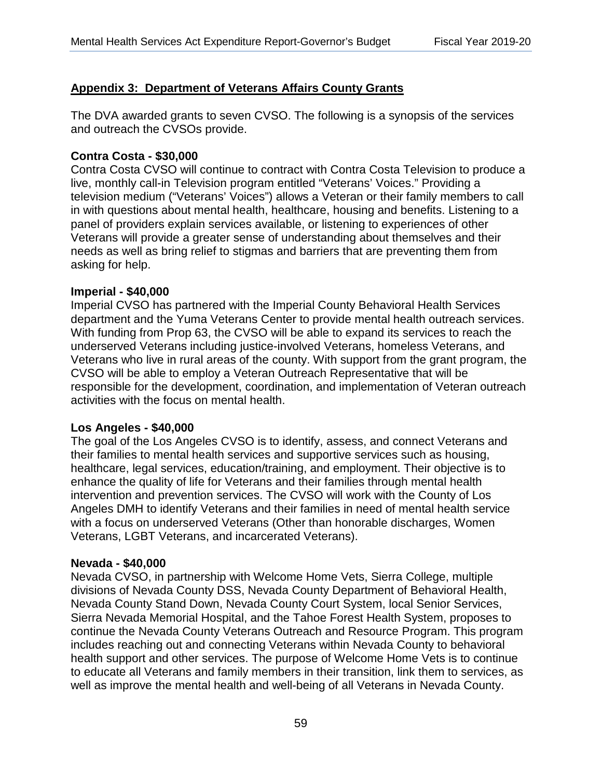## **Appendix 3: Department of Veterans Affairs County Grants**  <u>Appendix 3: Department of Veterans Affairs County Grants</u>

The DVA awarded grants to seven CVSO. The following is a synopsis of the services and outreach the CVSOs provide.

#### **Contra Costa - \$30,000**

Contra Costa CVSO will continue to contract with Contra Costa Television to produce a live, monthly call-in Television program entitled "Veterans' Voices." Providing a television medium ("Veterans' Voices") allows a Veteran or their family members to call in with questions about mental health, healthcare, housing and benefits. Listening to a panel of providers explain services available, or listening to experiences of other Veterans will provide a greater sense of understanding about themselves and their needs as well as bring relief to stigmas and barriers that are preventing them from asking for help.

#### **Imperial - \$40,000**

Imperial CVSO has partnered with the Imperial County Behavioral Health Services department and the Yuma Veterans Center to provide mental health outreach services. With funding from Prop 63, the CVSO will be able to expand its services to reach the underserved Veterans including justice-involved Veterans, homeless Veterans, and Veterans who live in rural areas of the county. With support from the grant program, the CVSO will be able to employ a Veteran Outreach Representative that will be responsible for the development, coordination, and implementation of Veteran outreach activities with the focus on mental health.

#### **Los Angeles - \$40,000**

The goal of the Los Angeles CVSO is to identify, assess, and connect Veterans and their families to mental health services and supportive services such as housing, healthcare, legal services, education/training, and employment. Their objective is to enhance the quality of life for Veterans and their families through mental health intervention and prevention services. The CVSO will work with the County of Los Angeles DMH to identify Veterans and their families in need of mental health service with a focus on underserved Veterans (Other than honorable discharges, Women Veterans, LGBT Veterans, and incarcerated Veterans).

#### **Nevada - \$40,000**

well as improve the mental health and well-being of all Veterans in Nevada County.<br>59 Nevada CVSO, in partnership with Welcome Home Vets, Sierra College, multiple divisions of Nevada County DSS, Nevada County Department of Behavioral Health, Nevada County Stand Down, Nevada County Court System, local Senior Services, Sierra Nevada Memorial Hospital, and the Tahoe Forest Health System, proposes to continue the Nevada County Veterans Outreach and Resource Program. This program includes reaching out and connecting Veterans within Nevada County to behavioral health support and other services. The purpose of Welcome Home Vets is to continue to educate all Veterans and family members in their transition, link them to services, as